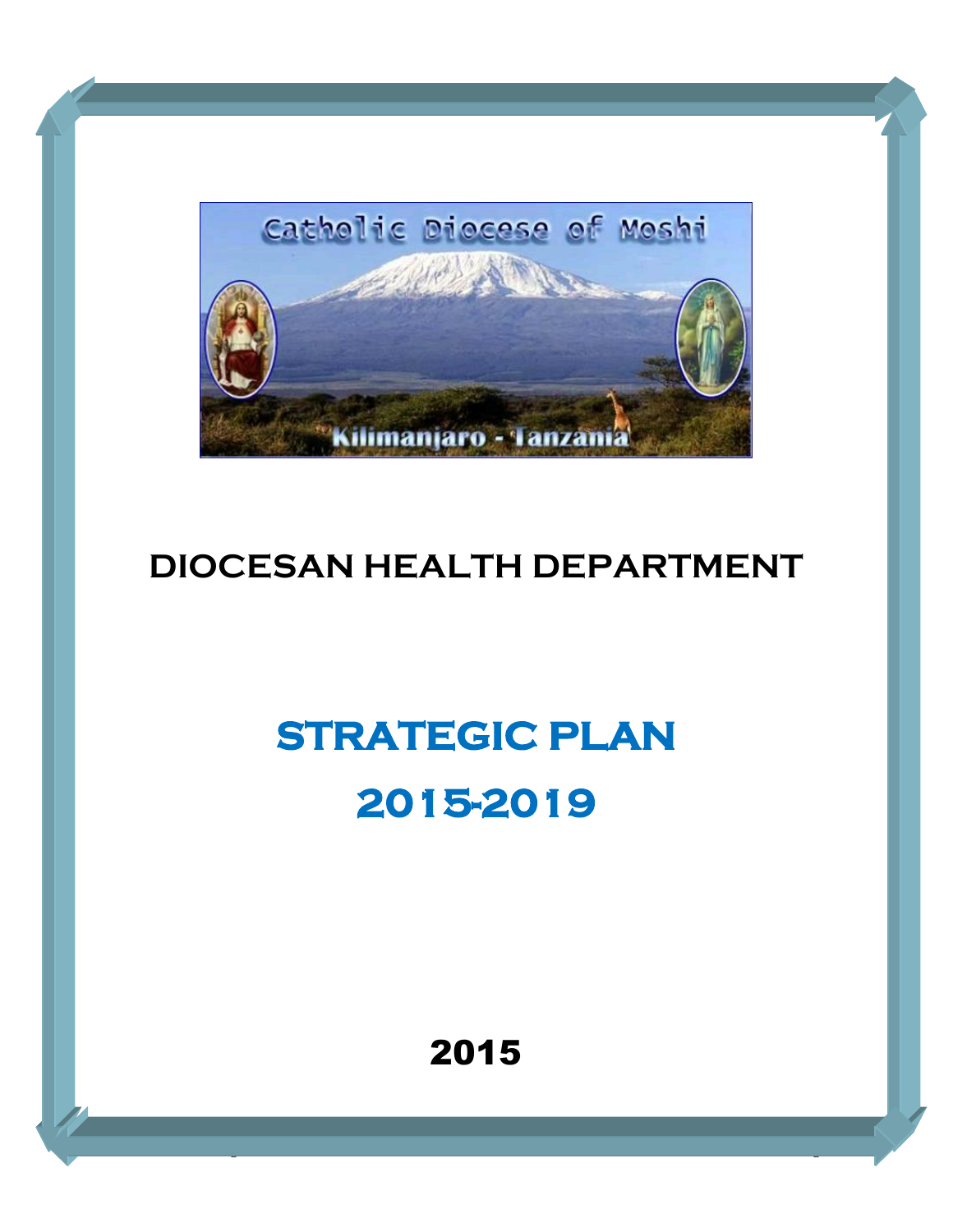

# **DIOCESAN HEALTH DEPARTMENT**

# **STRATEGIC PLAN 2015-2019**

2015

CDM - DHD Strategic Plan 2015 -2015 -2015 -2015 -2015 -2015 -2015 -2015 -2015 -2015 -2015 -2015 -2015 -2015 -2<br>Dhawaa Alan 2015 -2019 Page 1201 -2015 -2015 -2015 -2015 -2015 -2015 -2015 -2015 -2015 -2015 -2015 -2015 -2015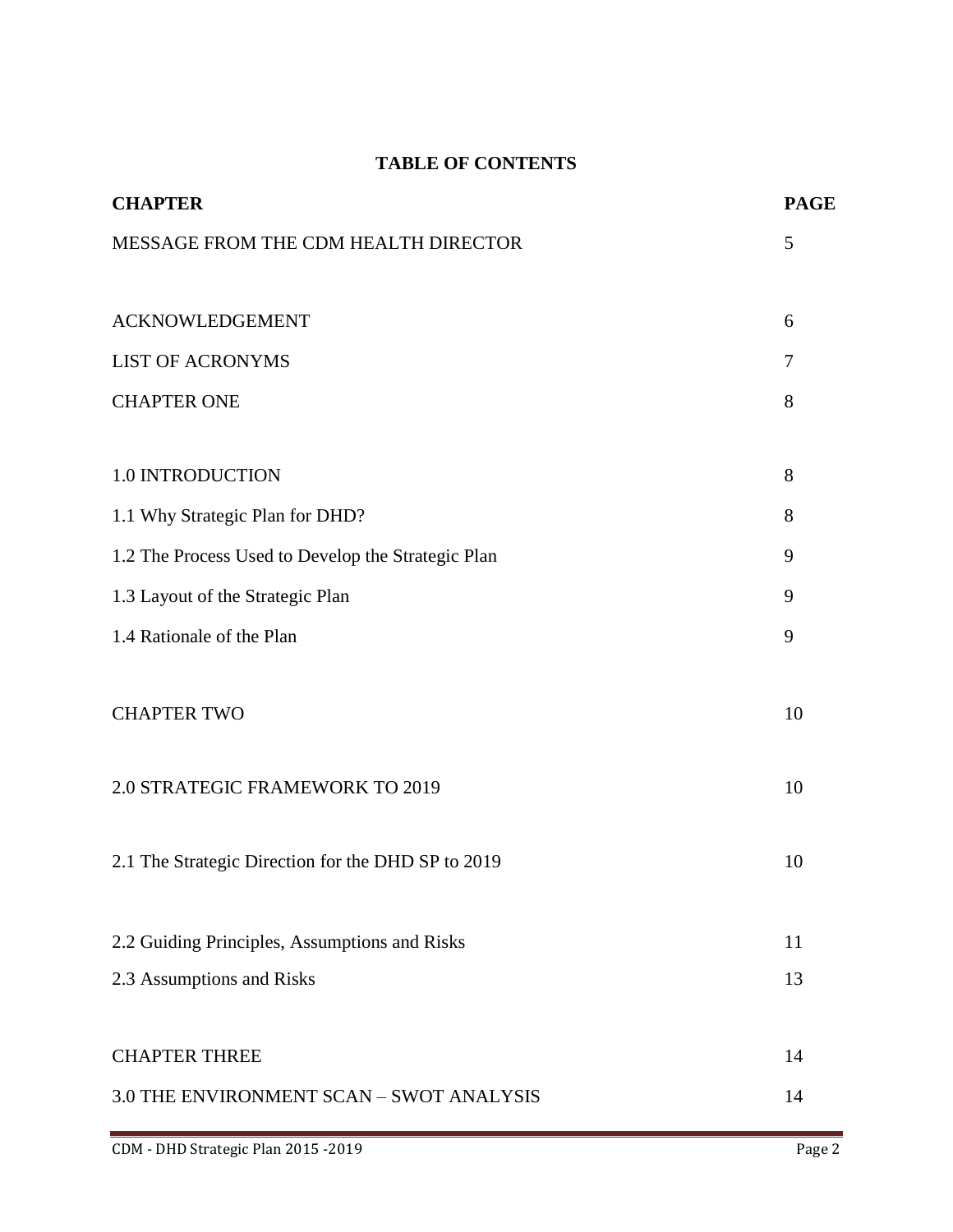# **TABLE OF CONTENTS**

| <b>CHAPTER</b>                                     | <b>PAGE</b> |
|----------------------------------------------------|-------------|
| MESSAGE FROM THE CDM HEALTH DIRECTOR               | 5           |
|                                                    |             |
| <b>ACKNOWLEDGEMENT</b>                             | 6           |
| <b>LIST OF ACRONYMS</b>                            | 7           |
| <b>CHAPTER ONE</b>                                 | 8           |
| 1.0 INTRODUCTION                                   | 8           |
| 1.1 Why Strategic Plan for DHD?                    | 8           |
| 1.2 The Process Used to Develop the Strategic Plan | 9           |
| 1.3 Layout of the Strategic Plan                   | 9           |
| 1.4 Rationale of the Plan                          | 9           |
| <b>CHAPTER TWO</b>                                 | 10          |
| 2.0 STRATEGIC FRAMEWORK TO 2019                    | 10          |
| 2.1 The Strategic Direction for the DHD SP to 2019 | 10          |
| 2.2 Guiding Principles, Assumptions and Risks      | 11          |
| 2.3 Assumptions and Risks                          | 13          |
| <b>CHAPTER THREE</b>                               | 14          |
| 3.0 THE ENVIRONMENT SCAN - SWOT ANALYSIS           | 14          |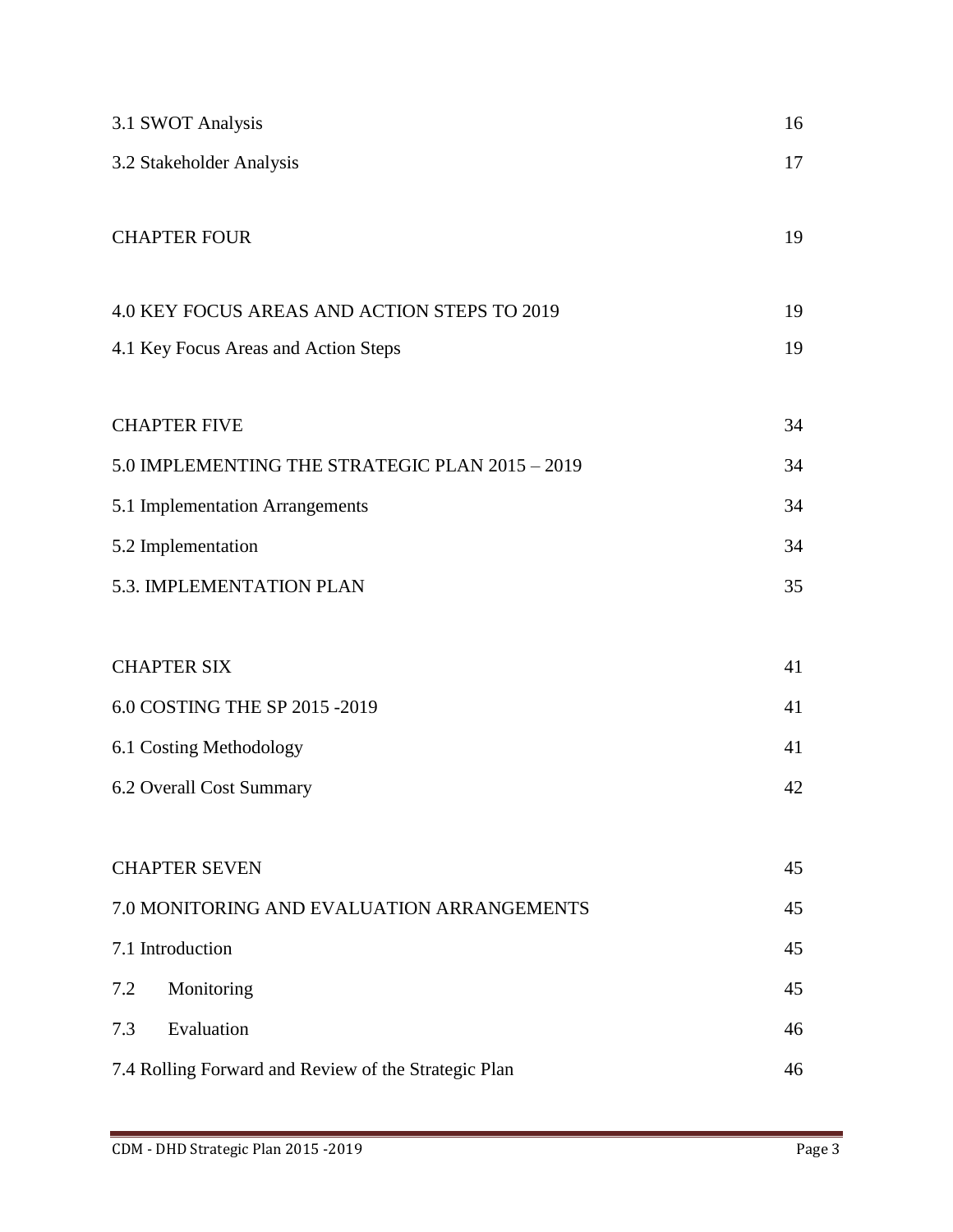| 3.1 SWOT Analysis                                    | 16 |
|------------------------------------------------------|----|
| 3.2 Stakeholder Analysis                             | 17 |
|                                                      |    |
| <b>CHAPTER FOUR</b>                                  | 19 |
| 4.0 KEY FOCUS AREAS AND ACTION STEPS TO 2019         | 19 |
| 4.1 Key Focus Areas and Action Steps                 | 19 |
| <b>CHAPTER FIVE</b>                                  | 34 |
| 5.0 IMPLEMENTING THE STRATEGIC PLAN 2015 - 2019      | 34 |
| 5.1 Implementation Arrangements                      | 34 |
| 5.2 Implementation                                   | 34 |
| 5.3. IMPLEMENTATION PLAN                             | 35 |
|                                                      |    |
| <b>CHAPTER SIX</b>                                   | 41 |
| 6.0 COSTING THE SP 2015 -2019                        |    |
| 6.1 Costing Methodology                              | 41 |
| 6.2 Overall Cost Summary                             | 42 |
|                                                      |    |
| <b>CHAPTER SEVEN</b>                                 | 45 |
| 7.0 MONITORING AND EVALUATION ARRANGEMENTS           | 45 |
| 7.1 Introduction                                     | 45 |
| 7.2<br>Monitoring                                    | 45 |
| Evaluation<br>7.3                                    | 46 |
| 7.4 Rolling Forward and Review of the Strategic Plan | 46 |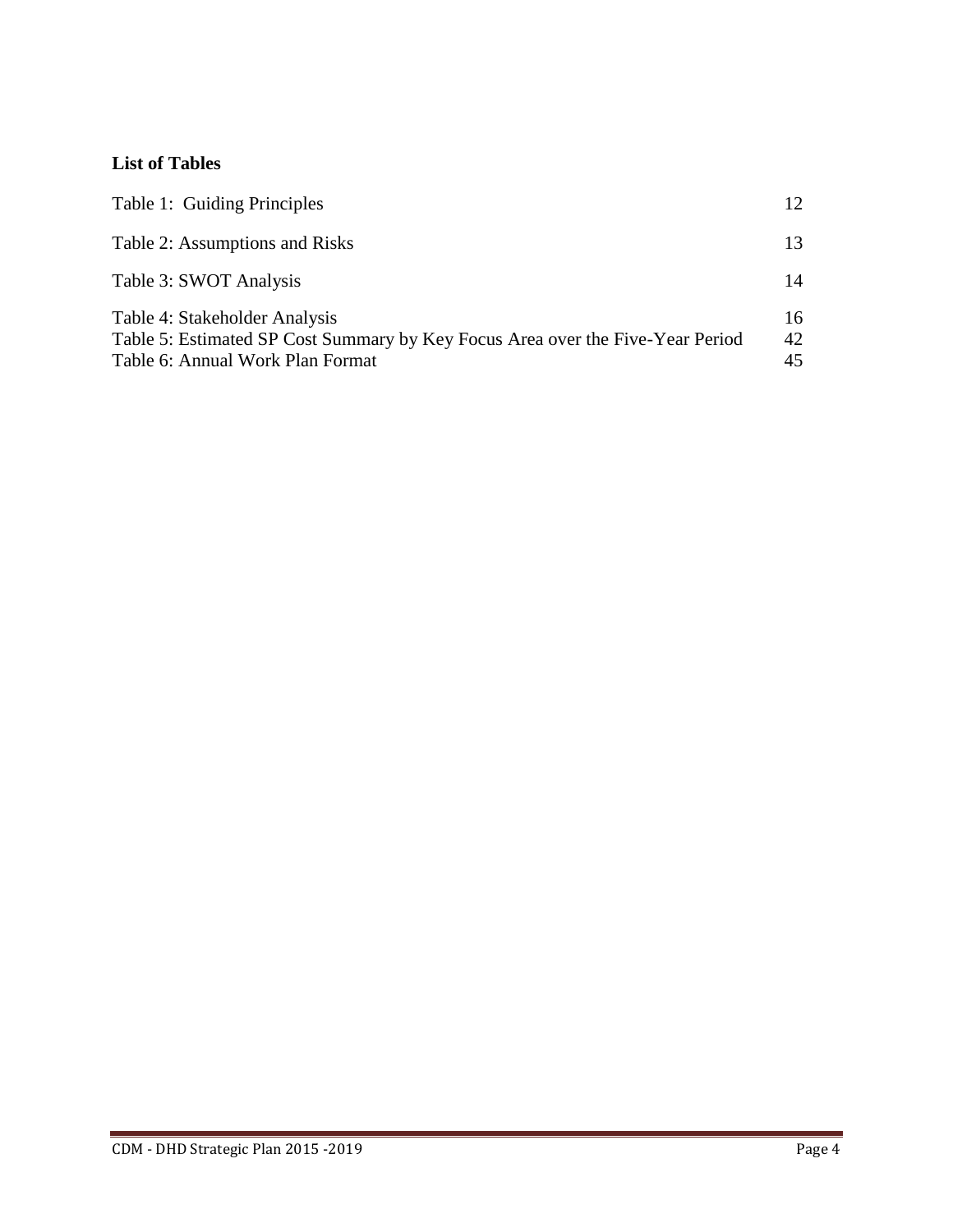# **List of Tables**

| Table 1: Guiding Principles                                                                                                                         | 12             |
|-----------------------------------------------------------------------------------------------------------------------------------------------------|----------------|
| Table 2: Assumptions and Risks                                                                                                                      | 13             |
| Table 3: SWOT Analysis                                                                                                                              | 14             |
| Table 4: Stakeholder Analysis<br>Table 5: Estimated SP Cost Summary by Key Focus Area over the Five-Year Period<br>Table 6: Annual Work Plan Format | 16<br>42<br>45 |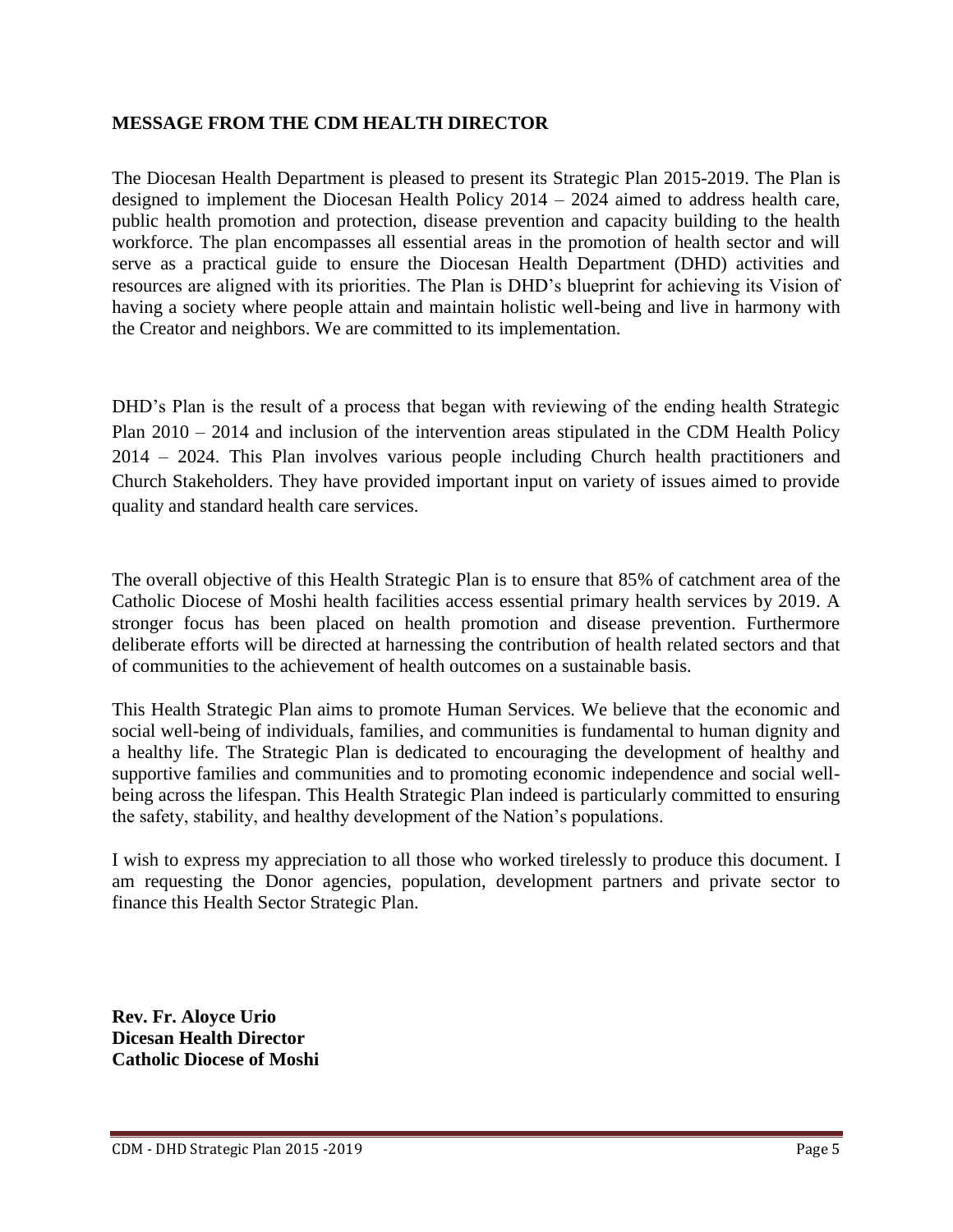# **MESSAGE FROM THE CDM HEALTH DIRECTOR**

The Diocesan Health Department is pleased to present its Strategic Plan 2015-2019. The Plan is designed to implement the Diocesan Health Policy 2014 – 2024 aimed to address health care, public health promotion and protection, disease prevention and capacity building to the health workforce. The plan encompasses all essential areas in the promotion of health sector and will serve as a practical guide to ensure the Diocesan Health Department (DHD) activities and resources are aligned with its priorities. The Plan is DHD's blueprint for achieving its Vision of having a society where people attain and maintain holistic well-being and live in harmony with the Creator and neighbors. We are committed to its implementation.

DHD's Plan is the result of a process that began with reviewing of the ending health Strategic Plan 2010 – 2014 and inclusion of the intervention areas stipulated in the CDM Health Policy 2014 – 2024. This Plan involves various people including Church health practitioners and Church Stakeholders. They have provided important input on variety of issues aimed to provide quality and standard health care services.

The overall objective of this Health Strategic Plan is to ensure that 85% of catchment area of the Catholic Diocese of Moshi health facilities access essential primary health services by 2019. A stronger focus has been placed on health promotion and disease prevention. Furthermore deliberate efforts will be directed at harnessing the contribution of health related sectors and that of communities to the achievement of health outcomes on a sustainable basis.

This Health Strategic Plan aims to promote Human Services*.* We believe that the economic and social well-being of individuals, families, and communities is fundamental to human dignity and a healthy life. The Strategic Plan is dedicated to encouraging the development of healthy and supportive families and communities and to promoting economic independence and social wellbeing across the lifespan. This Health Strategic Plan indeed is particularly committed to ensuring the safety, stability, and healthy development of the Nation's populations.

I wish to express my appreciation to all those who worked tirelessly to produce this document. I am requesting the Donor agencies, population, development partners and private sector to finance this Health Sector Strategic Plan.

**Rev. Fr. Aloyce Urio Dicesan Health Director Catholic Diocese of Moshi**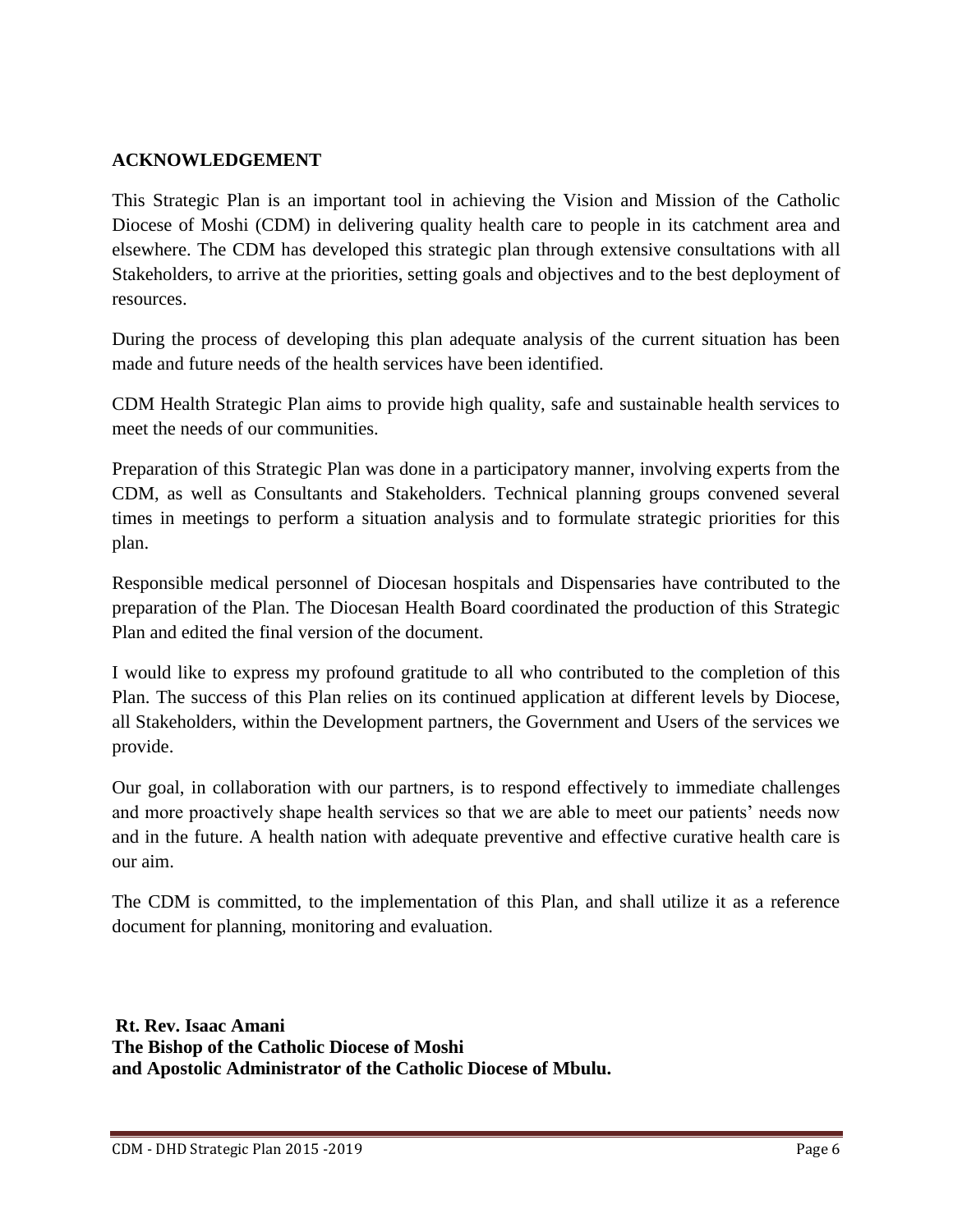# **ACKNOWLEDGEMENT**

This Strategic Plan is an important tool in achieving the Vision and Mission of the Catholic Diocese of Moshi (CDM) in delivering quality health care to people in its catchment area and elsewhere. The CDM has developed this strategic plan through extensive consultations with all Stakeholders, to arrive at the priorities, setting goals and objectives and to the best deployment of resources.

During the process of developing this plan adequate analysis of the current situation has been made and future needs of the health services have been identified.

CDM Health Strategic Plan aims to provide high quality, safe and sustainable health services to meet the needs of our communities.

Preparation of this Strategic Plan was done in a participatory manner, involving experts from the CDM, as well as Consultants and Stakeholders. Technical planning groups convened several times in meetings to perform a situation analysis and to formulate strategic priorities for this plan.

Responsible medical personnel of Diocesan hospitals and Dispensaries have contributed to the preparation of the Plan. The Diocesan Health Board coordinated the production of this Strategic Plan and edited the final version of the document.

I would like to express my profound gratitude to all who contributed to the completion of this Plan. The success of this Plan relies on its continued application at different levels by Diocese, all Stakeholders, within the Development partners, the Government and Users of the services we provide.

Our goal, in collaboration with our partners, is to respond effectively to immediate challenges and more proactively shape health services so that we are able to meet our patients' needs now and in the future. A health nation with adequate preventive and effective curative health care is our aim.

The CDM is committed, to the implementation of this Plan, and shall utilize it as a reference document for planning, monitoring and evaluation.

**Rt. Rev. Isaac Amani The Bishop of the Catholic Diocese of Moshi and Apostolic Administrator of the Catholic Diocese of Mbulu.**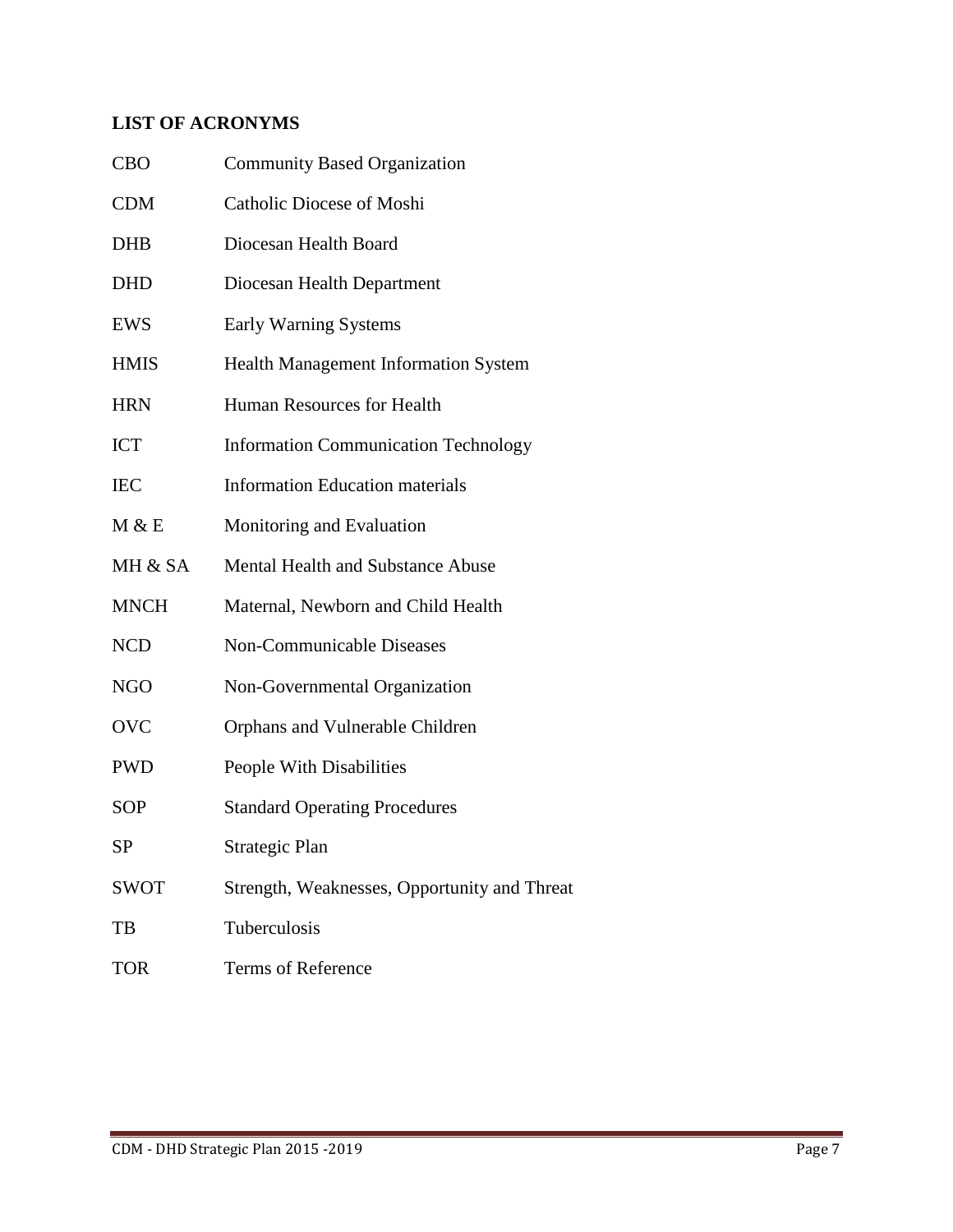# **LIST OF ACRONYMS**

| <b>CBO</b>  | <b>Community Based Organization</b>          |
|-------------|----------------------------------------------|
| <b>CDM</b>  | Catholic Diocese of Moshi                    |
| <b>DHB</b>  | Diocesan Health Board                        |
| <b>DHD</b>  | Diocesan Health Department                   |
| EWS         | Early Warning Systems                        |
| <b>HMIS</b> | <b>Health Management Information System</b>  |
| <b>HRN</b>  | Human Resources for Health                   |
| <b>ICT</b>  | <b>Information Communication Technology</b>  |
| <b>IEC</b>  | <b>Information Education materials</b>       |
| M & E       | Monitoring and Evaluation                    |
| MH & SA     | Mental Health and Substance Abuse            |
| <b>MNCH</b> | Maternal, Newborn and Child Health           |
| <b>NCD</b>  | <b>Non-Communicable Diseases</b>             |
| <b>NGO</b>  | Non-Governmental Organization                |
| <b>OVC</b>  | Orphans and Vulnerable Children              |
| <b>PWD</b>  | People With Disabilities                     |
| <b>SOP</b>  | <b>Standard Operating Procedures</b>         |
| SP          | Strategic Plan                               |
| <b>SWOT</b> | Strength, Weaknesses, Opportunity and Threat |
| TB          | Tuberculosis                                 |
| <b>TOR</b>  | Terms of Reference                           |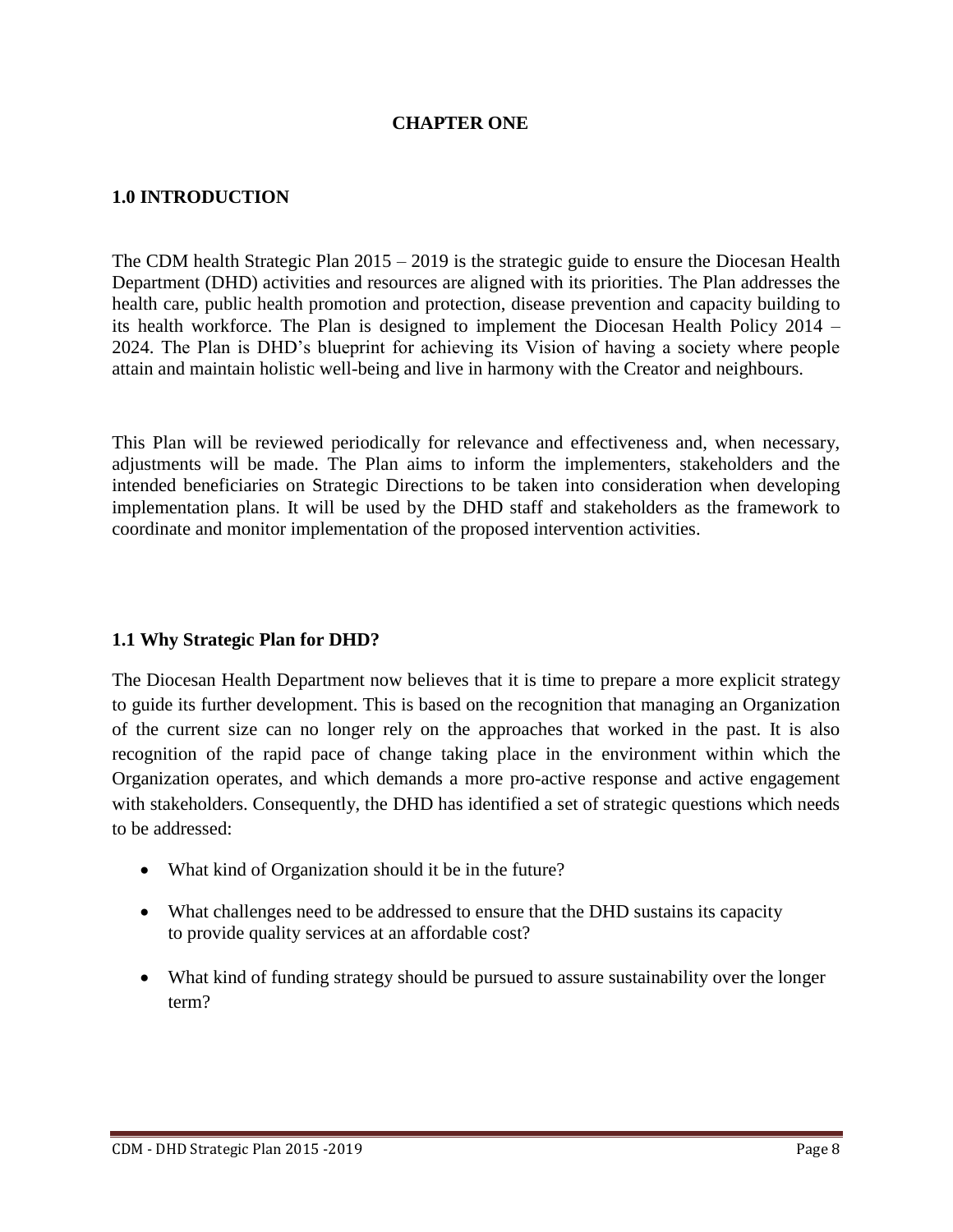# **CHAPTER ONE**

#### **1.0 INTRODUCTION**

The CDM health Strategic Plan 2015 – 2019 is the strategic guide to ensure the Diocesan Health Department (DHD) activities and resources are aligned with its priorities. The Plan addresses the health care, public health promotion and protection, disease prevention and capacity building to its health workforce. The Plan is designed to implement the Diocesan Health Policy 2014 – 2024. The Plan is DHD's blueprint for achieving its Vision of having a society where people attain and maintain holistic well-being and live in harmony with the Creator and neighbours.

This Plan will be reviewed periodically for relevance and effectiveness and, when necessary, adjustments will be made. The Plan aims to inform the implementers, stakeholders and the intended beneficiaries on Strategic Directions to be taken into consideration when developing implementation plans. It will be used by the DHD staff and stakeholders as the framework to coordinate and monitor implementation of the proposed intervention activities.

#### **1.1 Why Strategic Plan for DHD?**

The Diocesan Health Department now believes that it is time to prepare a more explicit strategy to guide its further development. This is based on the recognition that managing an Organization of the current size can no longer rely on the approaches that worked in the past. It is also recognition of the rapid pace of change taking place in the environment within which the Organization operates, and which demands a more pro-active response and active engagement with stakeholders. Consequently, the DHD has identified a set of strategic questions which needs to be addressed:

- What kind of Organization should it be in the future?
- What challenges need to be addressed to ensure that the DHD sustains its capacity to provide quality services at an affordable cost?
- What kind of funding strategy should be pursued to assure sustainability over the longer term?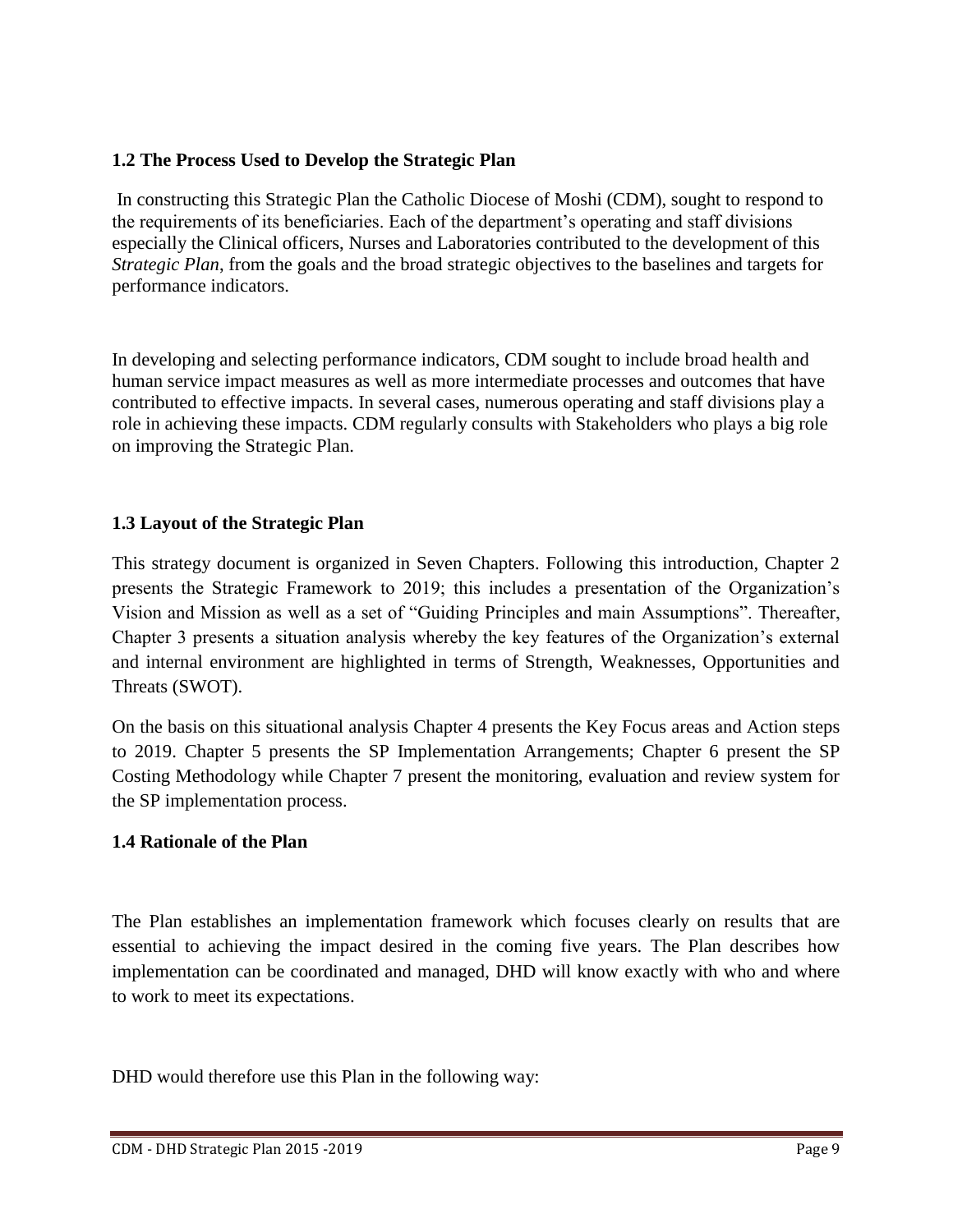#### **1.2 The Process Used to Develop the Strategic Plan**

In constructing this Strategic Plan the Catholic Diocese of Moshi (CDM), sought to respond to the requirements of its beneficiaries. Each of the department's operating and staff divisions especially the Clinical officers, Nurses and Laboratories contributed to the development of this *Strategic Plan*, from the goals and the broad strategic objectives to the baselines and targets for performance indicators.

In developing and selecting performance indicators, CDM sought to include broad health and human service impact measures as well as more intermediate processes and outcomes that have contributed to effective impacts. In several cases, numerous operating and staff divisions play a role in achieving these impacts. CDM regularly consults with Stakeholders who plays a big role on improving the Strategic Plan.

# **1.3 Layout of the Strategic Plan**

This strategy document is organized in Seven Chapters. Following this introduction, Chapter 2 presents the Strategic Framework to 2019; this includes a presentation of the Organization's Vision and Mission as well as a set of "Guiding Principles and main Assumptions". Thereafter, Chapter 3 presents a situation analysis whereby the key features of the Organization's external and internal environment are highlighted in terms of Strength, Weaknesses, Opportunities and Threats (SWOT).

On the basis on this situational analysis Chapter 4 presents the Key Focus areas and Action steps to 2019. Chapter 5 presents the SP Implementation Arrangements; Chapter 6 present the SP Costing Methodology while Chapter 7 present the monitoring, evaluation and review system for the SP implementation process.

#### **1.4 Rationale of the Plan**

The Plan establishes an implementation framework which focuses clearly on results that are essential to achieving the impact desired in the coming five years. The Plan describes how implementation can be coordinated and managed, DHD will know exactly with who and where to work to meet its expectations.

DHD would therefore use this Plan in the following way: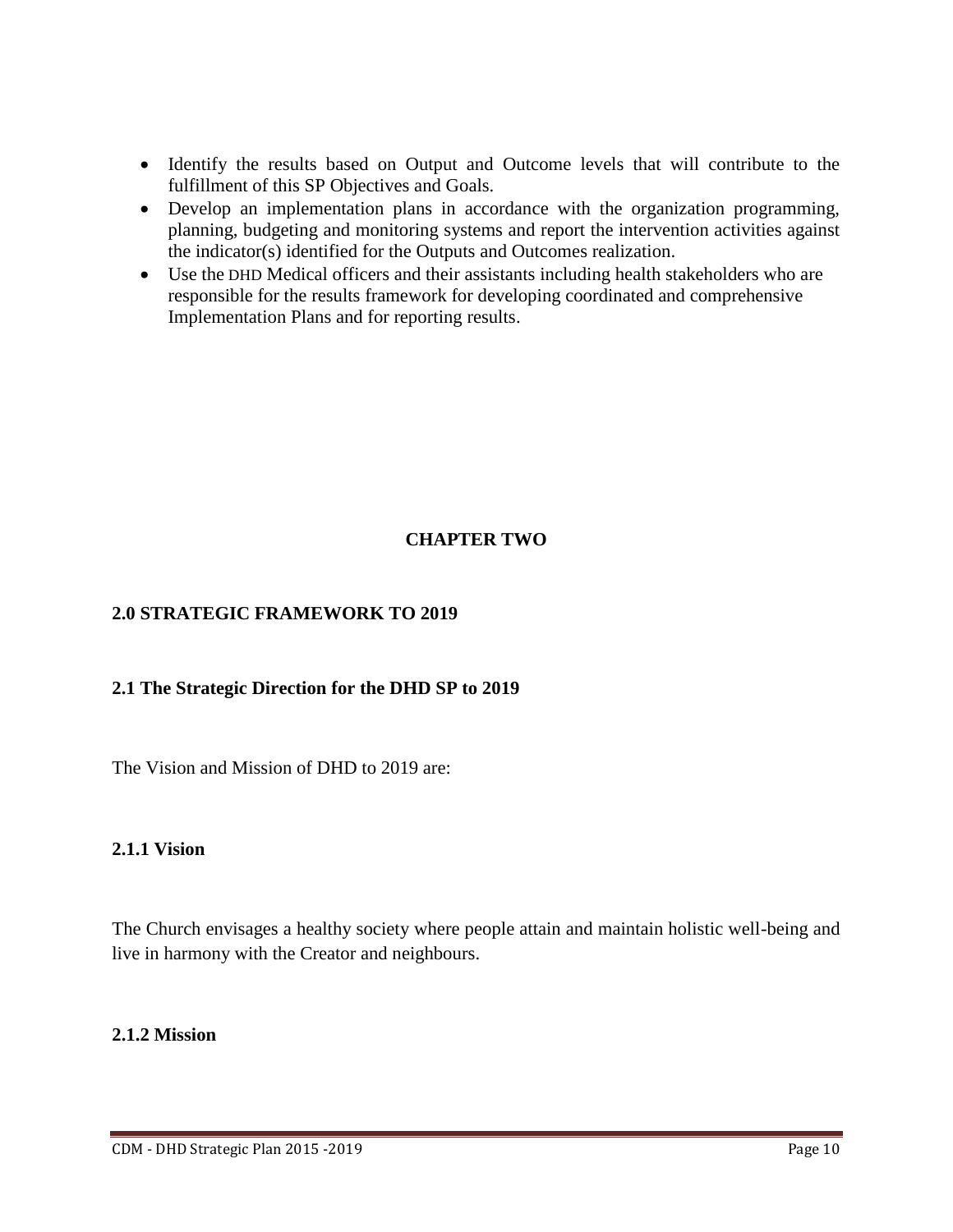- Identify the results based on Output and Outcome levels that will contribute to the fulfillment of this SP Objectives and Goals.
- Develop an implementation plans in accordance with the organization programming, planning, budgeting and monitoring systems and report the intervention activities against the indicator(s) identified for the Outputs and Outcomes realization.
- Use the DHD Medical officers and their assistants including health stakeholders who are responsible for the results framework for developing coordinated and comprehensive Implementation Plans and for reporting results.

# **CHAPTER TWO**

#### **2.0 STRATEGIC FRAMEWORK TO 2019**

#### **2.1 The Strategic Direction for the DHD SP to 2019**

The Vision and Mission of DHD to 2019 are:

#### **2.1.1 Vision**

The Church envisages a healthy society where people attain and maintain holistic well-being and live in harmony with the Creator and neighbours.

#### **2.1.2 Mission**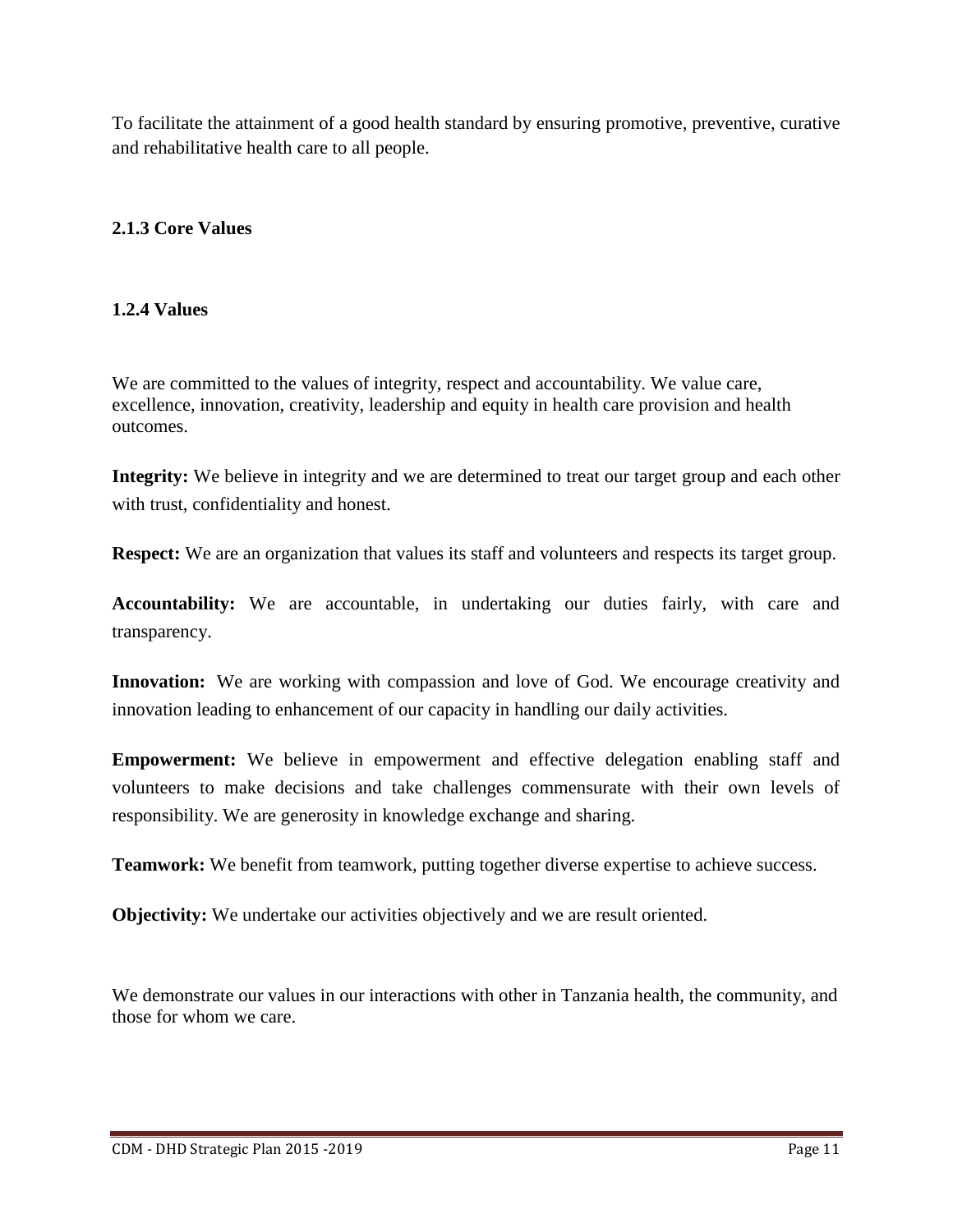To facilitate the attainment of a good health standard by ensuring promotive, preventive, curative and rehabilitative health care to all people.

# **2.1.3 Core Values**

#### **1.2.4 Values**

We are committed to the values of integrity, respect and accountability. We value care, excellence, innovation, creativity, leadership and equity in health care provision and health outcomes.

**Integrity:** We believe in integrity and we are determined to treat our target group and each other with trust, confidentiality and honest.

**Respect:** We are an organization that values its staff and volunteers and respects its target group.

**Accountability:** We are accountable, in undertaking our duties fairly, with care and transparency.

**Innovation:** We are working with compassion and love of God. We encourage creativity and innovation leading to enhancement of our capacity in handling our daily activities.

**Empowerment:** We believe in empowerment and effective delegation enabling staff and volunteers to make decisions and take challenges commensurate with their own levels of responsibility. We are generosity in knowledge exchange and sharing.

**Teamwork:** We benefit from teamwork, putting together diverse expertise to achieve success.

**Objectivity:** We undertake our activities objectively and we are result oriented.

We demonstrate our values in our interactions with other in Tanzania health, the community, and those for whom we care.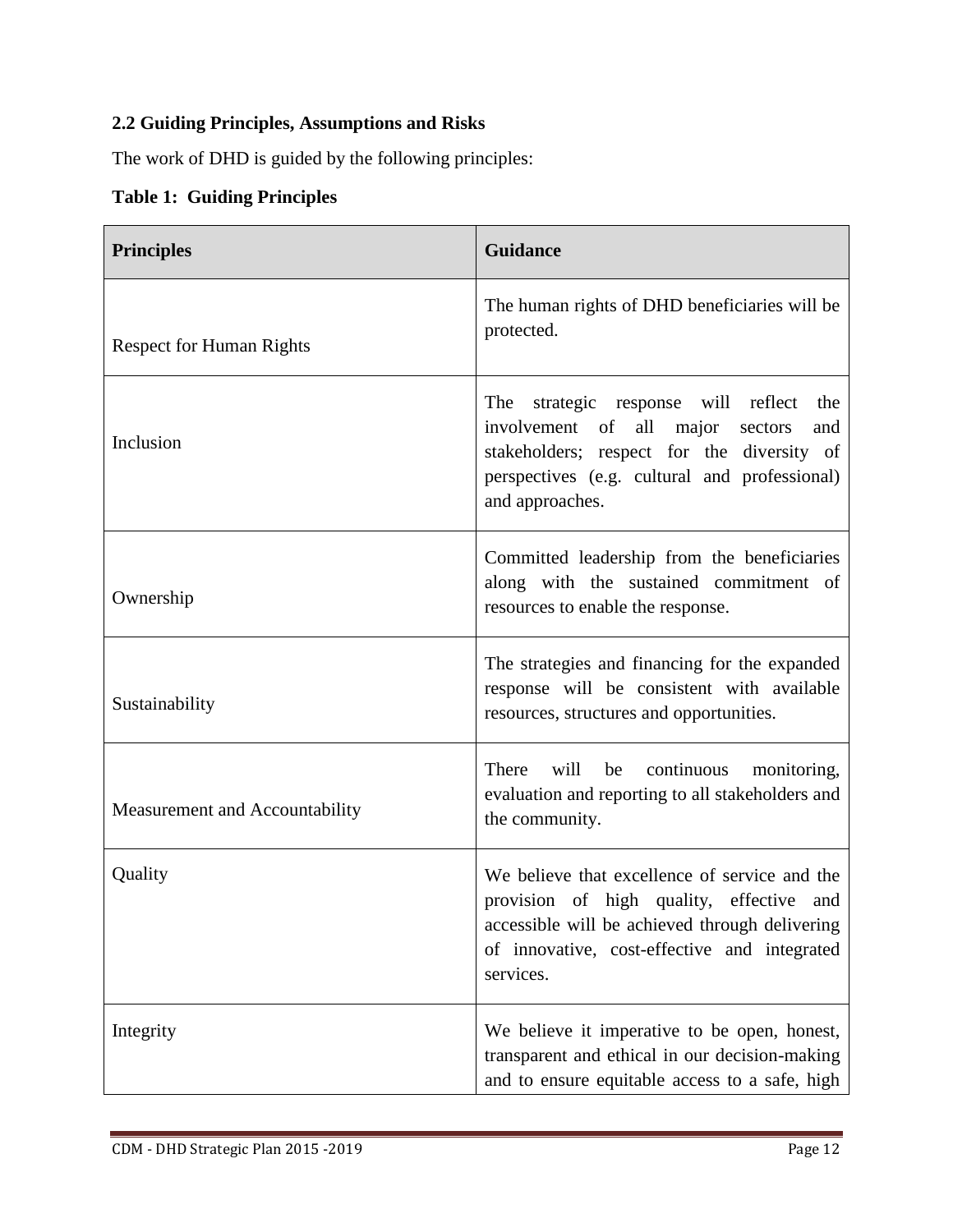# **2.2 Guiding Principles, Assumptions and Risks**

The work of DHD is guided by the following principles:

# **Table 1: Guiding Principles**

| <b>Principles</b>               | <b>Guidance</b>                                                                                                                                                                                          |  |
|---------------------------------|----------------------------------------------------------------------------------------------------------------------------------------------------------------------------------------------------------|--|
| <b>Respect for Human Rights</b> | The human rights of DHD beneficiaries will be<br>protected.                                                                                                                                              |  |
| Inclusion                       | The strategic response will reflect the<br>involvement of all major sectors<br>and<br>stakeholders; respect for the diversity of<br>perspectives (e.g. cultural and professional)<br>and approaches.     |  |
| Ownership                       | Committed leadership from the beneficiaries<br>along with the sustained commitment of<br>resources to enable the response.                                                                               |  |
| Sustainability                  | The strategies and financing for the expanded<br>response will be consistent with available<br>resources, structures and opportunities.                                                                  |  |
| Measurement and Accountability  | There<br>will<br>be<br>continuous<br>monitoring,<br>evaluation and reporting to all stakeholders and<br>the community.                                                                                   |  |
| Quality                         | We believe that excellence of service and the<br>provision of high quality, effective and<br>accessible will be achieved through delivering<br>of innovative, cost-effective and integrated<br>services. |  |
| Integrity                       | We believe it imperative to be open, honest,<br>transparent and ethical in our decision-making<br>and to ensure equitable access to a safe, high                                                         |  |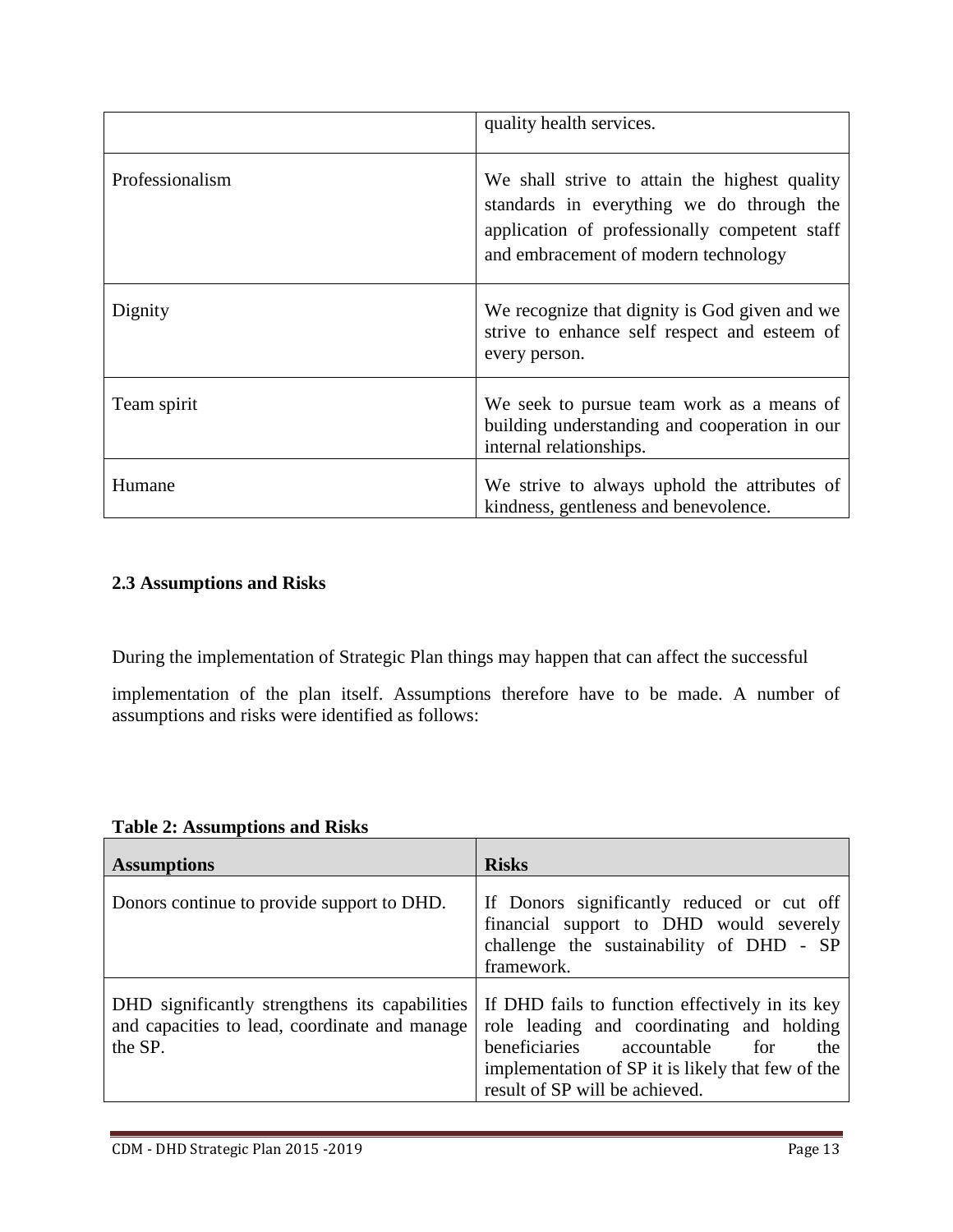|                 | quality health services.                                                                                                                                                            |
|-----------------|-------------------------------------------------------------------------------------------------------------------------------------------------------------------------------------|
| Professionalism | We shall strive to attain the highest quality<br>standards in everything we do through the<br>application of professionally competent staff<br>and embracement of modern technology |
| Dignity         | We recognize that dignity is God given and we<br>strive to enhance self respect and esteem of<br>every person.                                                                      |
| Team spirit     | We seek to pursue team work as a means of<br>building understanding and cooperation in our<br>internal relationships.                                                               |
| Humane          | We strive to always uphold the attributes of<br>kindness, gentleness and benevolence.                                                                                               |

# **2.3 Assumptions and Risks**

During the implementation of Strategic Plan things may happen that can affect the successful

implementation of the plan itself. Assumptions therefore have to be made. A number of assumptions and risks were identified as follows:

|  | <b>Table 2: Assumptions and Risks</b> |  |
|--|---------------------------------------|--|
|--|---------------------------------------|--|

| <b>Assumptions</b>                                                                                         | <b>Risks</b>                                                                                                                                                                                                                |
|------------------------------------------------------------------------------------------------------------|-----------------------------------------------------------------------------------------------------------------------------------------------------------------------------------------------------------------------------|
| Donors continue to provide support to DHD.                                                                 | If Donors significantly reduced or cut off<br>financial support to DHD would severely<br>challenge the sustainability of DHD - SP<br>framework.                                                                             |
| DHD significantly strengthens its capabilities<br>and capacities to lead, coordinate and manage<br>the SP. | If DHD fails to function effectively in its key<br>role leading and coordinating and holding<br>beneficiaries accountable for<br>the<br>implementation of SP it is likely that few of the<br>result of SP will be achieved. |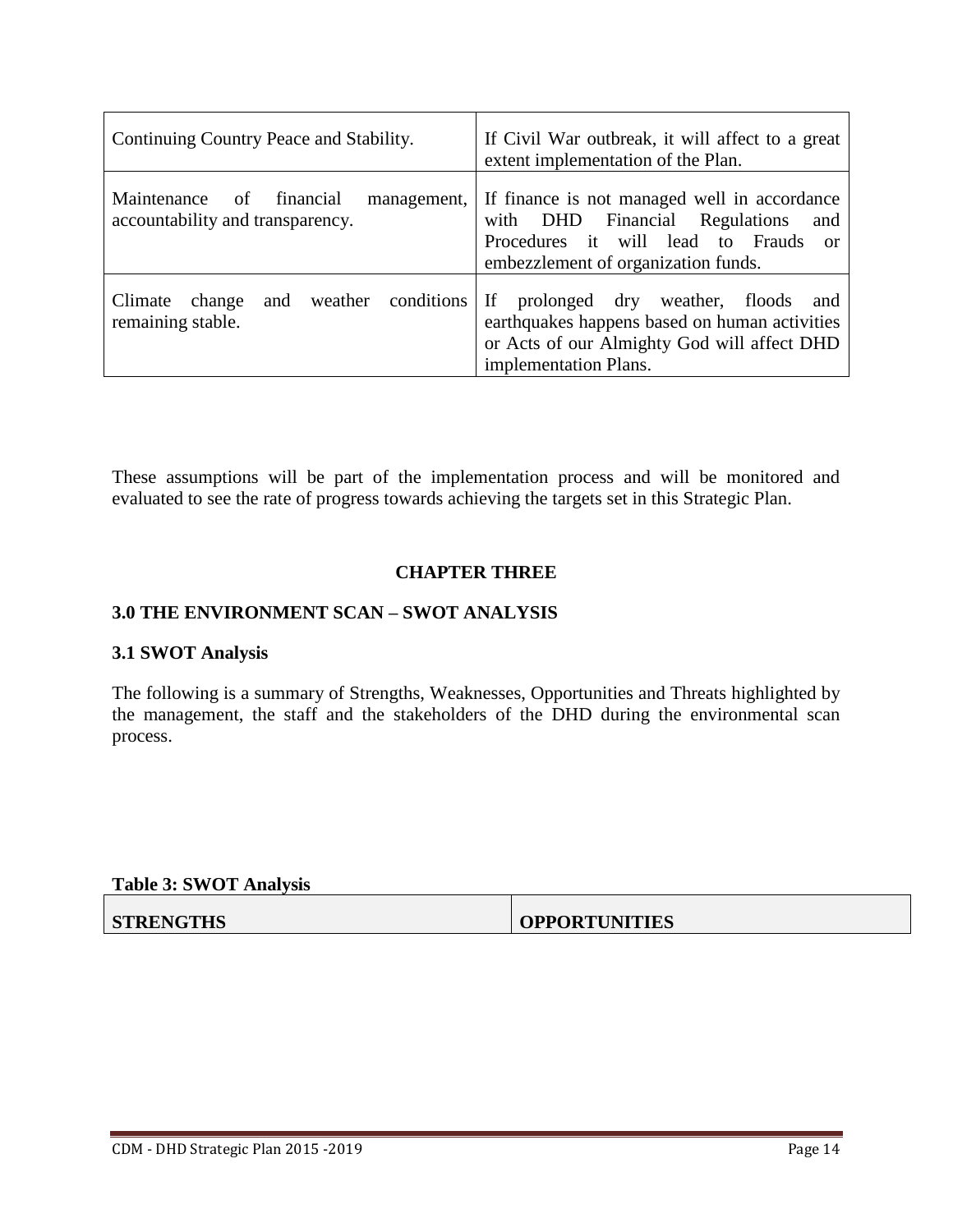| Continuing Country Peace and Stability.                                           | If Civil War outbreak, it will affect to a great<br>extent implementation of the Plan.                                                                                             |  |
|-----------------------------------------------------------------------------------|------------------------------------------------------------------------------------------------------------------------------------------------------------------------------------|--|
| Maintenance<br>financial<br>of<br>management,<br>accountability and transparency. | If finance is not managed well in accordance<br>with DHD Financial Regulations<br>and<br>Procedures it will lead to Frauds<br><sub>or</sub><br>embezzlement of organization funds. |  |
| weather conditions<br>Climate<br>and<br>change<br>remaining stable.               | If<br>prolonged dry<br>weather, floods<br>and<br>earthquakes happens based on human activities<br>or Acts of our Almighty God will affect DHD<br>implementation Plans.             |  |

These assumptions will be part of the implementation process and will be monitored and evaluated to see the rate of progress towards achieving the targets set in this Strategic Plan.

#### **CHAPTER THREE**

#### **3.0 THE ENVIRONMENT SCAN – SWOT ANALYSIS**

#### **3.1 SWOT Analysis**

The following is a summary of Strengths, Weaknesses, Opportunities and Threats highlighted by the management, the staff and the stakeholders of the DHD during the environmental scan process.

#### **Table 3: SWOT Analysis**

**STRENGTHS OPPORTUNITIES**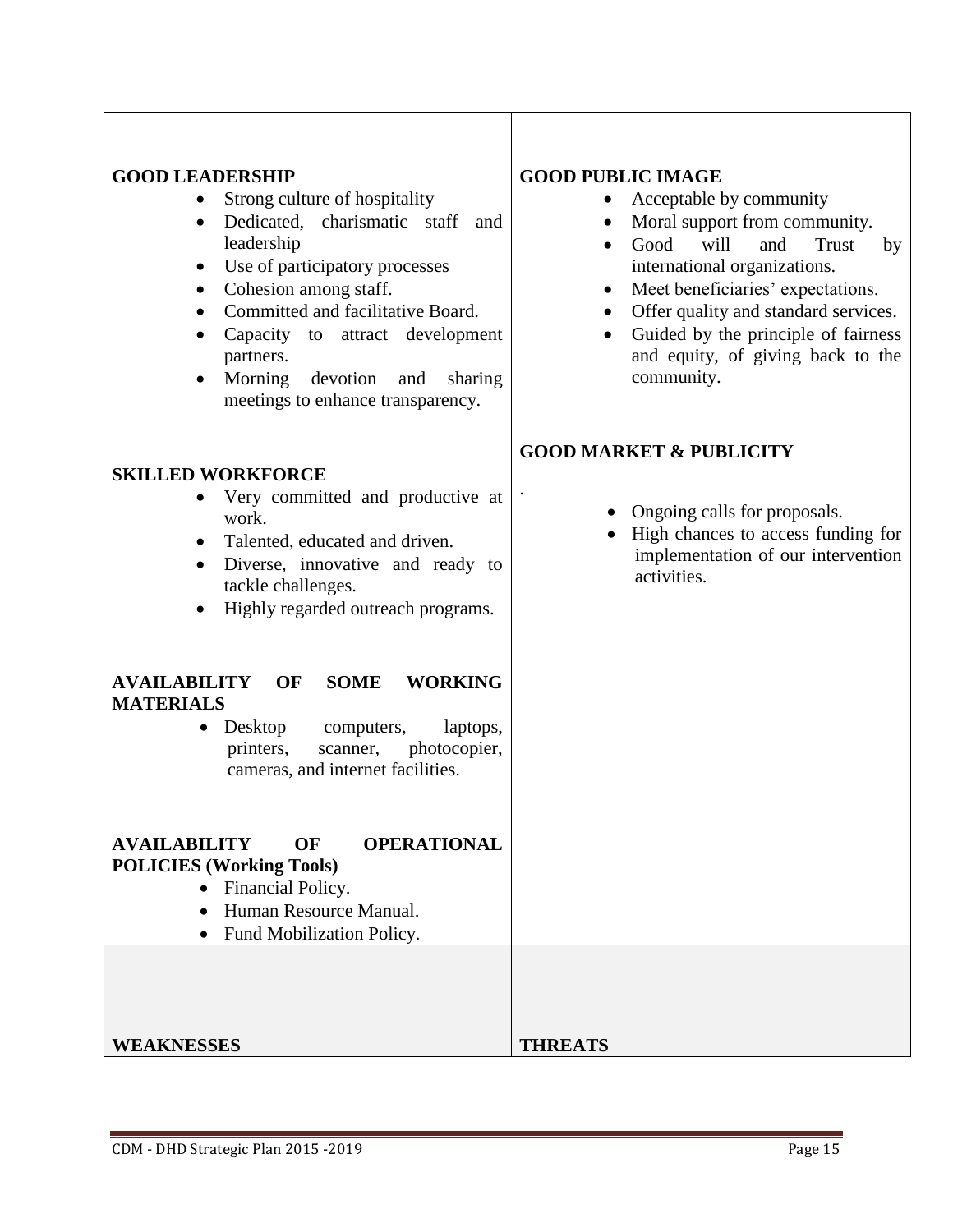| <b>GOOD LEADERSHIP</b><br>Strong culture of hospitality<br>Dedicated, charismatic staff<br>and<br>$\bullet$<br>leadership<br>Use of participatory processes<br>$\bullet$<br>Cohesion among staff.<br>$\bullet$<br>Committed and facilitative Board.<br>$\bullet$<br>Capacity to attract development<br>partners.<br>Morning<br>devotion<br>and<br>sharing<br>$\bullet$<br>meetings to enhance transparency. | <b>GOOD PUBLIC IMAGE</b><br>Acceptable by community<br>Moral support from community.<br>$\bullet$<br>will<br>and<br>Good<br>Trust<br>by<br>$\bullet$<br>international organizations.<br>Meet beneficiaries' expectations.<br>$\bullet$<br>Offer quality and standard services.<br>$\bullet$<br>Guided by the principle of fairness<br>$\bullet$<br>and equity, of giving back to the<br>community. |
|-------------------------------------------------------------------------------------------------------------------------------------------------------------------------------------------------------------------------------------------------------------------------------------------------------------------------------------------------------------------------------------------------------------|----------------------------------------------------------------------------------------------------------------------------------------------------------------------------------------------------------------------------------------------------------------------------------------------------------------------------------------------------------------------------------------------------|
| <b>SKILLED WORKFORCE</b><br>Very committed and productive at<br>work.<br>Talented, educated and driven.<br>$\bullet$<br>Diverse, innovative and ready to<br>$\bullet$<br>tackle challenges.<br>Highly regarded outreach programs.                                                                                                                                                                           | <b>GOOD MARKET &amp; PUBLICITY</b><br>Ongoing calls for proposals.<br>High chances to access funding for<br>implementation of our intervention<br>activities.                                                                                                                                                                                                                                      |
| <b>AVAILABILITY</b><br>OF<br><b>SOME</b><br><b>WORKING</b><br><b>MATERIALS</b><br>Desktop<br>computers,<br>laptops,<br>$\bullet$<br>printers,<br>photocopier,<br>scanner,<br>cameras, and internet facilities.                                                                                                                                                                                              |                                                                                                                                                                                                                                                                                                                                                                                                    |
| OF<br><b>OPERATIONAL</b><br><b>AVAILABILITY</b><br><b>POLICIES (Working Tools)</b><br>Financial Policy.<br>$\bullet$<br>Human Resource Manual.<br>Fund Mobilization Policy.                                                                                                                                                                                                                                 |                                                                                                                                                                                                                                                                                                                                                                                                    |
| <b>WEAKNESSES</b>                                                                                                                                                                                                                                                                                                                                                                                           | <b>THREATS</b>                                                                                                                                                                                                                                                                                                                                                                                     |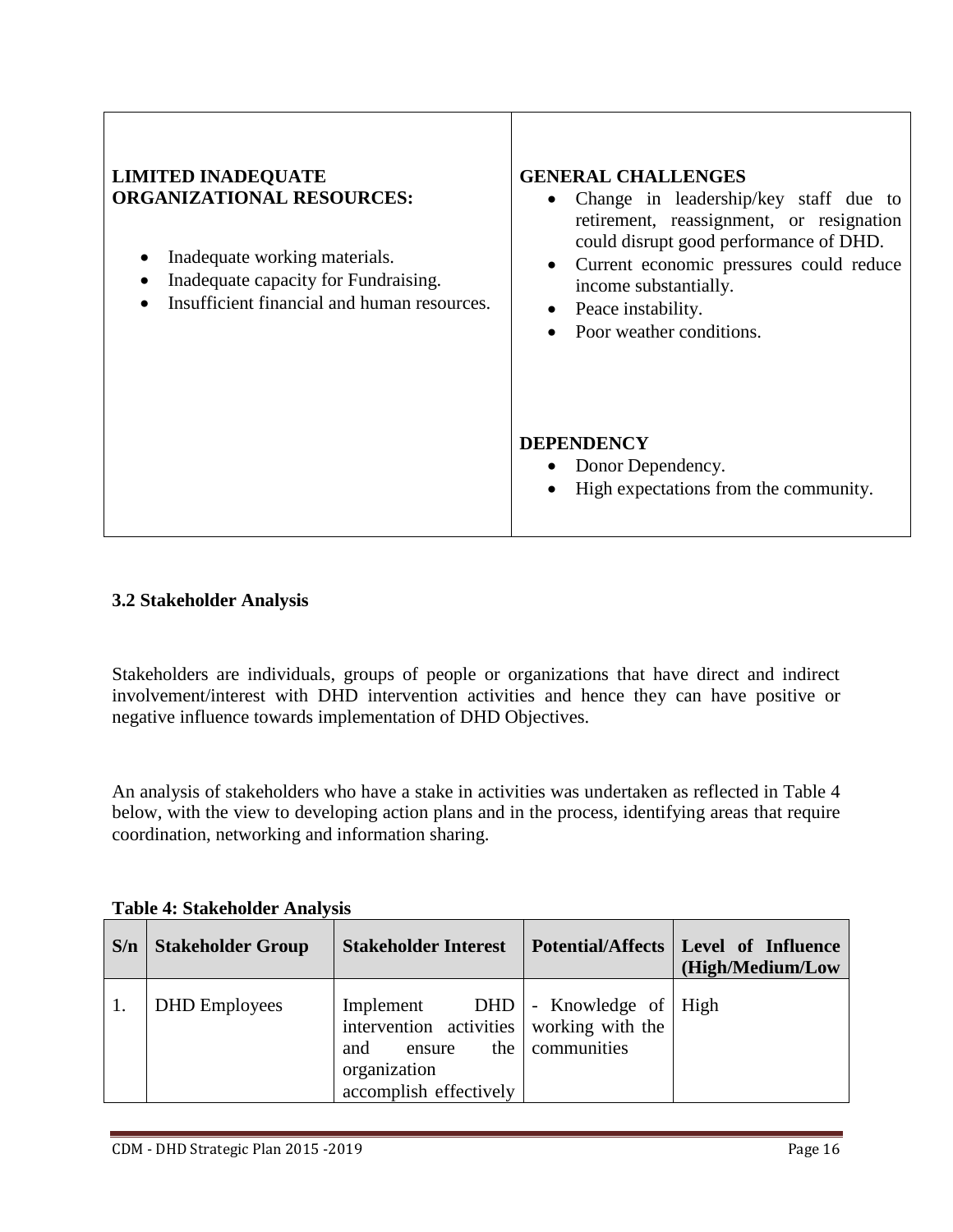| <b>LIMITED INADEQUATE</b><br><b>ORGANIZATIONAL RESOURCES:</b><br>Inadequate working materials.<br>٠<br>Inadequate capacity for Fundraising.<br>Insufficient financial and human resources. | <b>GENERAL CHALLENGES</b><br>Change in leadership/key staff due to<br>$\bullet$<br>retirement, reassignment, or resignation<br>could disrupt good performance of DHD.<br>Current economic pressures could reduce<br>$\bullet$<br>income substantially.<br>Peace instability.<br>Poor weather conditions. |  |
|--------------------------------------------------------------------------------------------------------------------------------------------------------------------------------------------|----------------------------------------------------------------------------------------------------------------------------------------------------------------------------------------------------------------------------------------------------------------------------------------------------------|--|
|                                                                                                                                                                                            | <b>DEPENDENCY</b><br>• Donor Dependency.<br>High expectations from the community.<br>$\bullet$                                                                                                                                                                                                           |  |

# **3.2 Stakeholder Analysis**

Stakeholders are individuals, groups of people or organizations that have direct and indirect involvement/interest with DHD intervention activities and hence they can have positive or negative influence towards implementation of DHD Objectives.

An analysis of stakeholders who have a stake in activities was undertaken as reflected in Table 4 below, with the view to developing action plans and in the process, identifying areas that require coordination, networking and information sharing.

| S/n | <b>Stakeholder Group</b> | <b>Stakeholder Interest</b>                                                                                      |                                                | Potential/Affects   Level of Influence<br>(High/Medium/Low |
|-----|--------------------------|------------------------------------------------------------------------------------------------------------------|------------------------------------------------|------------------------------------------------------------|
| 1.  | <b>DHD</b> Employees     | Implement<br>intervention activities working with the<br>and<br>ensure<br>organization<br>accomplish effectively | $DHD$ - Knowledge of High<br>the   communities |                                                            |

**Table 4: Stakeholder Analysis**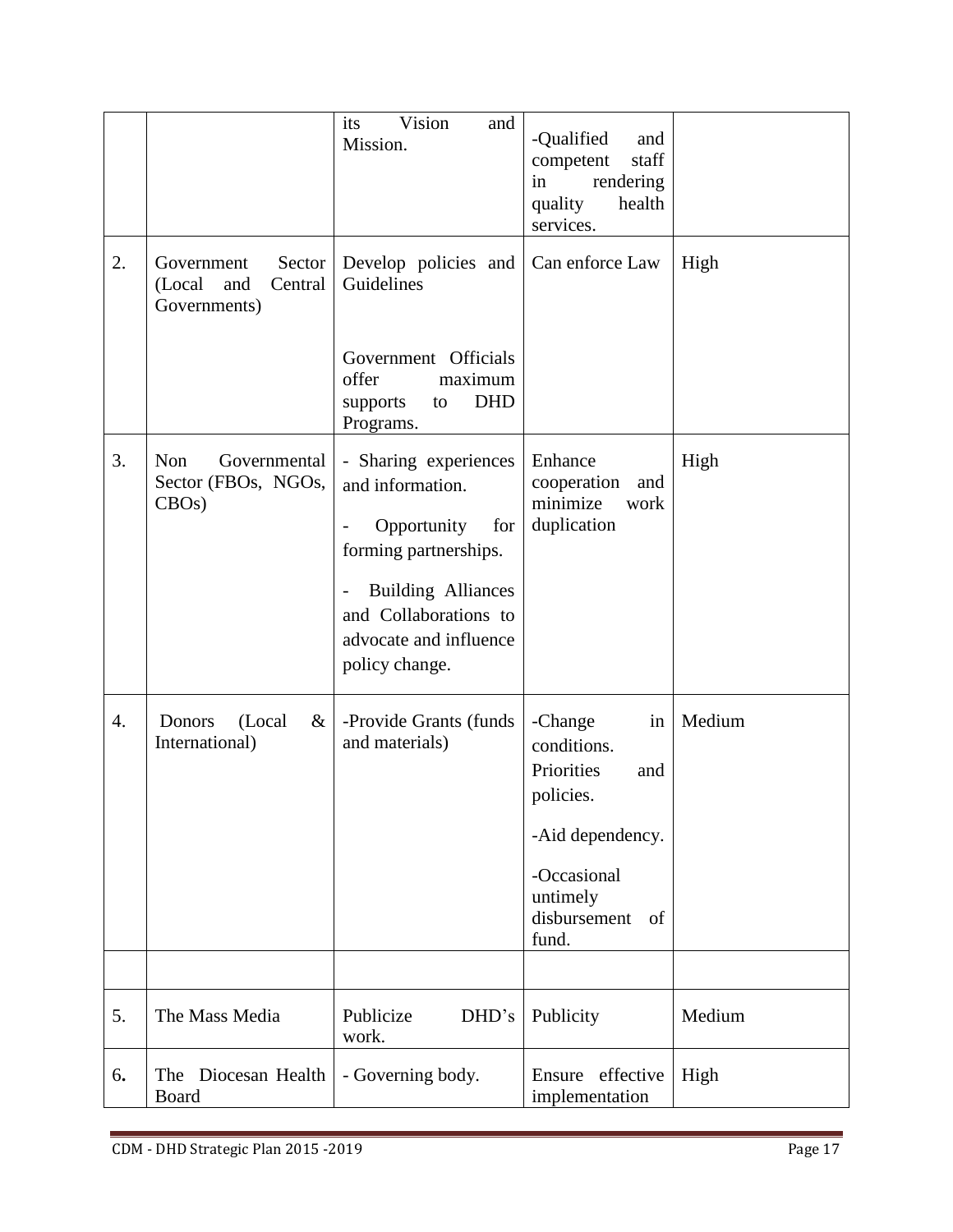|    |                                                                  | its<br>Vision<br>and<br>Mission.                                                                                                                                                                                       | -Qualified<br>and<br>competent<br>staff<br>rendering<br>in<br>quality<br>health<br>services.                                                 |        |
|----|------------------------------------------------------------------|------------------------------------------------------------------------------------------------------------------------------------------------------------------------------------------------------------------------|----------------------------------------------------------------------------------------------------------------------------------------------|--------|
| 2. | Government<br>Sector<br>(Local<br>and<br>Central<br>Governments) | Develop policies and<br>Guidelines                                                                                                                                                                                     | Can enforce Law                                                                                                                              | High   |
|    |                                                                  | Government Officials<br>offer<br>maximum<br>DHD<br>supports<br>to<br>Programs.                                                                                                                                         |                                                                                                                                              |        |
| 3. | Non<br>Governmental<br>Sector (FBOs, NGOs,<br>$CBOs$ )           | - Sharing experiences<br>and information.<br>Opportunity<br>for<br>$\overline{\phantom{0}}$<br>forming partnerships.<br><b>Building Alliances</b><br>and Collaborations to<br>advocate and influence<br>policy change. | Enhance<br>cooperation<br>and<br>minimize<br>work<br>duplication                                                                             | High   |
| 4. | (Local<br>Donors<br>$\&$<br>International)                       | -Provide Grants (funds<br>and materials)                                                                                                                                                                               | -Change<br>in<br>conditions.<br>Priorities<br>and<br>policies.<br>-Aid dependency.<br>-Occasional<br>untimely<br>disbursement<br>of<br>fund. | Medium |
| 5. | The Mass Media                                                   | Publicize<br>DHD's                                                                                                                                                                                                     |                                                                                                                                              | Medium |
|    |                                                                  | work.                                                                                                                                                                                                                  | Publicity                                                                                                                                    |        |
| 6. | The Diocesan Health<br>Board                                     | - Governing body.                                                                                                                                                                                                      | Ensure effective<br>implementation                                                                                                           | High   |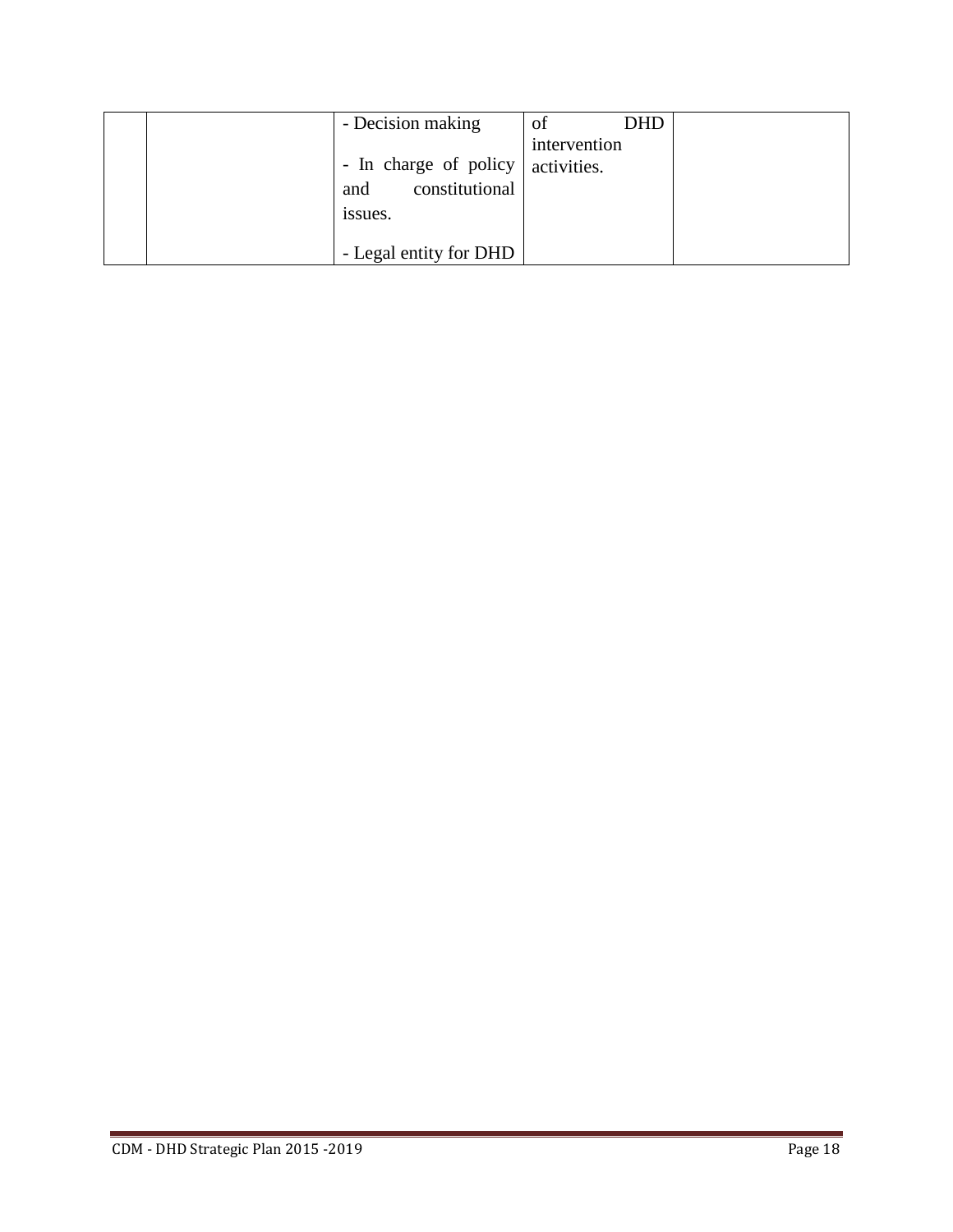| - Decision making      | <b>DHD</b><br>of |
|------------------------|------------------|
|                        | intervention     |
| - In charge of policy  | activities.      |
| constitutional<br>and  |                  |
| issues.                |                  |
|                        |                  |
| - Legal entity for DHD |                  |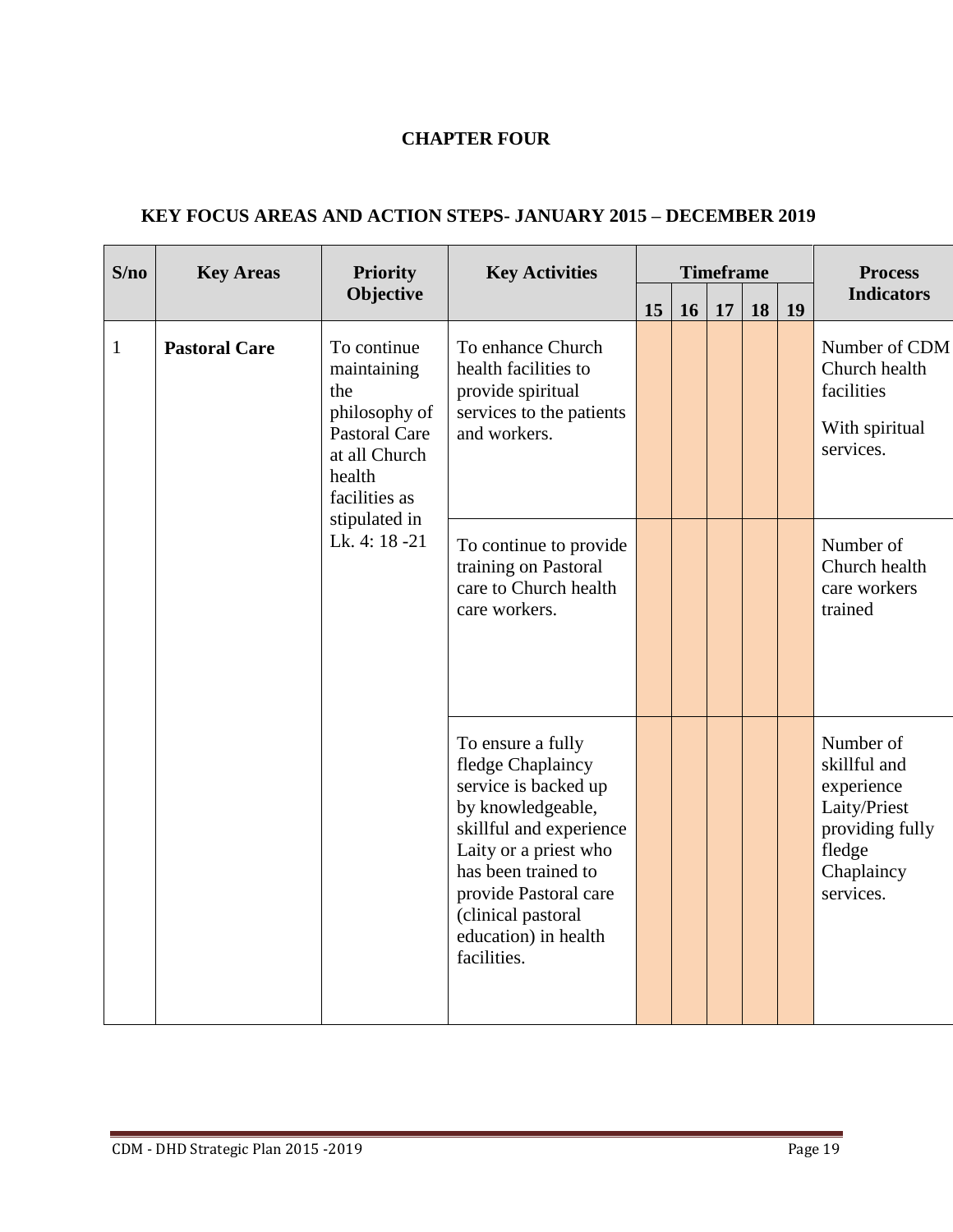# **CHAPTER FOUR**

| <b>KEY FOCUS AREAS AND ACTION STEPS- JANUARY 2015 – DECEMBER 2019</b> |  |  |  |  |
|-----------------------------------------------------------------------|--|--|--|--|
|-----------------------------------------------------------------------|--|--|--|--|

| S/no         | <b>Key Areas</b>               | <b>Priority</b>                                                                                                        | <b>Key Activities</b>                                                                                                                                                                                                                                |    | <b>Timeframe</b> |    |    |                                                       | <b>Process</b>                                                                                                  |
|--------------|--------------------------------|------------------------------------------------------------------------------------------------------------------------|------------------------------------------------------------------------------------------------------------------------------------------------------------------------------------------------------------------------------------------------------|----|------------------|----|----|-------------------------------------------------------|-----------------------------------------------------------------------------------------------------------------|
|              |                                | Objective                                                                                                              |                                                                                                                                                                                                                                                      | 15 | 16               | 17 | 18 | 19                                                    | <b>Indicators</b>                                                                                               |
| $\mathbf{1}$ | <b>Pastoral Care</b>           | To continue<br>maintaining<br>the<br>philosophy of<br><b>Pastoral Care</b><br>at all Church<br>health<br>facilities as | To enhance Church<br>health facilities to<br>provide spiritual<br>services to the patients<br>and workers.                                                                                                                                           |    |                  |    |    |                                                       | Number of CDM<br>Church health<br>facilities<br>With spiritual<br>services.                                     |
|              | stipulated in<br>Lk. 4: 18 -21 | To continue to provide<br>training on Pastoral<br>care to Church health<br>care workers.                               |                                                                                                                                                                                                                                                      |    |                  |    |    | Number of<br>Church health<br>care workers<br>trained |                                                                                                                 |
|              |                                |                                                                                                                        | To ensure a fully<br>fledge Chaplaincy<br>service is backed up<br>by knowledgeable,<br>skillful and experience<br>Laity or a priest who<br>has been trained to<br>provide Pastoral care<br>(clinical pastoral<br>education) in health<br>facilities. |    |                  |    |    |                                                       | Number of<br>skillful and<br>experience<br>Laity/Priest<br>providing fully<br>fledge<br>Chaplaincy<br>services. |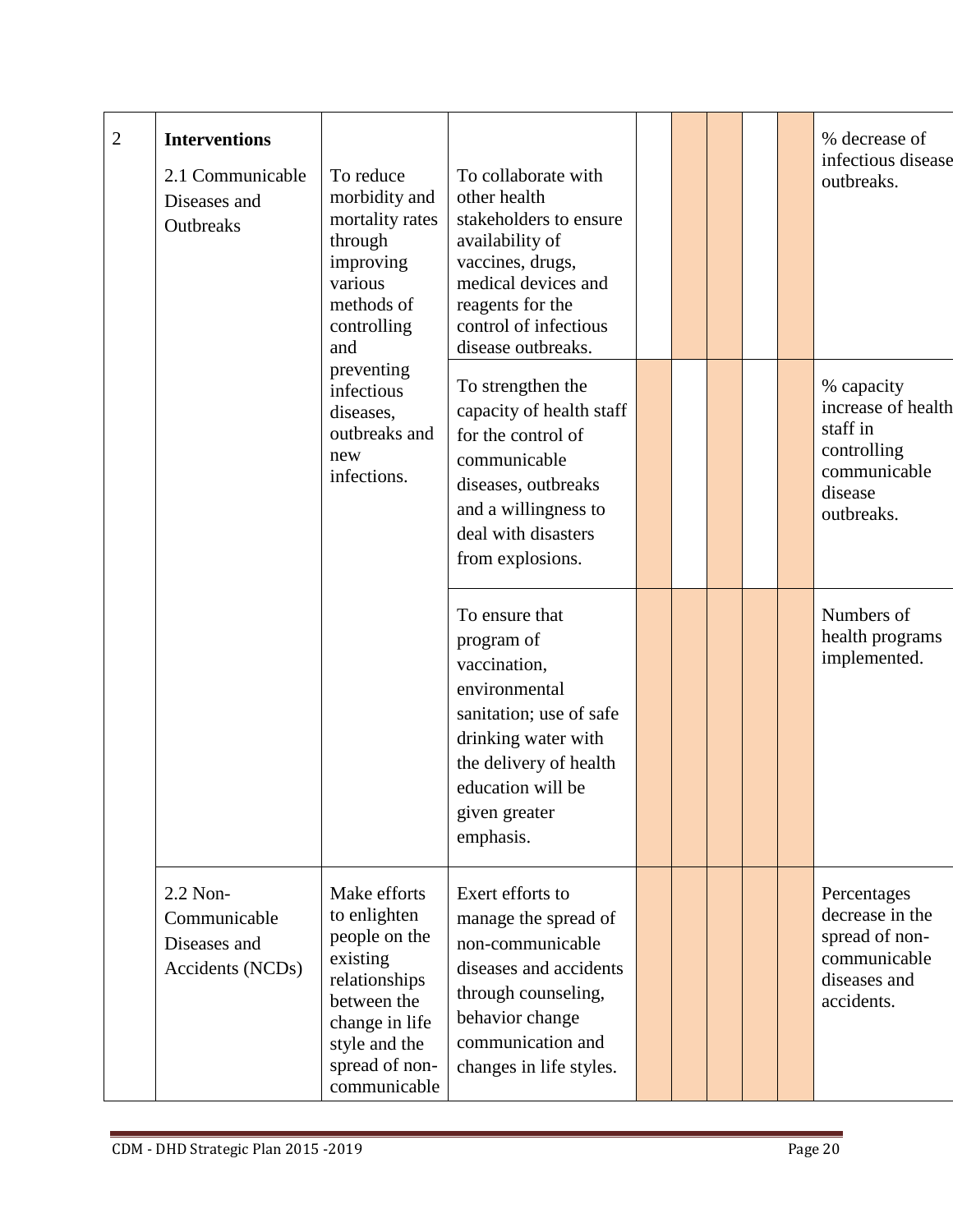| $\overline{2}$ | <b>Interventions</b><br>2.1 Communicable<br>Diseases and<br>Outbreaks | To reduce<br>morbidity and<br>mortality rates<br>through<br>improving<br>various<br>methods of<br>controlling<br>and                                           | To collaborate with<br>other health<br>stakeholders to ensure<br>availability of<br>vaccines, drugs,<br>medical devices and<br>reagents for the<br>control of infectious<br>disease outbreaks. |  |  | % decrease of<br>infectious disease<br>outbreaks.                                                    |
|----------------|-----------------------------------------------------------------------|----------------------------------------------------------------------------------------------------------------------------------------------------------------|------------------------------------------------------------------------------------------------------------------------------------------------------------------------------------------------|--|--|------------------------------------------------------------------------------------------------------|
|                |                                                                       | preventing<br>infectious<br>diseases,<br>outbreaks and<br>new<br>infections.                                                                                   | To strengthen the<br>capacity of health staff<br>for the control of<br>communicable<br>diseases, outbreaks<br>and a willingness to<br>deal with disasters<br>from explosions.                  |  |  | % capacity<br>increase of health<br>staff in<br>controlling<br>communicable<br>disease<br>outbreaks. |
|                |                                                                       |                                                                                                                                                                | To ensure that<br>program of<br>vaccination,<br>environmental<br>sanitation; use of safe<br>drinking water with<br>the delivery of health<br>education will be<br>given greater<br>emphasis.   |  |  | Numbers of<br>health programs<br>implemented.                                                        |
|                | 2.2 Non-<br>Communicable<br>Diseases and<br>Accidents (NCDs)          | Make efforts<br>to enlighten<br>people on the<br>existing<br>relationships<br>between the<br>change in life<br>style and the<br>spread of non-<br>communicable | Exert efforts to<br>manage the spread of<br>non-communicable<br>diseases and accidents<br>through counseling,<br>behavior change<br>communication and<br>changes in life styles.               |  |  | Percentages<br>decrease in the<br>spread of non-<br>communicable<br>diseases and<br>accidents.       |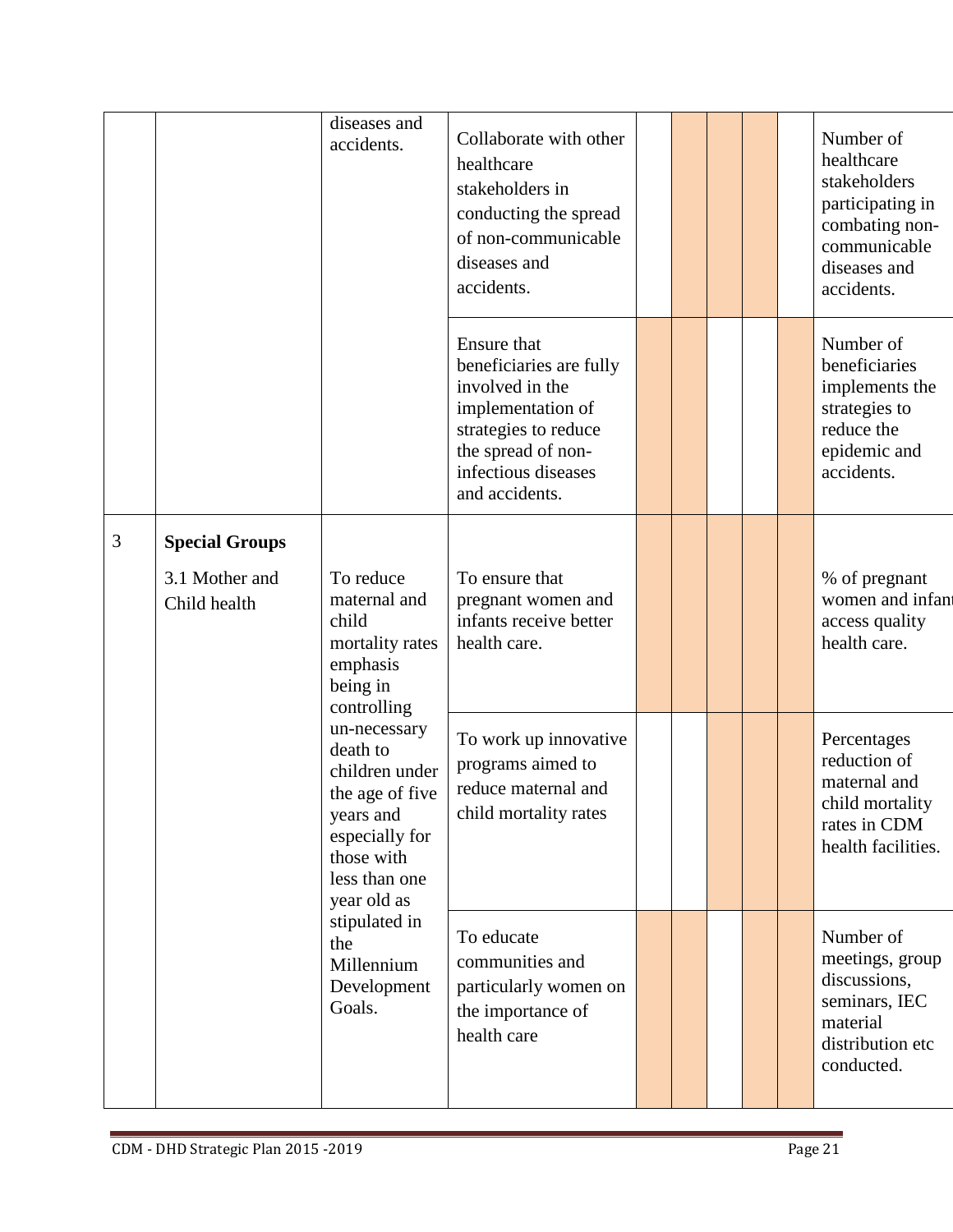|   |                                                         | diseases and<br>accidents.                                                                                                                 | Collaborate with other<br>healthcare<br>stakeholders in<br>conducting the spread<br>of non-communicable<br>diseases and<br>accidents.                                 |  |  | Number of<br>healthcare<br>stakeholders<br>participating in<br>combating non-<br>communicable<br>diseases and<br>accidents. |
|---|---------------------------------------------------------|--------------------------------------------------------------------------------------------------------------------------------------------|-----------------------------------------------------------------------------------------------------------------------------------------------------------------------|--|--|-----------------------------------------------------------------------------------------------------------------------------|
|   |                                                         |                                                                                                                                            | Ensure that<br>beneficiaries are fully<br>involved in the<br>implementation of<br>strategies to reduce<br>the spread of non-<br>infectious diseases<br>and accidents. |  |  | Number of<br>beneficiaries<br>implements the<br>strategies to<br>reduce the<br>epidemic and<br>accidents.                   |
| 3 | <b>Special Groups</b><br>3.1 Mother and<br>Child health | To reduce<br>maternal and<br>child<br>mortality rates<br>emphasis<br>being in<br>controlling                                               | To ensure that<br>pregnant women and<br>infants receive better<br>health care.                                                                                        |  |  | % of pregnant<br>women and infan<br>access quality<br>health care.                                                          |
|   |                                                         | un-necessary<br>death to<br>children under<br>the age of five<br>years and<br>especially for<br>those with<br>less than one<br>year old as | To work up innovative<br>programs aimed to<br>reduce maternal and<br>child mortality rates                                                                            |  |  | Percentages<br>reduction of<br>maternal and<br>child mortality<br>rates in CDM<br>health facilities.                        |
|   |                                                         | stipulated in<br>the<br>Millennium<br>Development<br>Goals.                                                                                | To educate<br>communities and<br>particularly women on<br>the importance of<br>health care                                                                            |  |  | Number of<br>meetings, group<br>discussions,<br>seminars, IEC<br>material<br>distribution etc<br>conducted.                 |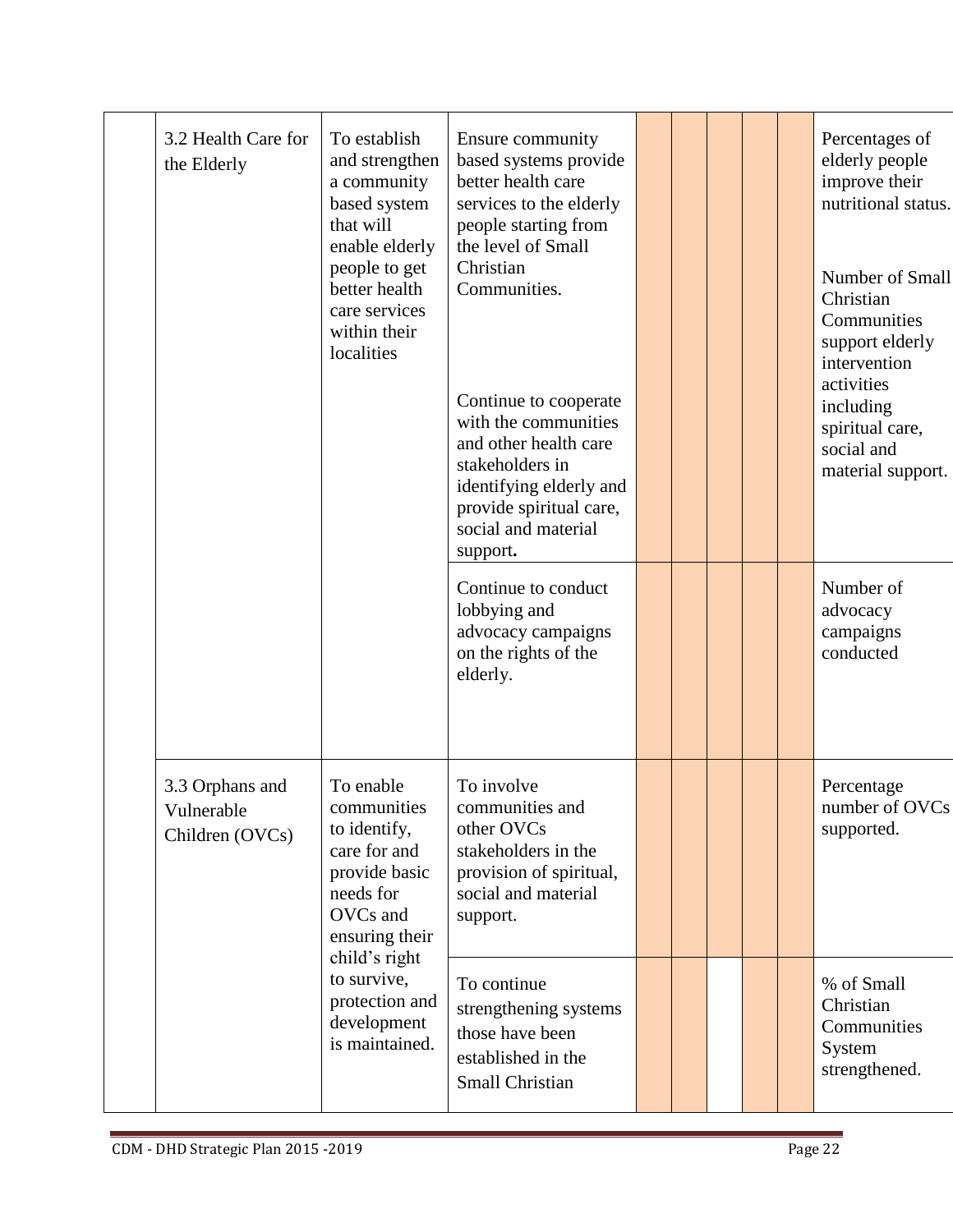|  | 3.2 Health Care for<br>the Elderly                                                                                                                                                                                                                          | To establish<br>and strengthen<br>a community<br>based system<br>that will<br>enable elderly<br>people to get<br>better health<br>care services<br>within their<br>localities | Ensure community<br>based systems provide<br>better health care<br>services to the elderly<br>people starting from<br>the level of Small<br>Christian<br>Communities.<br>Continue to cooperate<br>with the communities<br>and other health care<br>stakeholders in<br>identifying elderly and<br>provide spiritual care,<br>social and material<br>support. |  |                                            | Percentages of<br>elderly people<br>improve their<br>nutritional status.<br>Number of Small<br>Christian<br>Communities<br>support elderly<br>intervention<br>activities<br>including<br>spiritual care,<br>social and<br>material support. |
|--|-------------------------------------------------------------------------------------------------------------------------------------------------------------------------------------------------------------------------------------------------------------|-------------------------------------------------------------------------------------------------------------------------------------------------------------------------------|-------------------------------------------------------------------------------------------------------------------------------------------------------------------------------------------------------------------------------------------------------------------------------------------------------------------------------------------------------------|--|--------------------------------------------|---------------------------------------------------------------------------------------------------------------------------------------------------------------------------------------------------------------------------------------------|
|  |                                                                                                                                                                                                                                                             |                                                                                                                                                                               | Continue to conduct<br>lobbying and<br>advocacy campaigns<br>on the rights of the<br>elderly.                                                                                                                                                                                                                                                               |  |                                            | Number of<br>advocacy<br>campaigns<br>conducted                                                                                                                                                                                             |
|  | To enable<br>3.3 Orphans and<br>communities<br>Vulnerable<br>to identify,<br>Children (OVCs)<br>care for and<br>provide basic<br>needs for<br>OVCs and<br>ensuring their<br>child's right<br>to survive,<br>protection and<br>development<br>is maintained. | To involve<br>communities and<br>other OVCs<br>stakeholders in the<br>provision of spiritual,<br>social and material<br>support.                                              |                                                                                                                                                                                                                                                                                                                                                             |  | Percentage<br>number of OVCs<br>supported. |                                                                                                                                                                                                                                             |
|  |                                                                                                                                                                                                                                                             |                                                                                                                                                                               | To continue<br>strengthening systems<br>those have been<br>established in the<br><b>Small Christian</b>                                                                                                                                                                                                                                                     |  |                                            | % of Small<br>Christian<br>Communities<br>System<br>strengthened.                                                                                                                                                                           |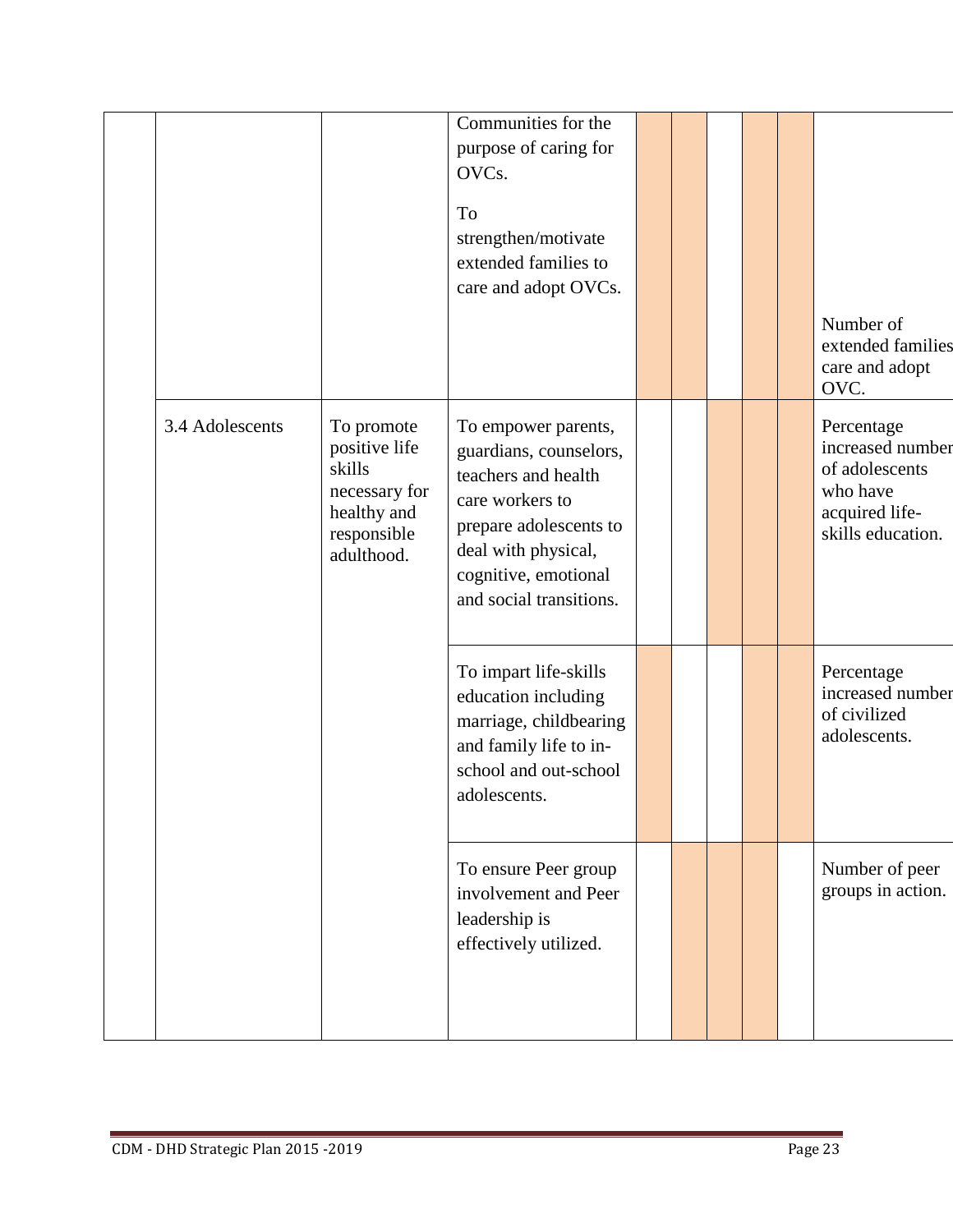|                 |                                                                                                    | Communities for the<br>purpose of caring for<br>OVCs.                                                                                                                                       |  |  |                                                                                                     |
|-----------------|----------------------------------------------------------------------------------------------------|---------------------------------------------------------------------------------------------------------------------------------------------------------------------------------------------|--|--|-----------------------------------------------------------------------------------------------------|
|                 |                                                                                                    | To<br>strengthen/motivate<br>extended families to<br>care and adopt OVCs.                                                                                                                   |  |  | Number of<br>extended families<br>care and adopt<br>OVC.                                            |
| 3.4 Adolescents | To promote<br>positive life<br>skills<br>necessary for<br>healthy and<br>responsible<br>adulthood. | To empower parents,<br>guardians, counselors,<br>teachers and health<br>care workers to<br>prepare adolescents to<br>deal with physical,<br>cognitive, emotional<br>and social transitions. |  |  | Percentage<br>increased number<br>of adolescents<br>who have<br>acquired life-<br>skills education. |
|                 |                                                                                                    | To impart life-skills<br>education including<br>marriage, childbearing<br>and family life to in-<br>school and out-school<br>adolescents.                                                   |  |  | Percentage<br>increased number<br>of civilized<br>adolescents.                                      |
|                 |                                                                                                    | To ensure Peer group<br>involvement and Peer<br>leadership is<br>effectively utilized.                                                                                                      |  |  | Number of peer<br>groups in action.                                                                 |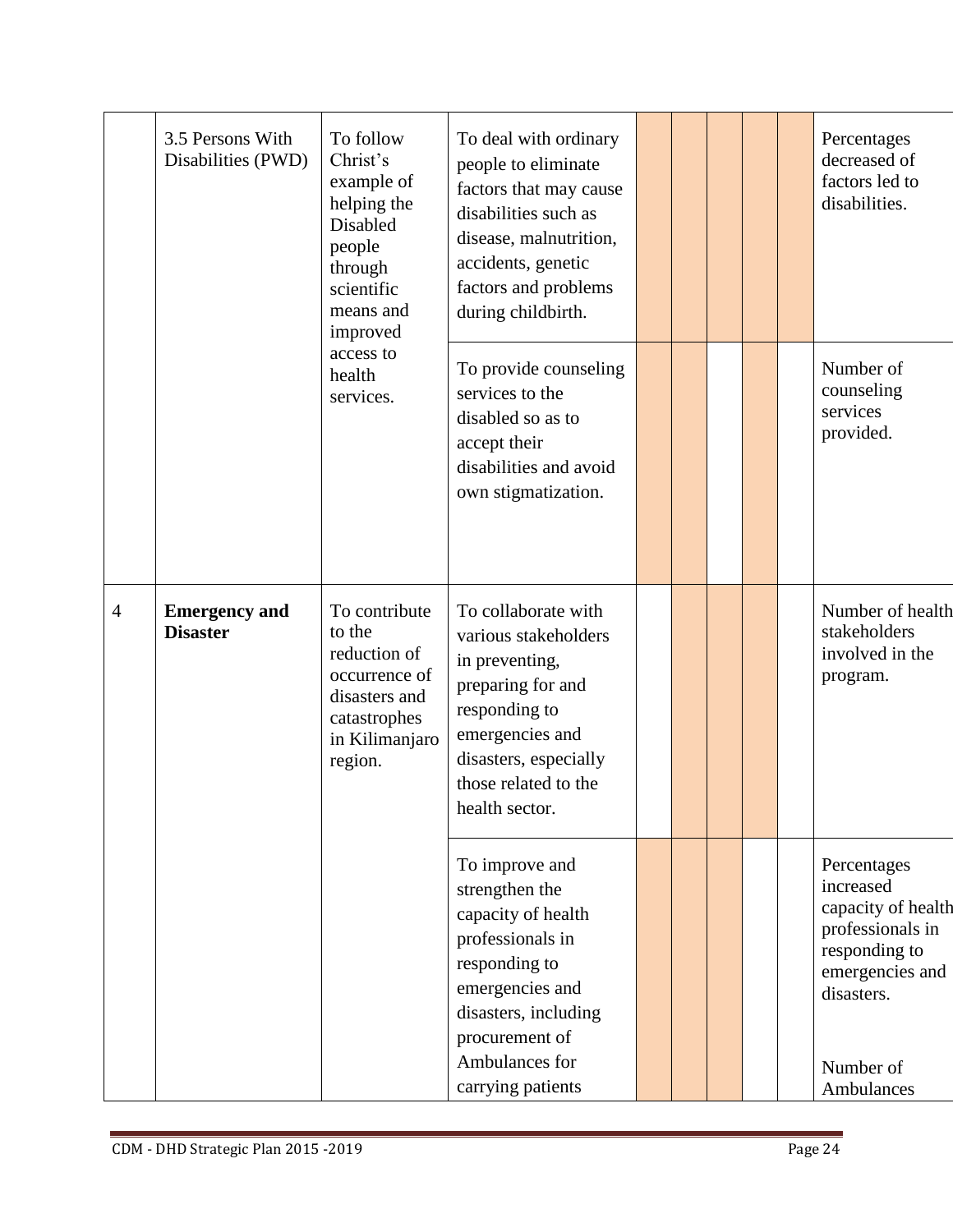|                | 3.5 Persons With<br>Disabilities (PWD)  | To follow<br>Christ's<br>example of<br>helping the<br><b>Disabled</b><br>people<br>through<br>scientific<br>means and<br>improved | To deal with ordinary<br>people to eliminate<br>factors that may cause<br>disabilities such as<br>disease, malnutrition,<br>accidents, genetic<br>factors and problems<br>during childbirth.    |  |  | Percentages<br>decreased of<br>factors led to<br>disabilities.                                                                                  |
|----------------|-----------------------------------------|-----------------------------------------------------------------------------------------------------------------------------------|-------------------------------------------------------------------------------------------------------------------------------------------------------------------------------------------------|--|--|-------------------------------------------------------------------------------------------------------------------------------------------------|
|                |                                         | access to<br>health<br>services.                                                                                                  | To provide counseling<br>services to the<br>disabled so as to<br>accept their<br>disabilities and avoid<br>own stigmatization.                                                                  |  |  | Number of<br>counseling<br>services<br>provided.                                                                                                |
| $\overline{4}$ | <b>Emergency and</b><br><b>Disaster</b> | To contribute<br>to the<br>reduction of<br>occurrence of<br>disasters and<br>catastrophes<br>in Kilimanjaro<br>region.            | To collaborate with<br>various stakeholders<br>in preventing,<br>preparing for and<br>responding to<br>emergencies and<br>disasters, especially<br>those related to the<br>health sector.       |  |  | Number of health<br>stakeholders<br>involved in the<br>program.                                                                                 |
|                |                                         |                                                                                                                                   | To improve and<br>strengthen the<br>capacity of health<br>professionals in<br>responding to<br>emergencies and<br>disasters, including<br>procurement of<br>Ambulances for<br>carrying patients |  |  | Percentages<br>increased<br>capacity of health<br>professionals in<br>responding to<br>emergencies and<br>disasters.<br>Number of<br>Ambulances |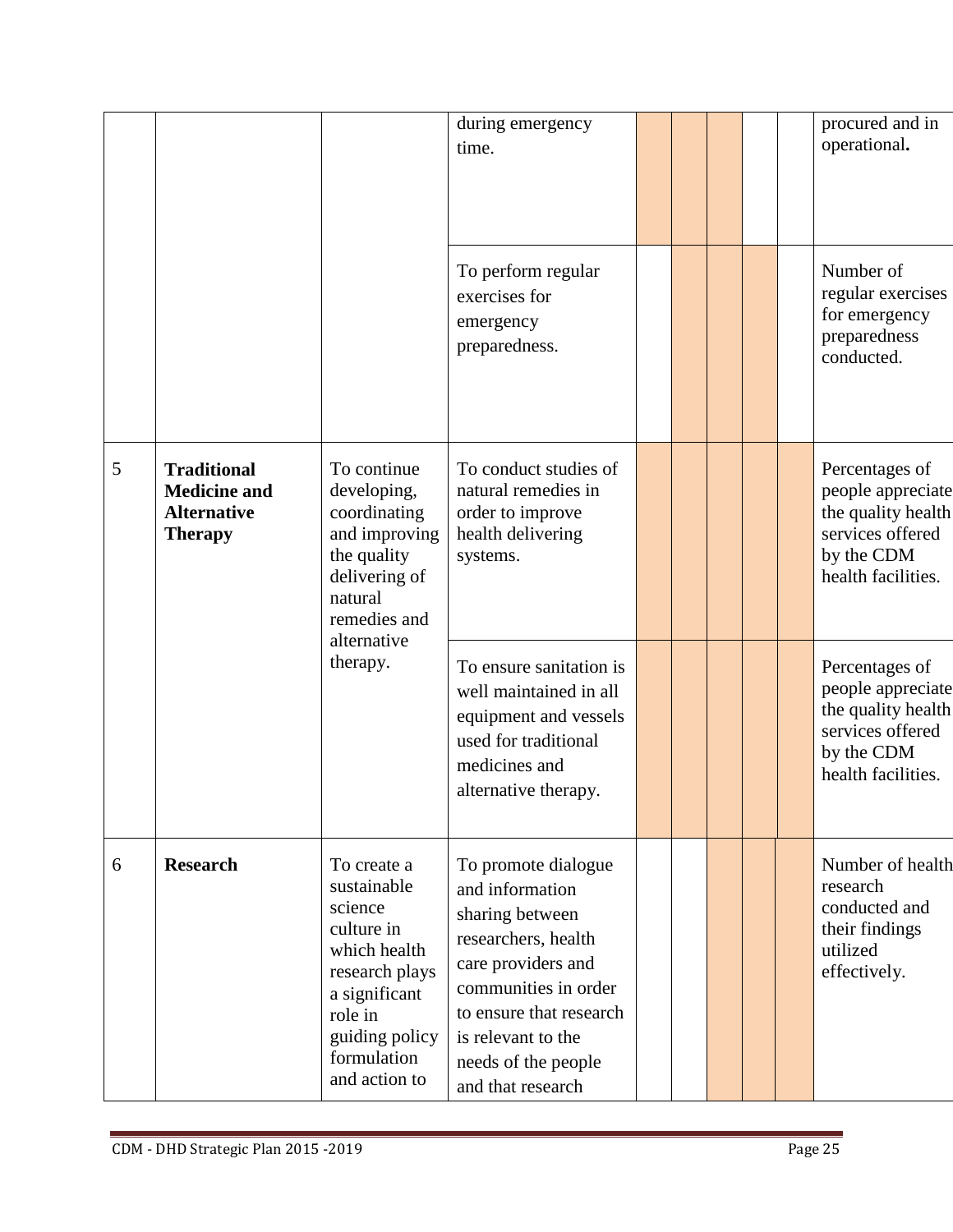|   |                                                                                   |                                                                                                                                                                     | during emergency<br>time.                                                                                                                                                                                                   |  |  | procured and in<br>operational.                                                                                   |
|---|-----------------------------------------------------------------------------------|---------------------------------------------------------------------------------------------------------------------------------------------------------------------|-----------------------------------------------------------------------------------------------------------------------------------------------------------------------------------------------------------------------------|--|--|-------------------------------------------------------------------------------------------------------------------|
|   |                                                                                   |                                                                                                                                                                     | To perform regular<br>exercises for<br>emergency<br>preparedness.                                                                                                                                                           |  |  | Number of<br>regular exercises<br>for emergency<br>preparedness<br>conducted.                                     |
| 5 | <b>Traditional</b><br><b>Medicine and</b><br><b>Alternative</b><br><b>Therapy</b> | To continue<br>developing,<br>coordinating<br>and improving<br>the quality<br>delivering of<br>natural<br>remedies and<br>alternative                               | To conduct studies of<br>natural remedies in<br>order to improve<br>health delivering<br>systems.                                                                                                                           |  |  | Percentages of<br>people appreciate<br>the quality health<br>services offered<br>by the CDM<br>health facilities. |
|   |                                                                                   | therapy.                                                                                                                                                            | To ensure sanitation is<br>well maintained in all<br>equipment and vessels<br>used for traditional<br>medicines and<br>alternative therapy.                                                                                 |  |  | Percentages of<br>people appreciate<br>the quality health<br>services offered<br>by the CDM<br>health facilities. |
| 6 | <b>Research</b>                                                                   | To create a<br>sustainable<br>science<br>culture in<br>which health<br>research plays<br>a significant<br>role in<br>guiding policy<br>formulation<br>and action to | To promote dialogue<br>and information<br>sharing between<br>researchers, health<br>care providers and<br>communities in order<br>to ensure that research<br>is relevant to the<br>needs of the people<br>and that research |  |  | Number of health<br>research<br>conducted and<br>their findings<br>utilized<br>effectively.                       |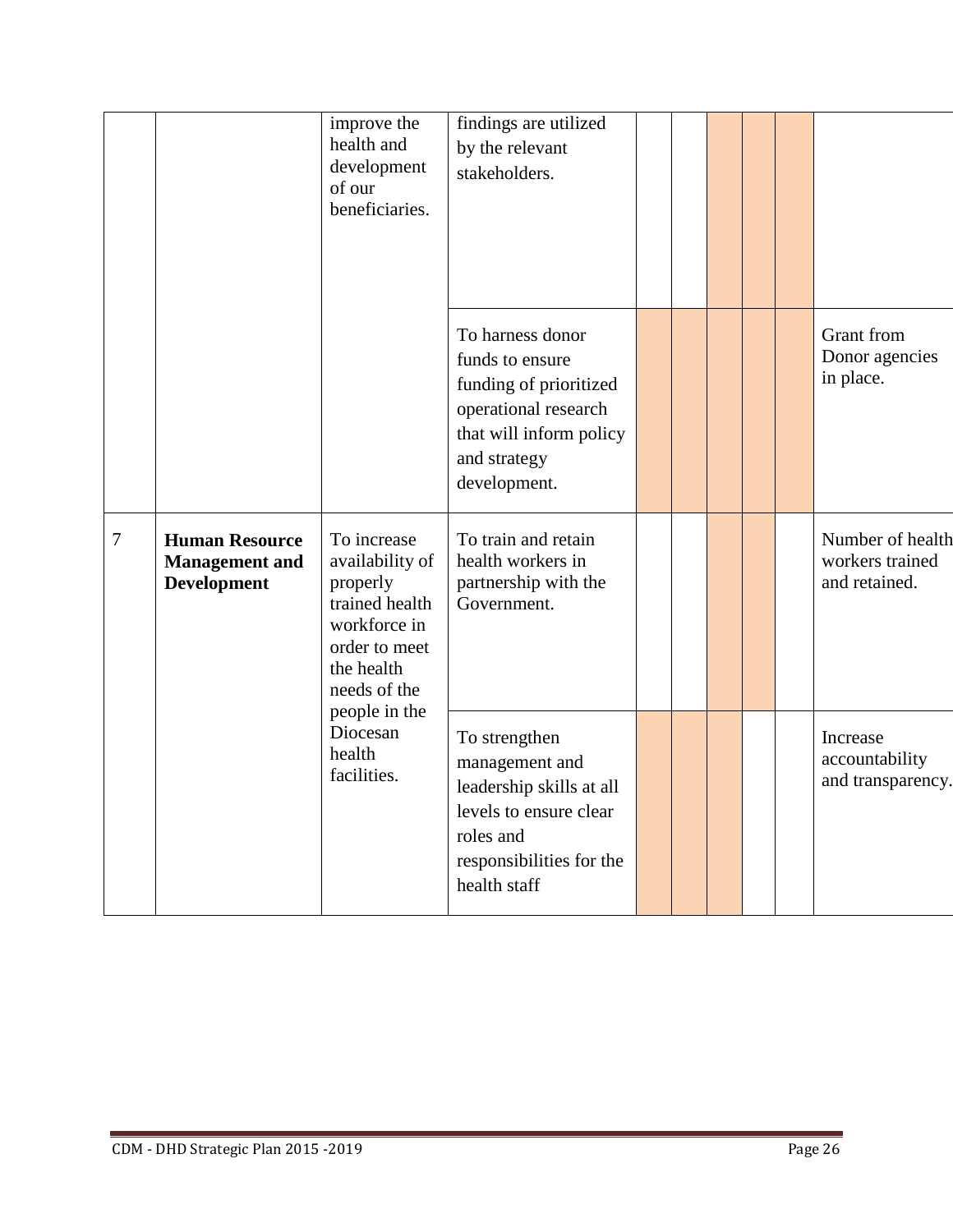|                |                                                                      | improve the<br>health and<br>development<br>of our<br>beneficiaries.                                                        | findings are utilized<br>by the relevant<br>stakeholders.                                                                                        |  |  |                                                      |
|----------------|----------------------------------------------------------------------|-----------------------------------------------------------------------------------------------------------------------------|--------------------------------------------------------------------------------------------------------------------------------------------------|--|--|------------------------------------------------------|
|                |                                                                      |                                                                                                                             | To harness donor<br>funds to ensure<br>funding of prioritized<br>operational research<br>that will inform policy<br>and strategy<br>development. |  |  | Grant from<br>Donor agencies<br>in place.            |
| $\overline{7}$ | <b>Human Resource</b><br><b>Management</b> and<br><b>Development</b> | To increase<br>availability of<br>properly<br>trained health<br>workforce in<br>order to meet<br>the health<br>needs of the | To train and retain<br>health workers in<br>partnership with the<br>Government.                                                                  |  |  | Number of health<br>workers trained<br>and retained. |
|                |                                                                      | people in the<br>Diocesan<br>health<br>facilities.                                                                          | To strengthen<br>management and<br>leadership skills at all<br>levels to ensure clear<br>roles and<br>responsibilities for the<br>health staff   |  |  | Increase<br>accountability<br>and transparency.      |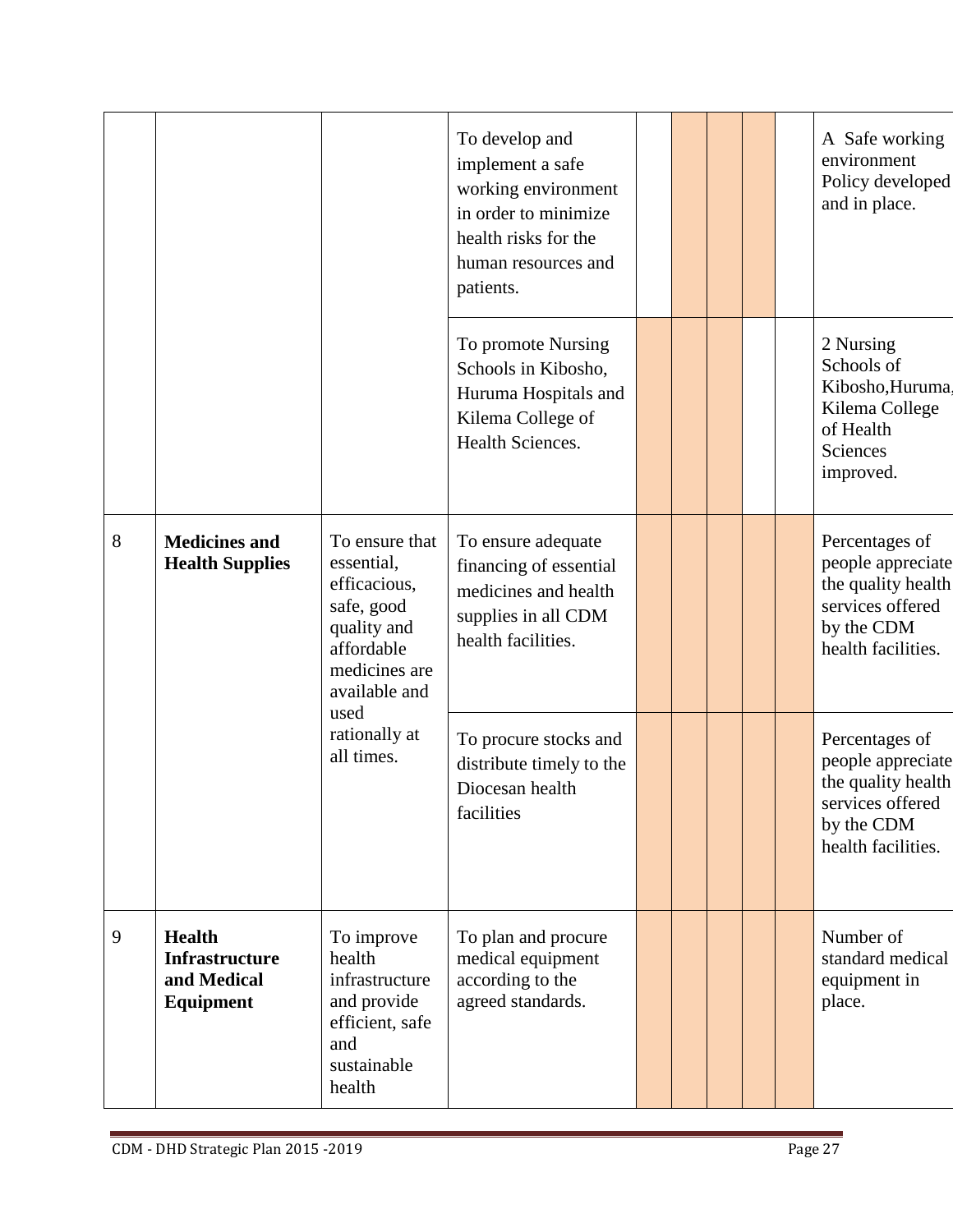|   |                                                                    |                                                                                                                           | To develop and<br>implement a safe<br>working environment<br>in order to minimize<br>health risks for the<br>human resources and<br>patients. |  |  | A Safe working<br>environment<br>Policy developed<br>and in place.                                                |
|---|--------------------------------------------------------------------|---------------------------------------------------------------------------------------------------------------------------|-----------------------------------------------------------------------------------------------------------------------------------------------|--|--|-------------------------------------------------------------------------------------------------------------------|
|   |                                                                    |                                                                                                                           | To promote Nursing<br>Schools in Kibosho,<br>Huruma Hospitals and<br>Kilema College of<br>Health Sciences.                                    |  |  | 2 Nursing<br>Schools of<br>Kibosho, Huruma.<br>Kilema College<br>of Health<br>Sciences<br>improved.               |
| 8 | <b>Medicines and</b><br><b>Health Supplies</b>                     | To ensure that<br>essential,<br>efficacious,<br>safe, good<br>quality and<br>affordable<br>medicines are<br>available and | To ensure adequate<br>financing of essential<br>medicines and health<br>supplies in all CDM<br>health facilities.                             |  |  | Percentages of<br>people appreciate<br>the quality health<br>services offered<br>by the CDM<br>health facilities. |
|   |                                                                    | used<br>rationally at<br>all times.                                                                                       | To procure stocks and<br>distribute timely to the<br>Diocesan health<br>facilities                                                            |  |  | Percentages of<br>people appreciate<br>the quality health<br>services offered<br>by the CDM<br>health facilities. |
| 9 | <b>Health</b><br><b>Infrastructure</b><br>and Medical<br>Equipment | To improve<br>health<br>infrastructure<br>and provide<br>efficient, safe<br>and<br>sustainable<br>health                  | To plan and procure<br>medical equipment<br>according to the<br>agreed standards.                                                             |  |  | Number of<br>standard medical<br>equipment in<br>place.                                                           |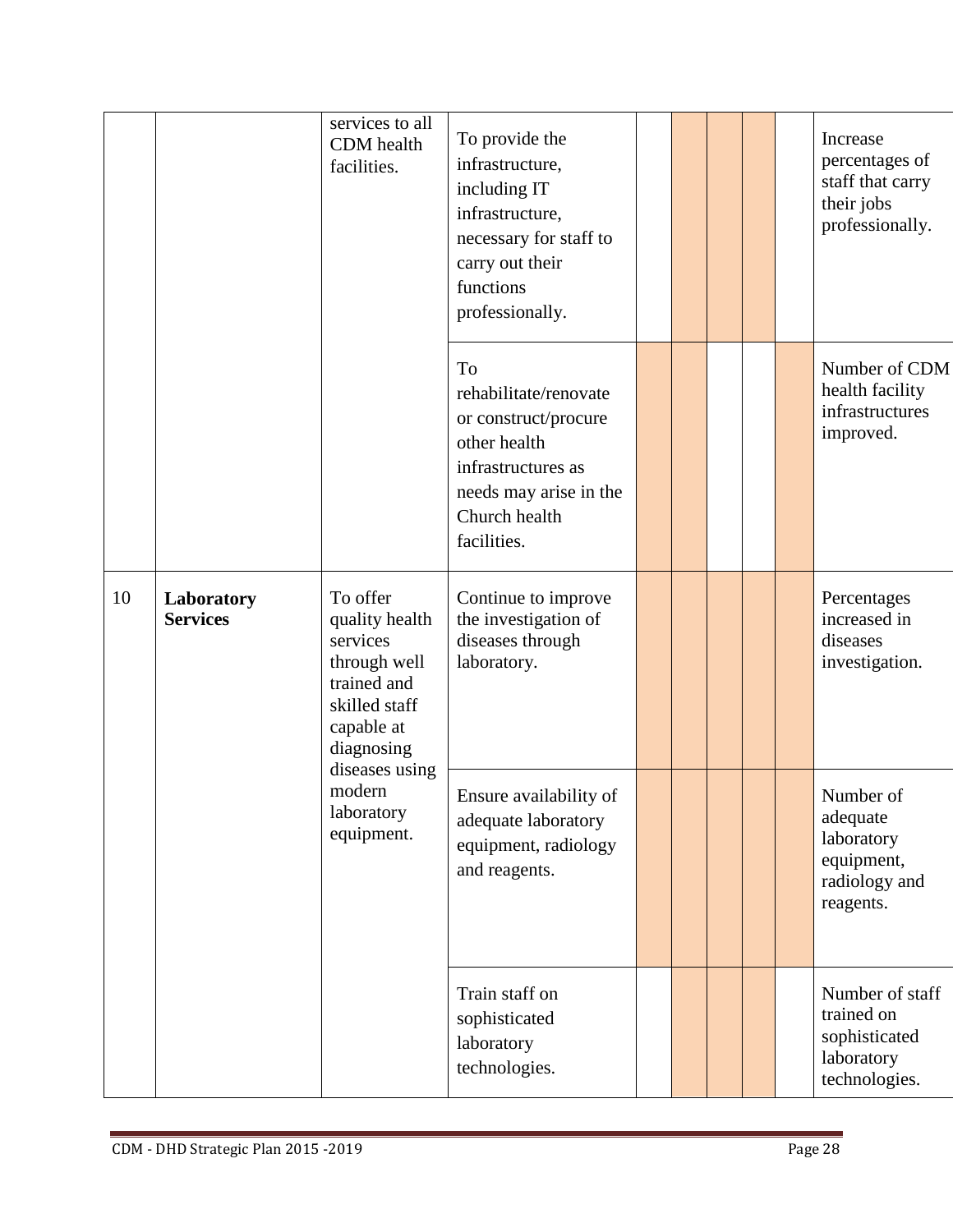|    |                               | services to all<br>CDM health<br>facilities.                                                                       | To provide the<br>infrastructure,<br>including IT<br>infrastructure,<br>necessary for staff to<br>carry out their<br>functions<br>professionally.   |  |  | Increase<br>percentages of<br>staff that carry<br>their jobs<br>professionally. |
|----|-------------------------------|--------------------------------------------------------------------------------------------------------------------|-----------------------------------------------------------------------------------------------------------------------------------------------------|--|--|---------------------------------------------------------------------------------|
|    |                               |                                                                                                                    | To<br>rehabilitate/renovate<br>or construct/procure<br>other health<br>infrastructures as<br>needs may arise in the<br>Church health<br>facilities. |  |  | Number of CDM<br>health facility<br>infrastructures<br>improved.                |
| 10 | Laboratory<br><b>Services</b> | To offer<br>quality health<br>services<br>through well<br>trained and<br>skilled staff<br>capable at<br>diagnosing | Continue to improve<br>the investigation of<br>diseases through<br>laboratory.                                                                      |  |  | Percentages<br>increased in<br>diseases<br>investigation.                       |
|    |                               | diseases using<br>modern<br>laboratory<br>equipment.                                                               | Ensure availability of<br>adequate laboratory<br>equipment, radiology<br>and reagents.                                                              |  |  | Number of<br>adequate<br>laboratory<br>equipment,<br>radiology and<br>reagents. |
|    |                               |                                                                                                                    | Train staff on<br>sophisticated<br>laboratory<br>technologies.                                                                                      |  |  | Number of staff<br>trained on<br>sophisticated<br>laboratory<br>technologies.   |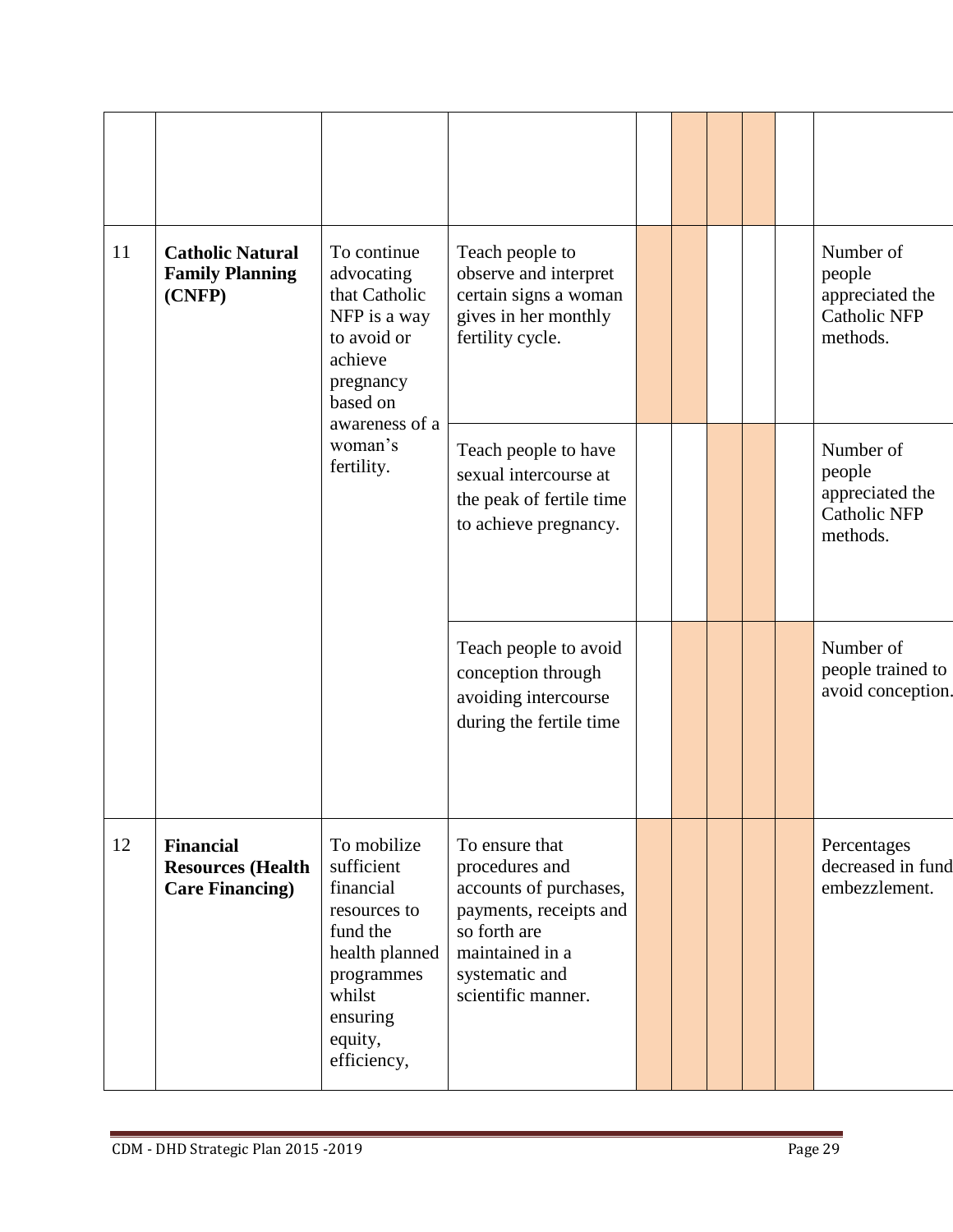| 11 | <b>Catholic Natural</b><br><b>Family Planning</b><br>(CNFP)            | To continue<br>advocating<br>that Catholic<br>NFP is a way<br>to avoid or<br>achieve<br>pregnancy<br>based on                                      | Teach people to<br>observe and interpret<br>certain signs a woman<br>gives in her monthly<br>fertility cycle.                                                   |  |  | Number of<br>people<br>appreciated the<br><b>Catholic NFP</b><br>methods. |
|----|------------------------------------------------------------------------|----------------------------------------------------------------------------------------------------------------------------------------------------|-----------------------------------------------------------------------------------------------------------------------------------------------------------------|--|--|---------------------------------------------------------------------------|
|    |                                                                        | awareness of a<br>woman's<br>fertility.                                                                                                            | Teach people to have<br>sexual intercourse at<br>the peak of fertile time<br>to achieve pregnancy.                                                              |  |  | Number of<br>people<br>appreciated the<br><b>Catholic NFP</b><br>methods. |
|    |                                                                        |                                                                                                                                                    | Teach people to avoid<br>conception through<br>avoiding intercourse<br>during the fertile time                                                                  |  |  | Number of<br>people trained to<br>avoid conception.                       |
| 12 | <b>Financial</b><br><b>Resources (Health</b><br><b>Care Financing)</b> | To mobilize<br>sufficient<br>financial<br>resources to<br>fund the<br>health planned<br>programmes<br>whilst<br>ensuring<br>equity,<br>efficiency, | To ensure that<br>procedures and<br>accounts of purchases,<br>payments, receipts and<br>so forth are<br>maintained in a<br>systematic and<br>scientific manner. |  |  | Percentages<br>decreased in fund<br>embezzlement.                         |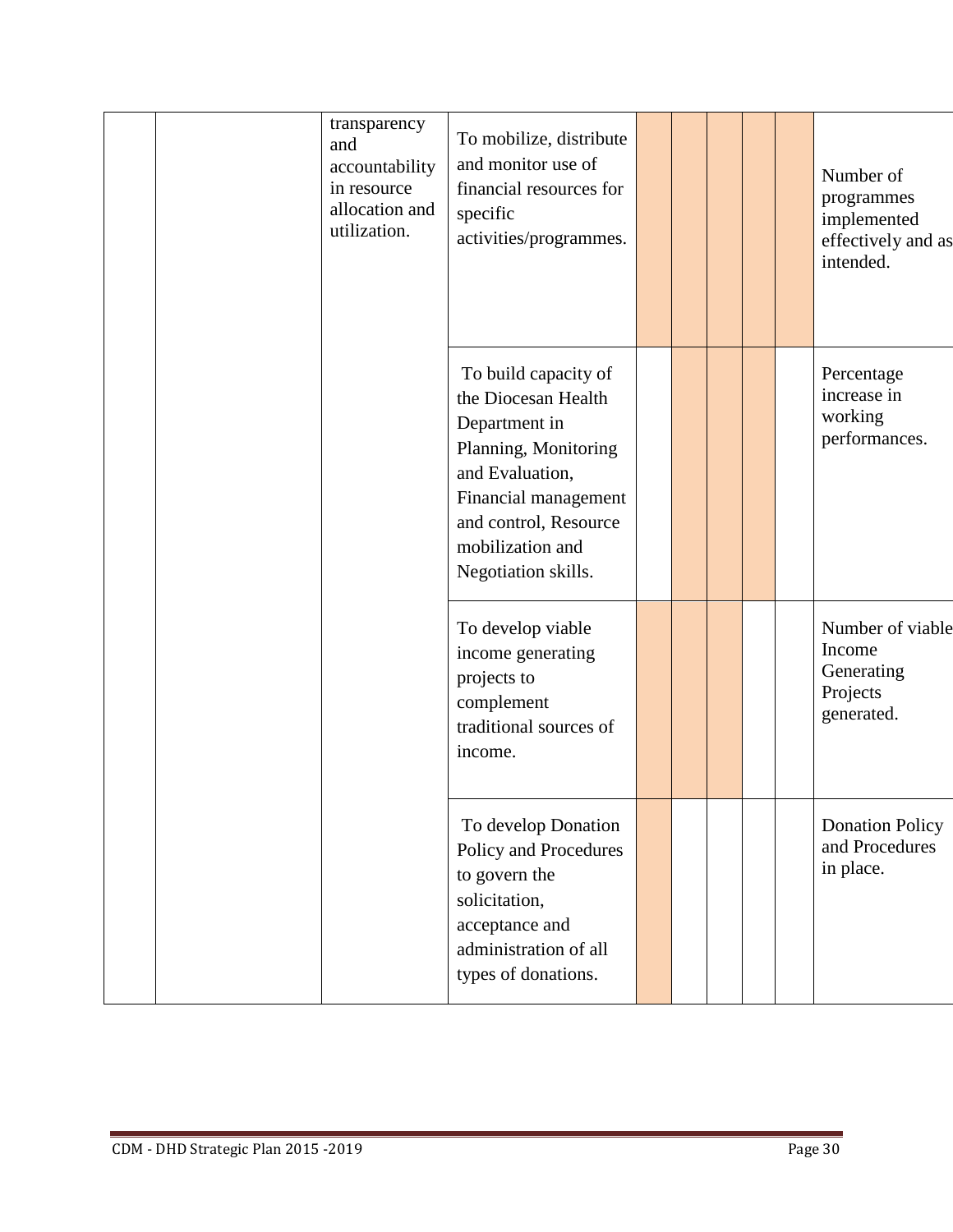| transparency<br>and<br>accountability<br>in resource<br>allocation and<br>utilization. | To mobilize, distribute<br>and monitor use of<br>financial resources for<br>specific<br>activities/programmes.                                                                                      |  |  | Number of<br>programmes<br>implemented<br>effectively and as<br>intended. |
|----------------------------------------------------------------------------------------|-----------------------------------------------------------------------------------------------------------------------------------------------------------------------------------------------------|--|--|---------------------------------------------------------------------------|
|                                                                                        | To build capacity of<br>the Diocesan Health<br>Department in<br>Planning, Monitoring<br>and Evaluation,<br>Financial management<br>and control, Resource<br>mobilization and<br>Negotiation skills. |  |  | Percentage<br>increase in<br>working<br>performances.                     |
|                                                                                        | To develop viable<br>income generating<br>projects to<br>complement<br>traditional sources of<br>income.                                                                                            |  |  | Number of viable<br>Income<br>Generating<br>Projects<br>generated.        |
|                                                                                        | To develop Donation<br>Policy and Procedures<br>to govern the<br>solicitation,<br>acceptance and<br>administration of all<br>types of donations.                                                    |  |  | <b>Donation Policy</b><br>and Procedures<br>in place.                     |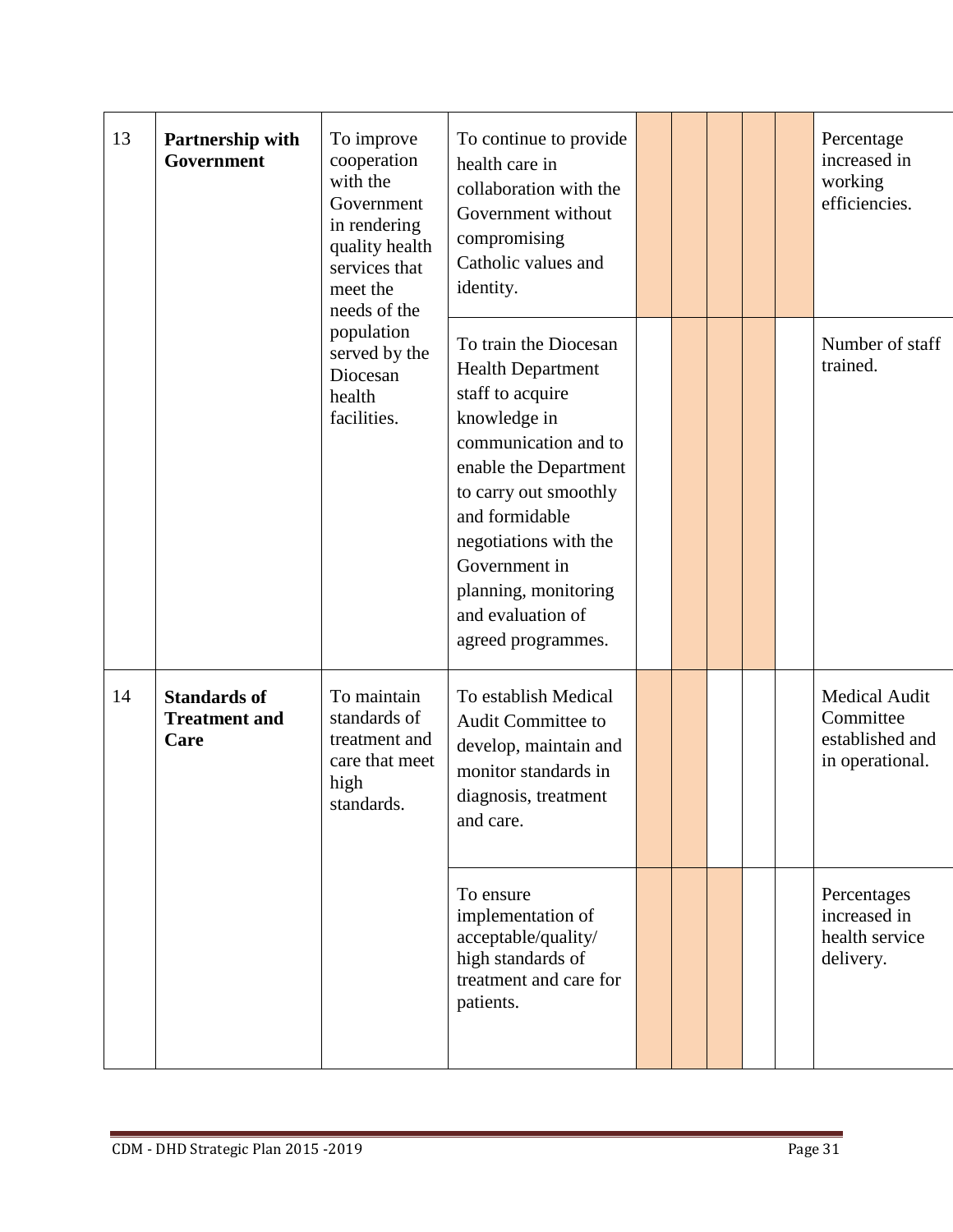| 13 | Partnership with<br>Government                      | To improve<br>cooperation<br>with the<br>Government<br>in rendering<br>quality health<br>services that<br>meet the | To continue to provide<br>health care in<br>collaboration with the<br>Government without<br>compromising<br>Catholic values and<br>identity.                                                                                                                                                   |  |  | Percentage<br>increased in<br>working<br>efficiencies.           |
|----|-----------------------------------------------------|--------------------------------------------------------------------------------------------------------------------|------------------------------------------------------------------------------------------------------------------------------------------------------------------------------------------------------------------------------------------------------------------------------------------------|--|--|------------------------------------------------------------------|
|    |                                                     | needs of the<br>population<br>served by the<br>Diocesan<br>health<br>facilities.                                   | To train the Diocesan<br><b>Health Department</b><br>staff to acquire<br>knowledge in<br>communication and to<br>enable the Department<br>to carry out smoothly<br>and formidable<br>negotiations with the<br>Government in<br>planning, monitoring<br>and evaluation of<br>agreed programmes. |  |  | Number of staff<br>trained.                                      |
| 14 | <b>Standards of</b><br><b>Treatment and</b><br>Care | To maintain<br>standards of<br>treatment and<br>care that meet<br>high<br>standards.                               | To establish Medical<br><b>Audit Committee to</b><br>develop, maintain and<br>monitor standards in<br>diagnosis, treatment<br>and care.                                                                                                                                                        |  |  | Medical Audit<br>Committee<br>established and<br>in operational. |
|    |                                                     |                                                                                                                    | To ensure<br>implementation of<br>acceptable/quality/<br>high standards of<br>treatment and care for<br>patients.                                                                                                                                                                              |  |  | Percentages<br>increased in<br>health service<br>delivery.       |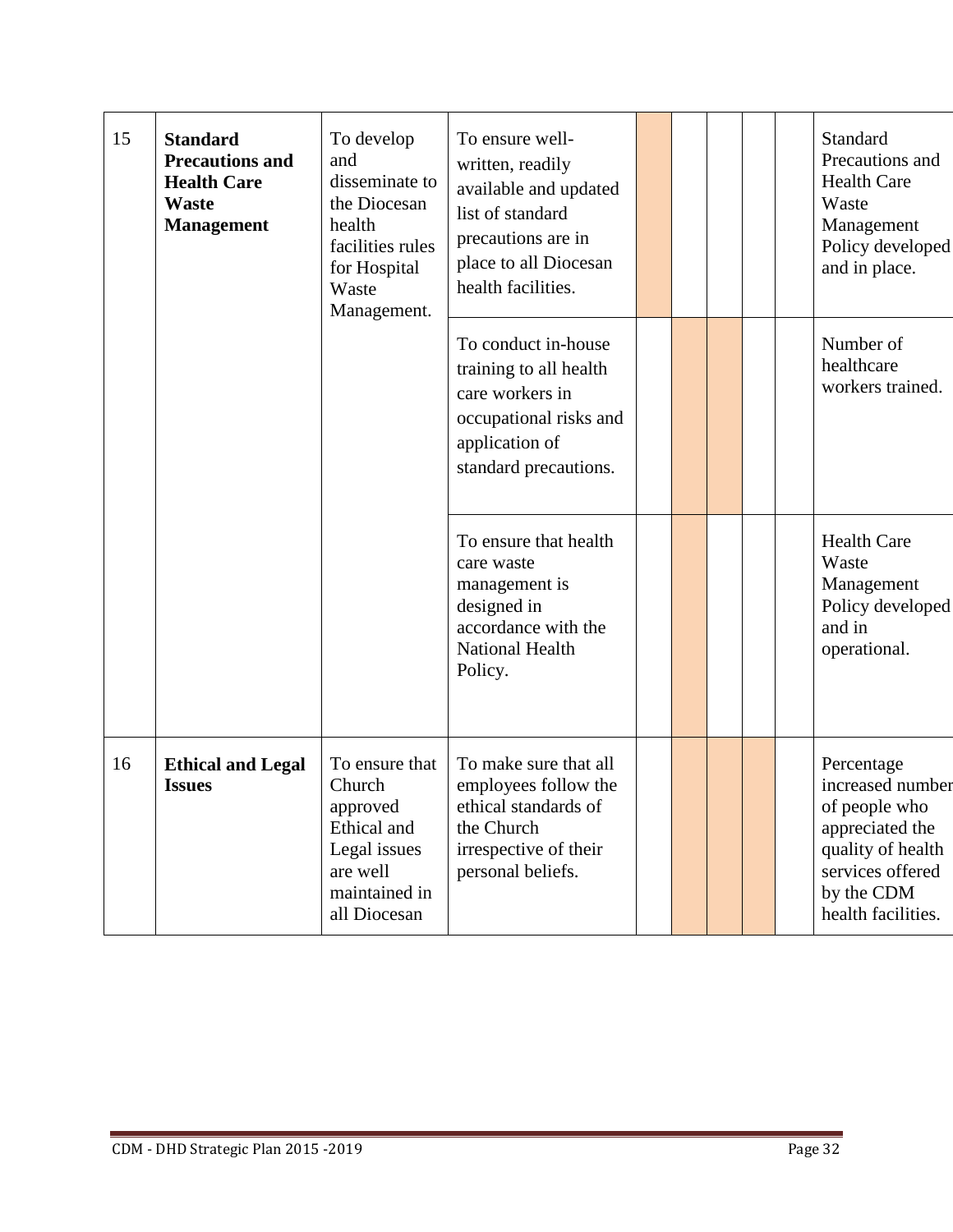| 15 | <b>Standard</b><br><b>Precautions and</b><br><b>Health Care</b><br><b>Waste</b><br><b>Management</b> | To develop<br>and<br>disseminate to<br>the Diocesan<br>health<br>facilities rules<br>for Hospital<br>Waste<br>Management. | To ensure well-<br>written, readily<br>available and updated<br>list of standard<br>precautions are in<br>place to all Diocesan<br>health facilities. |  |  | Standard<br>Precautions and<br><b>Health Care</b><br>Waste<br>Management<br>Policy developed<br>and in place.                                   |
|----|------------------------------------------------------------------------------------------------------|---------------------------------------------------------------------------------------------------------------------------|-------------------------------------------------------------------------------------------------------------------------------------------------------|--|--|-------------------------------------------------------------------------------------------------------------------------------------------------|
|    |                                                                                                      |                                                                                                                           | To conduct in-house<br>training to all health<br>care workers in<br>occupational risks and<br>application of<br>standard precautions.                 |  |  | Number of<br>healthcare<br>workers trained.                                                                                                     |
|    |                                                                                                      |                                                                                                                           | To ensure that health<br>care waste<br>management is<br>designed in<br>accordance with the<br><b>National Health</b><br>Policy.                       |  |  | <b>Health Care</b><br>Waste<br>Management<br>Policy developed<br>and in<br>operational.                                                         |
| 16 | <b>Ethical and Legal</b><br><b>Issues</b>                                                            | To ensure that<br>Church<br>approved<br>Ethical and<br>Legal issues<br>are well<br>maintained in<br>all Diocesan          | To make sure that all<br>employees follow the<br>ethical standards of<br>the Church<br>irrespective of their<br>personal beliefs.                     |  |  | Percentage<br>increased number<br>of people who<br>appreciated the<br>quality of health<br>services offered<br>by the CDM<br>health facilities. |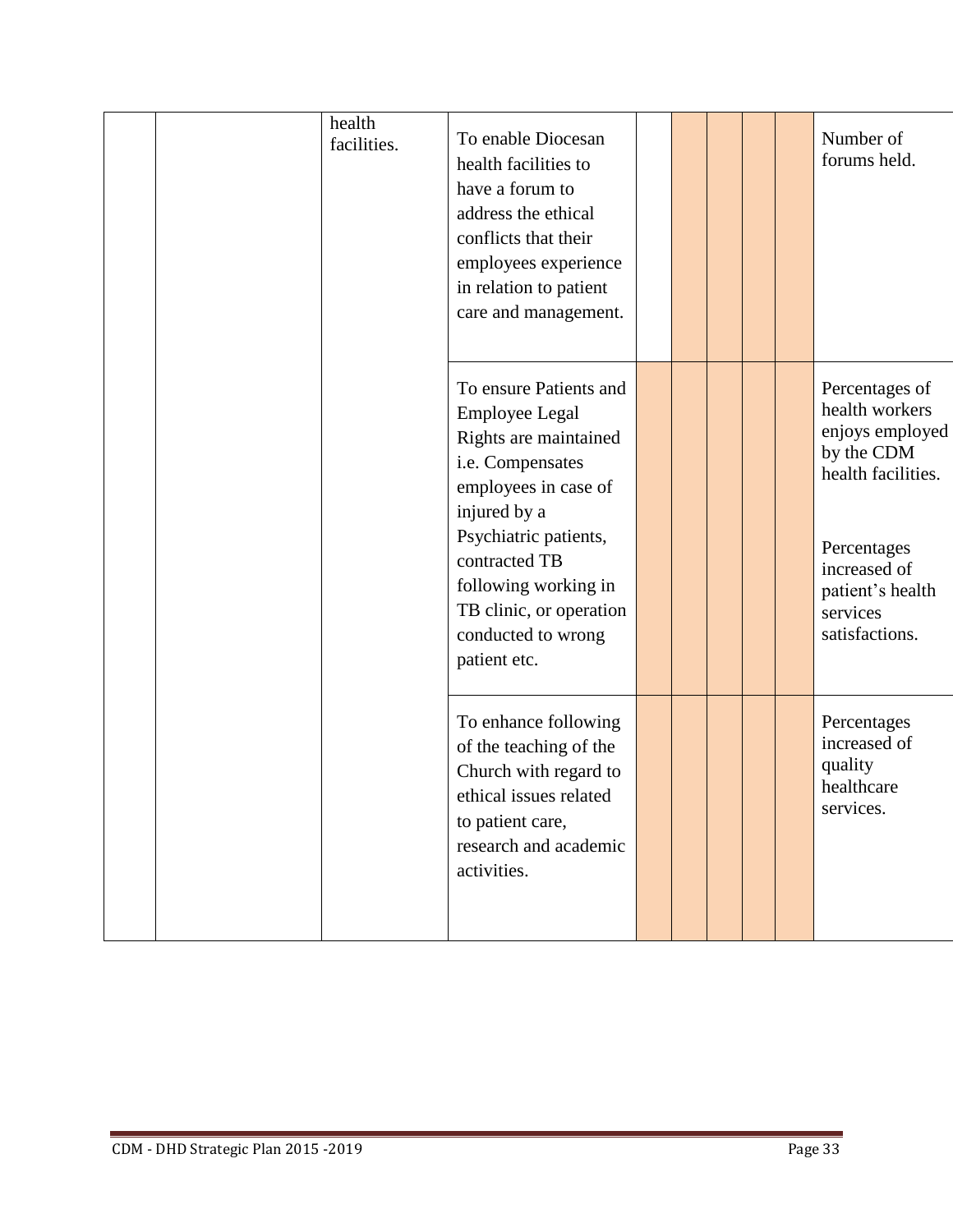| health<br>facilities. | To enable Diocesan<br>health facilities to<br>have a forum to<br>address the ethical<br>conflicts that their<br>employees experience<br>in relation to patient<br>care and management.                                                                                  |  |  | Number of<br>forums held.                                                                                                                                                |
|-----------------------|-------------------------------------------------------------------------------------------------------------------------------------------------------------------------------------------------------------------------------------------------------------------------|--|--|--------------------------------------------------------------------------------------------------------------------------------------------------------------------------|
|                       | To ensure Patients and<br><b>Employee Legal</b><br>Rights are maintained<br>i.e. Compensates<br>employees in case of<br>injured by a<br>Psychiatric patients,<br>contracted TB<br>following working in<br>TB clinic, or operation<br>conducted to wrong<br>patient etc. |  |  | Percentages of<br>health workers<br>enjoys employed<br>by the CDM<br>health facilities.<br>Percentages<br>increased of<br>patient's health<br>services<br>satisfactions. |
|                       | To enhance following<br>of the teaching of the<br>Church with regard to<br>ethical issues related<br>to patient care,<br>research and academic<br>activities.                                                                                                           |  |  | Percentages<br>increased of<br>quality<br>healthcare<br>services.                                                                                                        |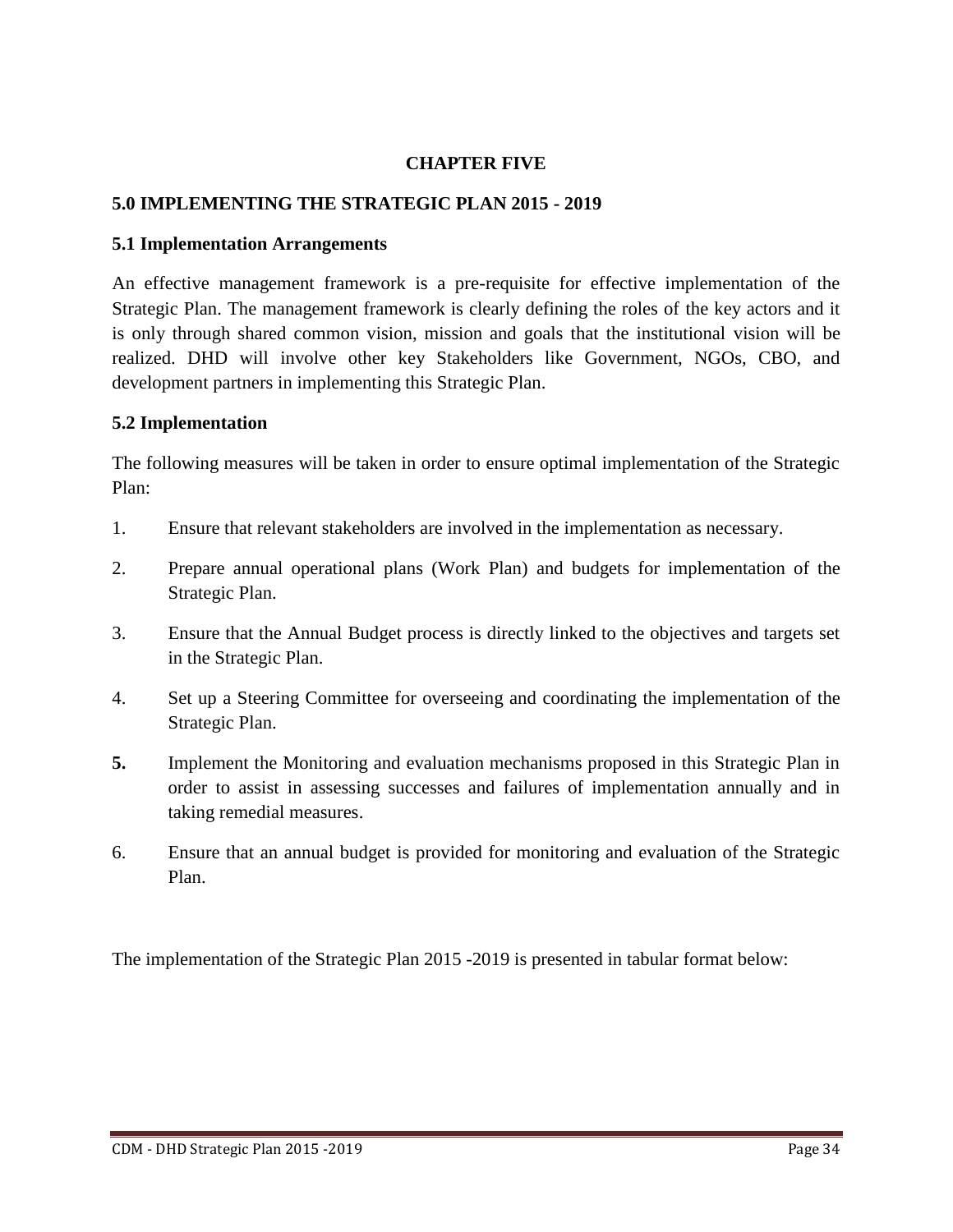#### **CHAPTER FIVE**

#### **5.0 IMPLEMENTING THE STRATEGIC PLAN 2015 - 2019**

#### **5.1 Implementation Arrangements**

An effective management framework is a pre-requisite for effective implementation of the Strategic Plan. The management framework is clearly defining the roles of the key actors and it is only through shared common vision, mission and goals that the institutional vision will be realized. DHD will involve other key Stakeholders like Government, NGOs, CBO, and development partners in implementing this Strategic Plan.

#### **5.2 Implementation**

The following measures will be taken in order to ensure optimal implementation of the Strategic Plan:

- 1. Ensure that relevant stakeholders are involved in the implementation as necessary.
- 2. Prepare annual operational plans (Work Plan) and budgets for implementation of the Strategic Plan.
- 3. Ensure that the Annual Budget process is directly linked to the objectives and targets set in the Strategic Plan.
- 4. Set up a Steering Committee for overseeing and coordinating the implementation of the Strategic Plan.
- **5.** Implement the Monitoring and evaluation mechanisms proposed in this Strategic Plan in order to assist in assessing successes and failures of implementation annually and in taking remedial measures.
- 6. Ensure that an annual budget is provided for monitoring and evaluation of the Strategic Plan.

The implementation of the Strategic Plan 2015 -2019 is presented in tabular format below: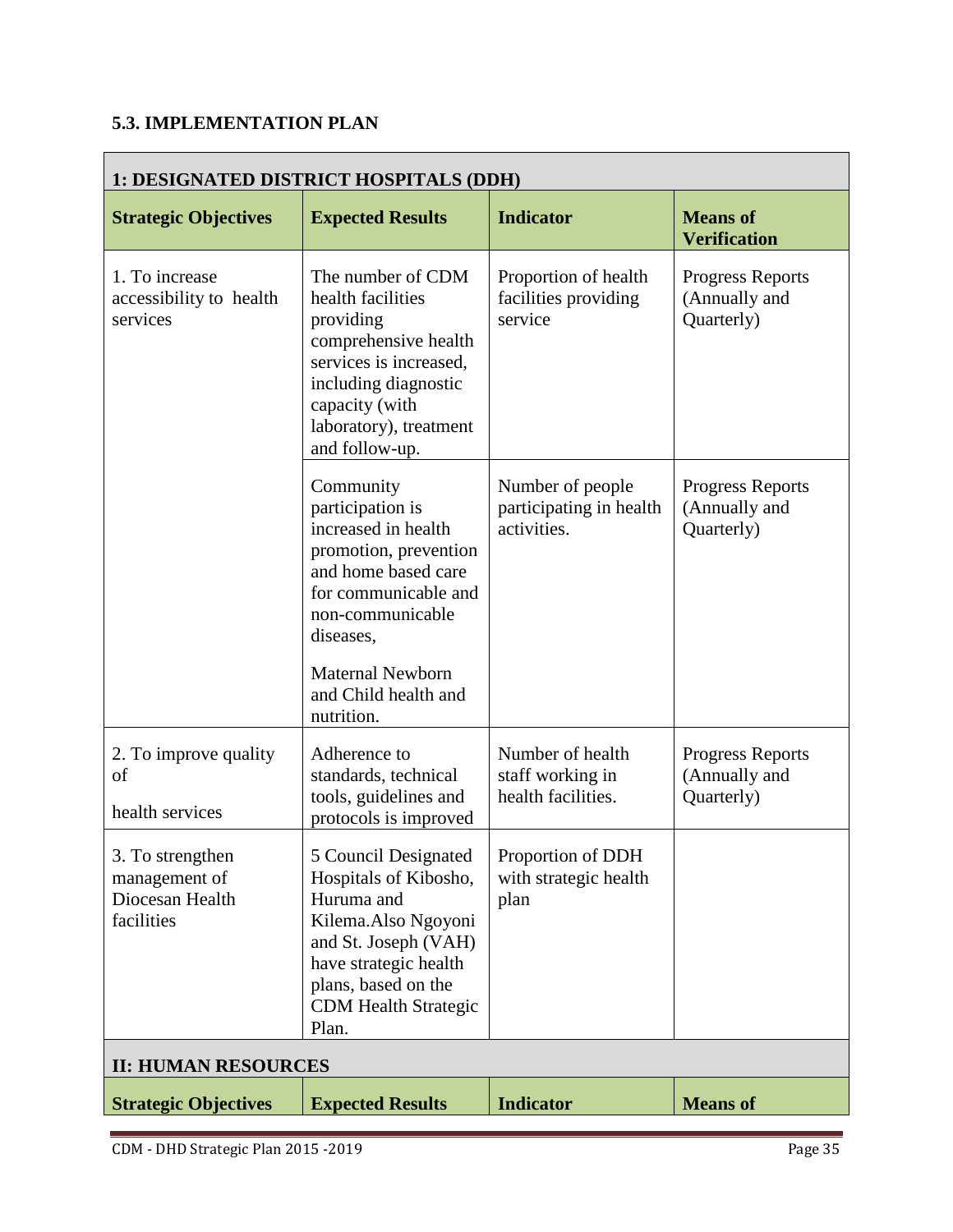# **5.3. IMPLEMENTATION PLAN**

| 1: DESIGNATED DISTRICT HOSPITALS (DDH)                             |                                                                                                                                                                                                                                |                                                            |                                                        |
|--------------------------------------------------------------------|--------------------------------------------------------------------------------------------------------------------------------------------------------------------------------------------------------------------------------|------------------------------------------------------------|--------------------------------------------------------|
| <b>Strategic Objectives</b>                                        | <b>Expected Results</b>                                                                                                                                                                                                        | <b>Indicator</b>                                           | <b>Means of</b><br><b>Verification</b>                 |
| 1. To increase<br>accessibility to health<br>services              | The number of CDM<br>health facilities<br>providing<br>comprehensive health<br>services is increased,<br>including diagnostic<br>capacity (with<br>laboratory), treatment<br>and follow-up.                                    | Proportion of health<br>facilities providing<br>service    | <b>Progress Reports</b><br>(Annually and<br>Quarterly) |
|                                                                    | Community<br>participation is<br>increased in health<br>promotion, prevention<br>and home based care<br>for communicable and<br>non-communicable<br>diseases,<br><b>Maternal Newborn</b><br>and Child health and<br>nutrition. | Number of people<br>participating in health<br>activities. | <b>Progress Reports</b><br>(Annually and<br>Quarterly) |
| 2. To improve quality<br>of<br>health services                     | Adherence to<br>standards, technical<br>tools, guidelines and<br>protocols is improved                                                                                                                                         | Number of health<br>staff working in<br>health facilities. | <b>Progress Reports</b><br>(Annually and<br>Quarterly) |
| 3. To strengthen<br>management of<br>Diocesan Health<br>facilities | 5 Council Designated<br>Hospitals of Kibosho,<br>Huruma and<br>Kilema.Also Ngoyoni<br>and St. Joseph (VAH)<br>have strategic health<br>plans, based on the<br><b>CDM Health Strategic</b><br>Plan.                             | Proportion of DDH<br>with strategic health<br>plan         |                                                        |
| <b>II: HUMAN RESOURCES</b>                                         |                                                                                                                                                                                                                                |                                                            |                                                        |
| <b>Strategic Objectives</b>                                        | <b>Expected Results</b>                                                                                                                                                                                                        | <b>Indicator</b>                                           | <b>Means of</b>                                        |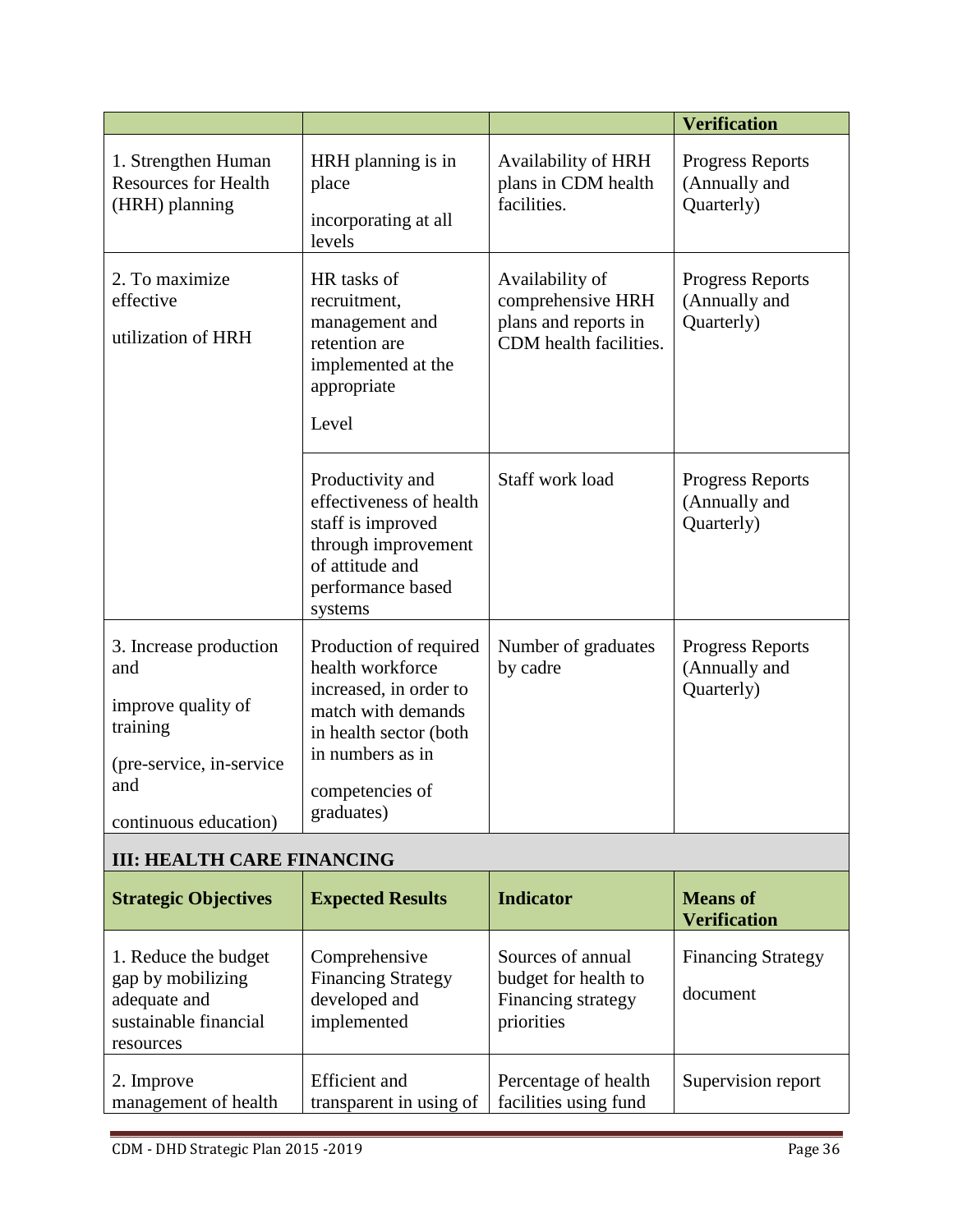|                                                                                                                              |                                                                                                                                                                           |                                                                                        | <b>Verification</b>                                    |
|------------------------------------------------------------------------------------------------------------------------------|---------------------------------------------------------------------------------------------------------------------------------------------------------------------------|----------------------------------------------------------------------------------------|--------------------------------------------------------|
| 1. Strengthen Human<br><b>Resources for Health</b><br>(HRH) planning                                                         | HRH planning is in<br>place<br>incorporating at all<br>levels                                                                                                             | Availability of HRH<br>plans in CDM health<br>facilities.                              | <b>Progress Reports</b><br>(Annually and<br>Quarterly) |
| 2. To maximize<br>effective<br>utilization of HRH                                                                            | HR tasks of<br>recruitment,<br>management and<br>retention are<br>implemented at the<br>appropriate<br>Level                                                              | Availability of<br>comprehensive HRH<br>plans and reports in<br>CDM health facilities. | <b>Progress Reports</b><br>(Annually and<br>Quarterly) |
|                                                                                                                              | Productivity and<br>effectiveness of health<br>staff is improved<br>through improvement<br>of attitude and<br>performance based<br>systems                                | Staff work load                                                                        | <b>Progress Reports</b><br>(Annually and<br>Quarterly) |
| 3. Increase production<br>and<br>improve quality of<br>training<br>(pre-service, in-service)<br>and<br>continuous education) | Production of required<br>health workforce<br>increased, in order to<br>match with demands<br>in health sector (both<br>in numbers as in<br>competencies of<br>graduates) | Number of graduates<br>by cadre                                                        | Progress Reports<br>(Annually and<br>Quarterly)        |
| <b>III: HEALTH CARE FINANCING</b>                                                                                            |                                                                                                                                                                           |                                                                                        |                                                        |
| <b>Strategic Objectives</b>                                                                                                  | <b>Expected Results</b>                                                                                                                                                   | <b>Indicator</b>                                                                       | <b>Means of</b><br><b>Verification</b>                 |
| 1. Reduce the budget<br>gap by mobilizing<br>adequate and<br>sustainable financial<br>resources                              | Comprehensive<br><b>Financing Strategy</b><br>developed and<br>implemented                                                                                                | Sources of annual<br>budget for health to<br>Financing strategy<br>priorities          | <b>Financing Strategy</b><br>document                  |
| 2. Improve<br>management of health                                                                                           | <b>Efficient</b> and<br>transparent in using of                                                                                                                           | Percentage of health<br>facilities using fund                                          | Supervision report                                     |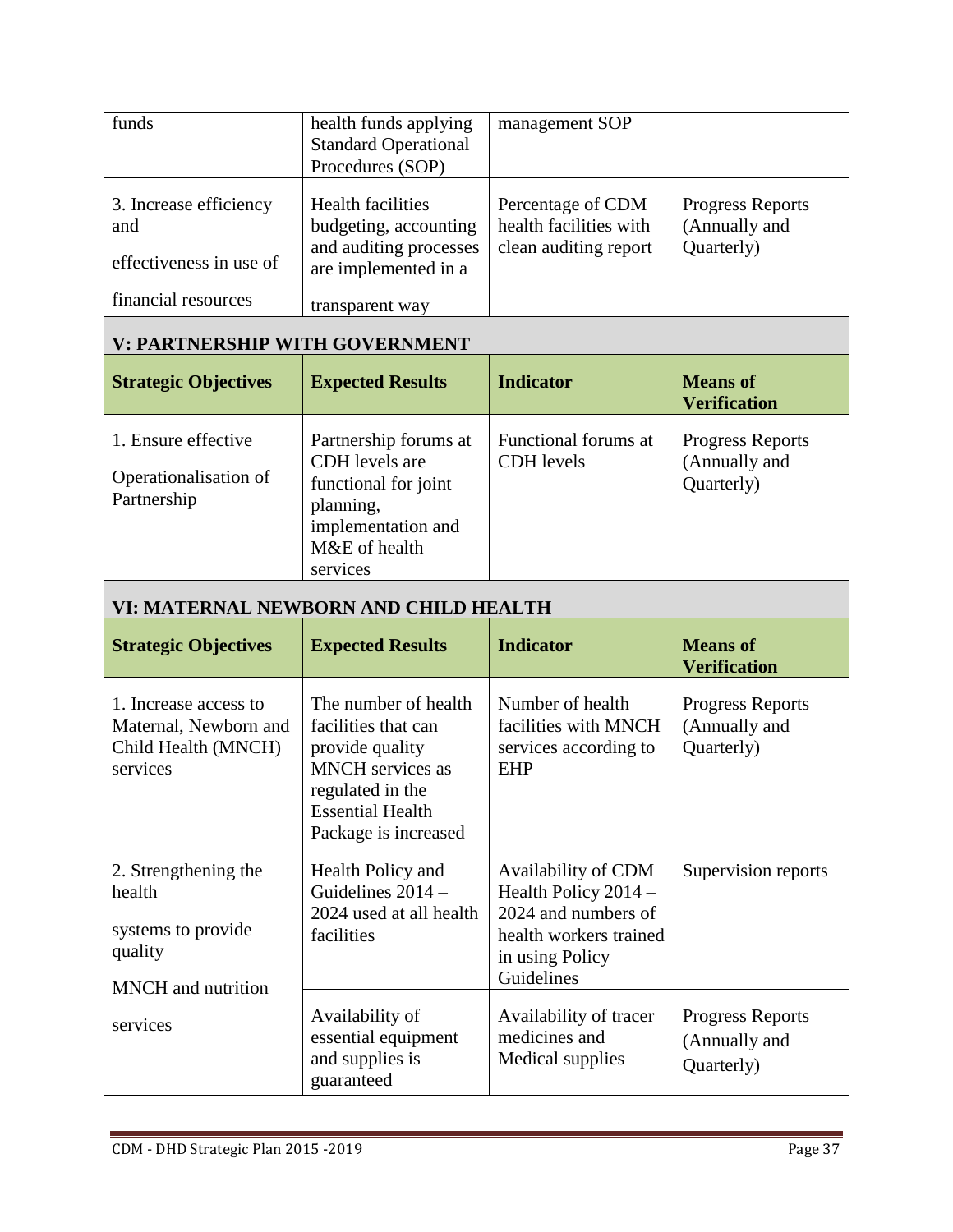| funds                                                                           | health funds applying<br><b>Standard Operational</b><br>Procedures (SOP)                                                        | management SOP                                                       |                                                        |  |  |  |  |  |
|---------------------------------------------------------------------------------|---------------------------------------------------------------------------------------------------------------------------------|----------------------------------------------------------------------|--------------------------------------------------------|--|--|--|--|--|
| 3. Increase efficiency<br>and<br>effectiveness in use of<br>financial resources | <b>Health facilities</b><br>budgeting, accounting<br>and auditing processes<br>are implemented in a<br>transparent way          | Percentage of CDM<br>health facilities with<br>clean auditing report | <b>Progress Reports</b><br>(Annually and<br>Quarterly) |  |  |  |  |  |
| <b>V: PARTNERSHIP WITH GOVERNMENT</b>                                           |                                                                                                                                 |                                                                      |                                                        |  |  |  |  |  |
| <b>Strategic Objectives</b>                                                     | <b>Expected Results</b>                                                                                                         | <b>Indicator</b>                                                     | <b>Means</b> of                                        |  |  |  |  |  |
|                                                                                 |                                                                                                                                 |                                                                      | <b>Verification</b>                                    |  |  |  |  |  |
| 1. Ensure effective<br>Operationalisation of<br>Partnership                     | Partnership forums at<br>CDH levels are<br>functional for joint<br>planning,<br>implementation and<br>M&E of health<br>services | Functional forums at<br><b>CDH</b> levels                            | <b>Progress Reports</b><br>(Annually and<br>Quarterly) |  |  |  |  |  |
| VI: MATERNAL NEWBORN AND CHILD HEALTH                                           |                                                                                                                                 |                                                                      |                                                        |  |  |  |  |  |

| <b>Strategic Objectives</b>                                                                  | <b>Expected Results</b>                                                                                                                                          | <b>Indicator</b>                                                                                                                | <b>Means of</b><br><b>Verification</b>                 |
|----------------------------------------------------------------------------------------------|------------------------------------------------------------------------------------------------------------------------------------------------------------------|---------------------------------------------------------------------------------------------------------------------------------|--------------------------------------------------------|
| 1. Increase access to<br>Maternal, Newborn and<br>Child Health (MNCH)<br>services            | The number of health<br>facilities that can<br>provide quality<br><b>MNCH</b> services as<br>regulated in the<br><b>Essential Health</b><br>Package is increased | Number of health<br>facilities with MNCH<br>services according to<br><b>EHP</b>                                                 | <b>Progress Reports</b><br>(Annually and<br>Quarterly) |
| 2. Strengthening the<br>health<br>systems to provide<br>quality<br><b>MNCH</b> and nutrition | Health Policy and<br>Guidelines $2014 -$<br>2024 used at all health<br>facilities                                                                                | Availability of CDM<br>Health Policy $2014 -$<br>2024 and numbers of<br>health workers trained<br>in using Policy<br>Guidelines | Supervision reports                                    |
| services                                                                                     | Availability of<br>essential equipment<br>and supplies is<br>guaranteed                                                                                          | Availability of tracer<br>medicines and<br>Medical supplies                                                                     | <b>Progress Reports</b><br>(Annually and<br>Quarterly) |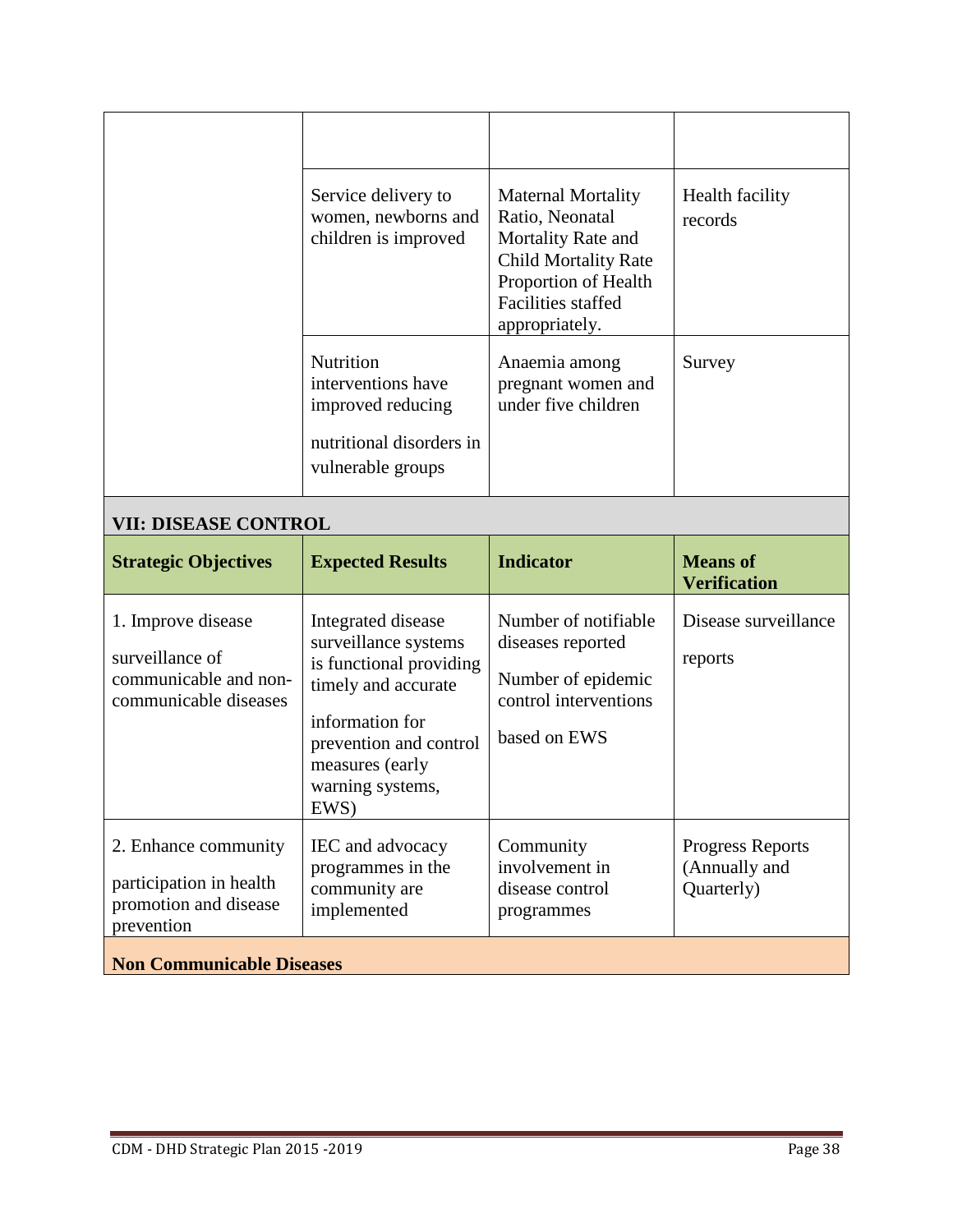| Service delivery to<br>women, newborns and<br>children is improved                                           | <b>Maternal Mortality</b><br>Ratio, Neonatal<br>Mortality Rate and<br><b>Child Mortality Rate</b><br>Proportion of Health<br><b>Facilities staffed</b><br>appropriately. | Health facility<br>records |
|--------------------------------------------------------------------------------------------------------------|--------------------------------------------------------------------------------------------------------------------------------------------------------------------------|----------------------------|
| <b>Nutrition</b><br>interventions have<br>improved reducing<br>nutritional disorders in<br>vulnerable groups | Anaemia among<br>pregnant women and<br>under five children                                                                                                               | Survey                     |

# **VII: DISEASE CONTROL**

| <b>Strategic Objectives</b>                                                             | <b>Expected Results</b>                                                                                                                                                                  | <b>Indicator</b>                                                                                         | <b>Means of</b><br><b>Verification</b>                 |
|-----------------------------------------------------------------------------------------|------------------------------------------------------------------------------------------------------------------------------------------------------------------------------------------|----------------------------------------------------------------------------------------------------------|--------------------------------------------------------|
| 1. Improve disease<br>surveillance of<br>communicable and non-<br>communicable diseases | Integrated disease<br>surveillance systems<br>is functional providing<br>timely and accurate<br>information for<br>prevention and control<br>measures (early<br>warning systems,<br>EWS) | Number of notifiable<br>diseases reported<br>Number of epidemic<br>control interventions<br>based on EWS | Disease surveillance<br>reports                        |
| 2. Enhance community<br>participation in health<br>promotion and disease<br>prevention  | IEC and advocacy<br>programmes in the<br>community are<br>implemented                                                                                                                    | Community<br>involvement in<br>disease control<br>programmes                                             | <b>Progress Reports</b><br>(Annually and<br>Quarterly) |
| <b>Non Communicable Diseases</b>                                                        |                                                                                                                                                                                          |                                                                                                          |                                                        |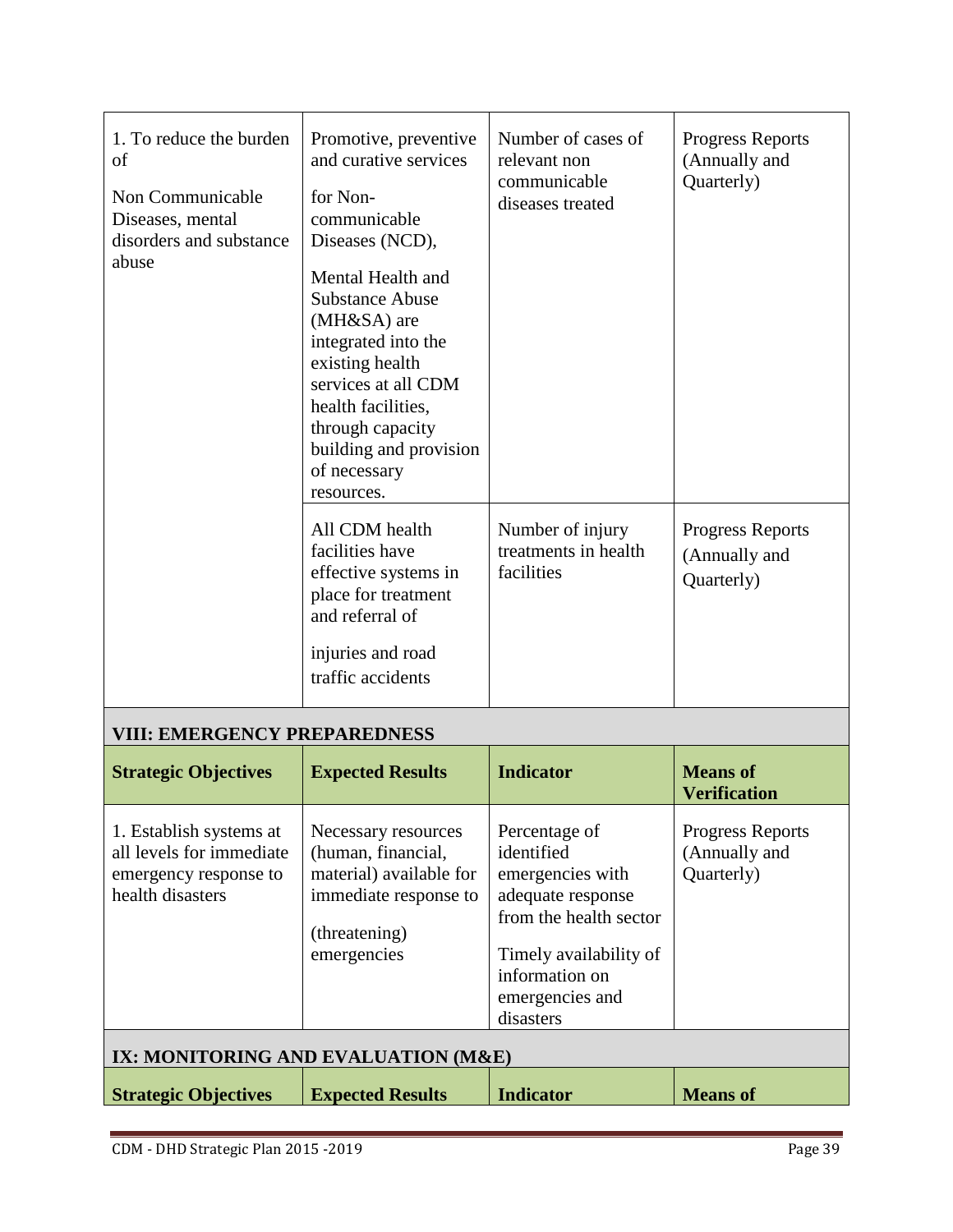| 1. To reduce the burden<br>of<br>Non Communicable<br>Diseases, mental<br>disorders and substance<br>abuse                                                                                                                         | Promotive, preventive<br>and curative services<br>for Non-<br>communicable<br>Diseases (NCD),<br>Mental Health and<br><b>Substance Abuse</b><br>(MH&SA) are<br>integrated into the<br>existing health<br>services at all CDM<br>health facilities,<br>through capacity<br>building and provision<br>of necessary<br>resources. | Number of cases of<br>relevant non<br>communicable<br>diseases treated                                                                                                     | <b>Progress Reports</b><br>(Annually and<br>Quarterly) |  |  |  |
|-----------------------------------------------------------------------------------------------------------------------------------------------------------------------------------------------------------------------------------|--------------------------------------------------------------------------------------------------------------------------------------------------------------------------------------------------------------------------------------------------------------------------------------------------------------------------------|----------------------------------------------------------------------------------------------------------------------------------------------------------------------------|--------------------------------------------------------|--|--|--|
|                                                                                                                                                                                                                                   | All CDM health<br>facilities have<br>effective systems in<br>place for treatment<br>and referral of<br>injuries and road<br>traffic accidents                                                                                                                                                                                  | Number of injury<br>treatments in health<br>facilities                                                                                                                     | <b>Progress Reports</b><br>(Annually and<br>Quarterly) |  |  |  |
| <b>VIII: EMERGENCY PREPAREDNESS</b>                                                                                                                                                                                               |                                                                                                                                                                                                                                                                                                                                |                                                                                                                                                                            |                                                        |  |  |  |
| <b>Strategic Objectives</b>                                                                                                                                                                                                       | <b>Expected Results</b>                                                                                                                                                                                                                                                                                                        | <b>Indicator</b>                                                                                                                                                           | <b>Means</b> of<br><b>Verification</b>                 |  |  |  |
| 1. Establish systems at<br>Necessary resources<br>all levels for immediate<br>(human, financial,<br>material) available for<br>emergency response to<br>health disasters<br>immediate response to<br>(threatening)<br>emergencies |                                                                                                                                                                                                                                                                                                                                | Percentage of<br>identified<br>emergencies with<br>adequate response<br>from the health sector<br>Timely availability of<br>information on<br>emergencies and<br>disasters | <b>Progress Reports</b><br>(Annually and<br>Quarterly) |  |  |  |
| IX: MONITORING AND EVALUATION (M&E)                                                                                                                                                                                               |                                                                                                                                                                                                                                                                                                                                |                                                                                                                                                                            |                                                        |  |  |  |
| <b>Strategic Objectives</b>                                                                                                                                                                                                       | <b>Expected Results</b>                                                                                                                                                                                                                                                                                                        | <b>Indicator</b>                                                                                                                                                           | <b>Means of</b>                                        |  |  |  |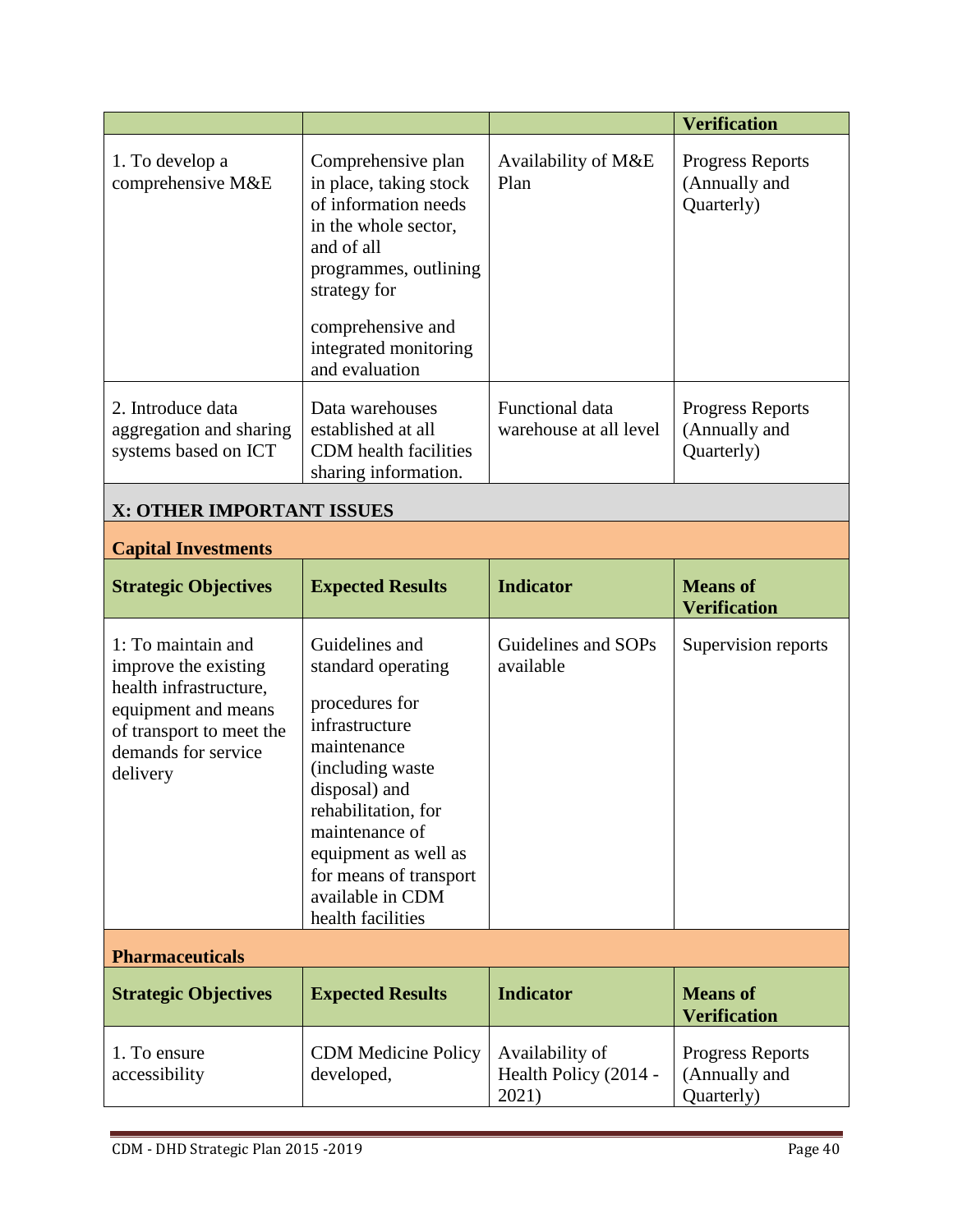|                                                                                                                                                            |                                                                                                                                                                                                                                                                  |                                                   | <b>Verification</b>                                    |  |  |
|------------------------------------------------------------------------------------------------------------------------------------------------------------|------------------------------------------------------------------------------------------------------------------------------------------------------------------------------------------------------------------------------------------------------------------|---------------------------------------------------|--------------------------------------------------------|--|--|
| 1. To develop a<br>comprehensive M&E                                                                                                                       | Comprehensive plan<br>in place, taking stock<br>of information needs<br>in the whole sector,<br>and of all<br>programmes, outlining<br>strategy for<br>comprehensive and<br>integrated monitoring<br>and evaluation                                              | Availability of M&E<br>Plan                       | Progress Reports<br>(Annually and<br>Quarterly)        |  |  |
| 2. Introduce data<br>aggregation and sharing<br>systems based on ICT                                                                                       | Data warehouses<br>established at all<br>CDM health facilities<br>sharing information.                                                                                                                                                                           | Functional data<br>warehouse at all level         | <b>Progress Reports</b><br>(Annually and<br>Quarterly) |  |  |
| X: OTHER IMPORTANT ISSUES                                                                                                                                  |                                                                                                                                                                                                                                                                  |                                                   |                                                        |  |  |
| <b>Capital Investments</b>                                                                                                                                 |                                                                                                                                                                                                                                                                  |                                                   |                                                        |  |  |
| <b>Strategic Objectives</b>                                                                                                                                | <b>Expected Results</b>                                                                                                                                                                                                                                          | <b>Indicator</b>                                  | <b>Means of</b><br><b>Verification</b>                 |  |  |
| 1: To maintain and<br>improve the existing<br>health infrastructure,<br>equipment and means<br>of transport to meet the<br>demands for service<br>delivery | Guidelines and<br>standard operating<br>procedures for<br>infrastructure<br>maintenance<br>(including waste<br>disposal) and<br>rehabilitation, for<br>maintenance of<br>equipment as well as<br>for means of transport<br>available in CDM<br>health facilities |                                                   | Supervision reports                                    |  |  |
| <b>Pharmaceuticals</b>                                                                                                                                     |                                                                                                                                                                                                                                                                  |                                                   |                                                        |  |  |
| <b>Strategic Objectives</b>                                                                                                                                | <b>Expected Results</b>                                                                                                                                                                                                                                          | <b>Indicator</b>                                  | <b>Means of</b><br><b>Verification</b>                 |  |  |
| 1. To ensure<br>accessibility                                                                                                                              | <b>CDM</b> Medicine Policy<br>developed,                                                                                                                                                                                                                         | Availability of<br>Health Policy (2014 -<br>2021) | <b>Progress Reports</b><br>(Annually and<br>Quarterly) |  |  |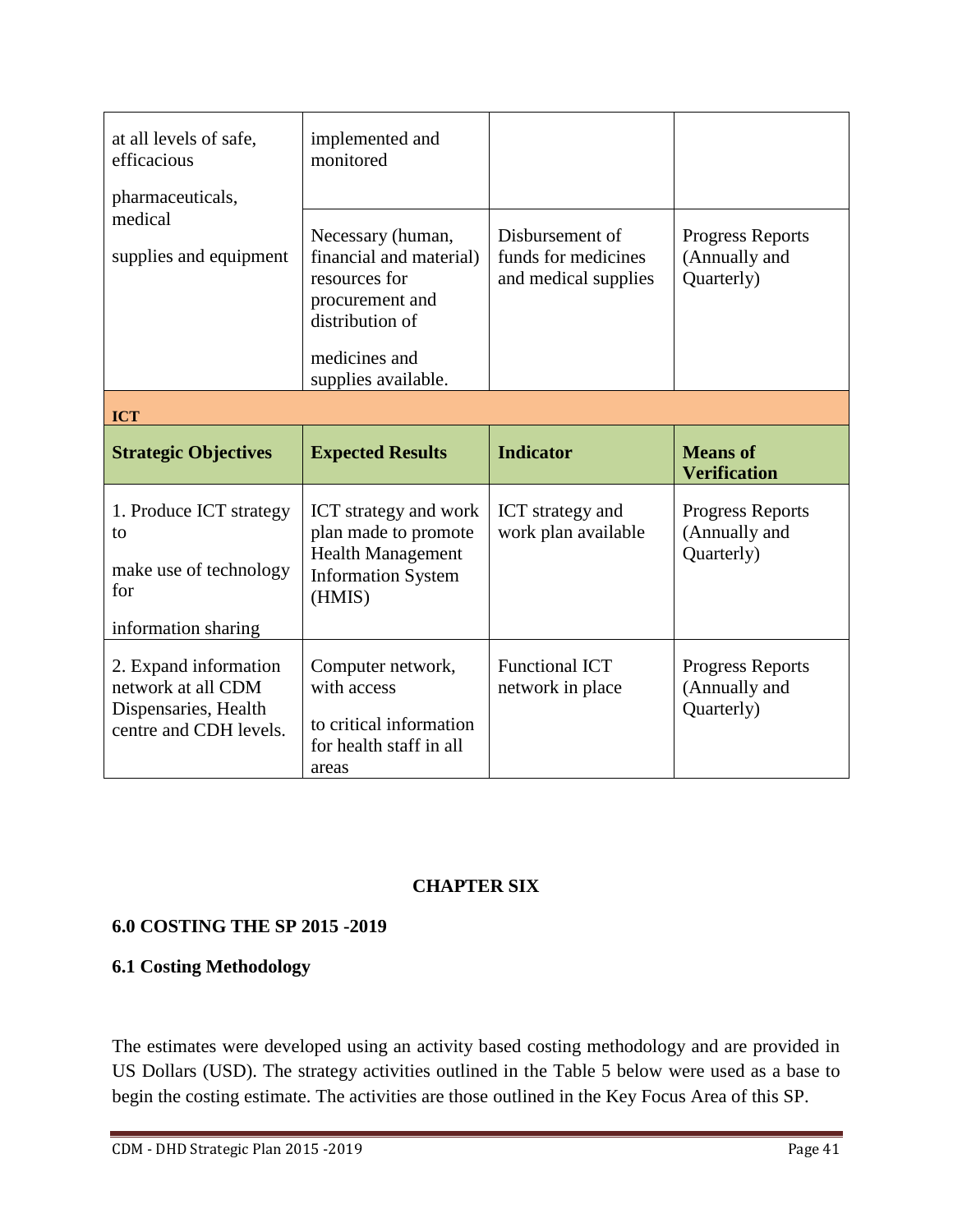| at all levels of safe,<br>efficacious<br>pharmaceuticals,                             | implemented and<br>monitored                                                                                                                |                                                                |                                                        |  |  |
|---------------------------------------------------------------------------------------|---------------------------------------------------------------------------------------------------------------------------------------------|----------------------------------------------------------------|--------------------------------------------------------|--|--|
| medical<br>supplies and equipment                                                     | Necessary (human,<br>financial and material)<br>resources for<br>procurement and<br>distribution of<br>medicines and<br>supplies available. | Disbursement of<br>funds for medicines<br>and medical supplies | <b>Progress Reports</b><br>(Annually and<br>Quarterly) |  |  |
| <b>ICT</b>                                                                            |                                                                                                                                             |                                                                |                                                        |  |  |
| <b>Strategic Objectives</b>                                                           | <b>Expected Results</b>                                                                                                                     | <b>Indicator</b>                                               | <b>Means of</b>                                        |  |  |
|                                                                                       |                                                                                                                                             |                                                                | <b>Verification</b>                                    |  |  |
| 1. Produce ICT strategy<br>to<br>make use of technology<br>for<br>information sharing | ICT strategy and work<br>plan made to promote<br><b>Health Management</b><br><b>Information System</b><br>(HMIS)                            | ICT strategy and<br>work plan available                        | <b>Progress Reports</b><br>(Annually and<br>Quarterly) |  |  |

# **CHAPTER SIX**

# **6.0 COSTING THE SP 2015 -2019**

#### **6.1 Costing Methodology**

The estimates were developed using an activity based costing methodology and are provided in US Dollars (USD). The strategy activities outlined in the Table 5 below were used as a base to begin the costing estimate. The activities are those outlined in the Key Focus Area of this SP.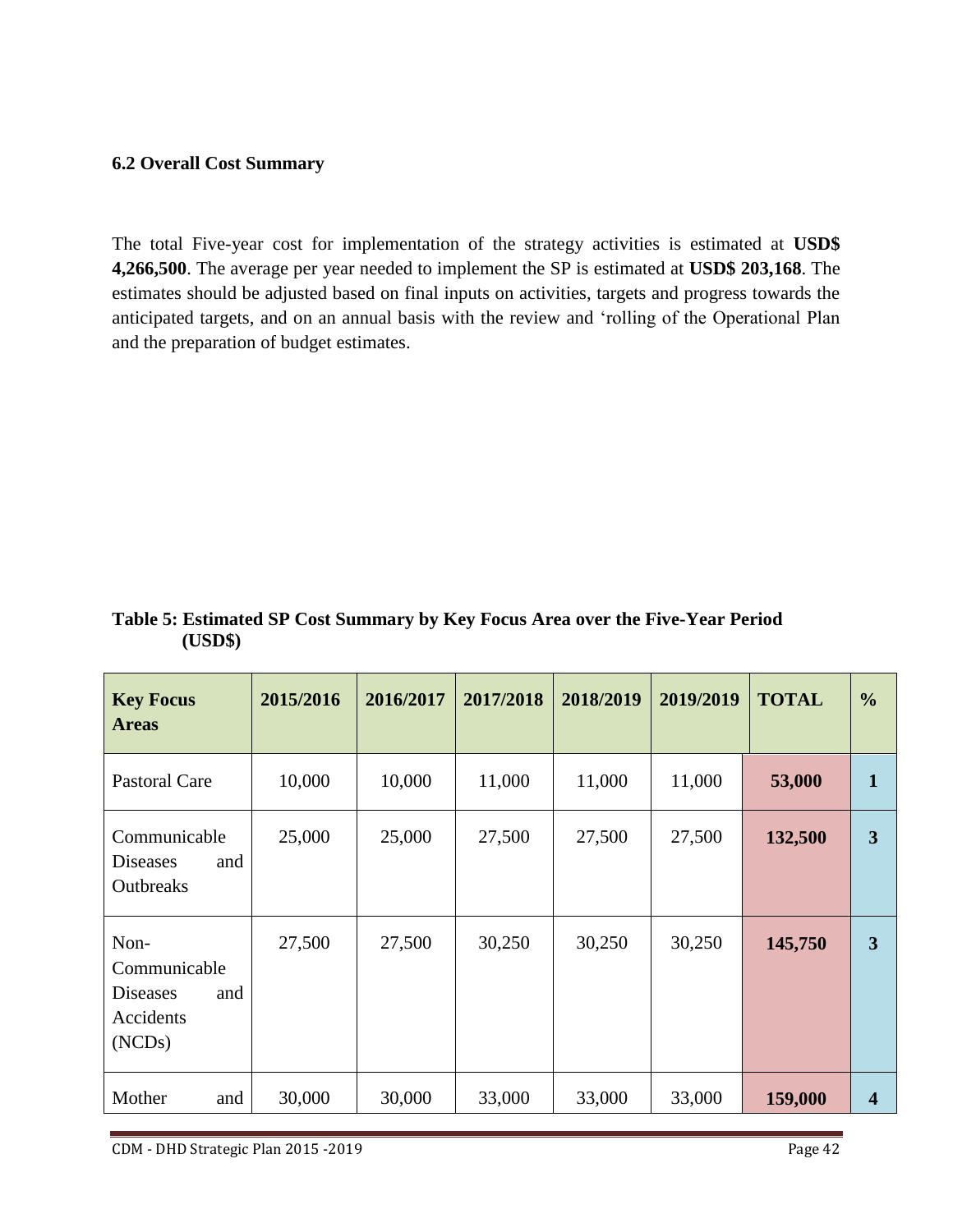#### **6.2 Overall Cost Summary**

The total Five-year cost for implementation of the strategy activities is estimated at **USD\$ 4,266,500**. The average per year needed to implement the SP is estimated at **USD\$ 203,168**. The estimates should be adjusted based on final inputs on activities, targets and progress towards the anticipated targets, and on an annual basis with the review and 'rolling of the Operational Plan and the preparation of budget estimates.

| <b>Key Focus</b><br><b>Areas</b>                                      | 2015/2016 | 2016/2017 | 2017/2018 | 2018/2019 | 2019/2019 | <b>TOTAL</b> | $\frac{6}{6}$  |
|-----------------------------------------------------------------------|-----------|-----------|-----------|-----------|-----------|--------------|----------------|
| <b>Pastoral Care</b>                                                  | 10,000    | 10,000    | 11,000    | 11,000    | 11,000    | 53,000       | $\mathbf{1}$   |
| Communicable<br>and<br><b>Diseases</b><br>Outbreaks                   | 25,000    | 25,000    | 27,500    | 27,500    | 27,500    | 132,500      | 3              |
| Non-<br>Communicable<br>and<br><b>Diseases</b><br>Accidents<br>(NCDs) | 27,500    | 27,500    | 30,250    | 30,250    | 30,250    | 145,750      | 3              |
| Mother<br>and                                                         | 30,000    | 30,000    | 33,000    | 33,000    | 33,000    | 159,000      | $\overline{4}$ |

**Table 5: Estimated SP Cost Summary by Key Focus Area over the Five-Year Period (USD\$)**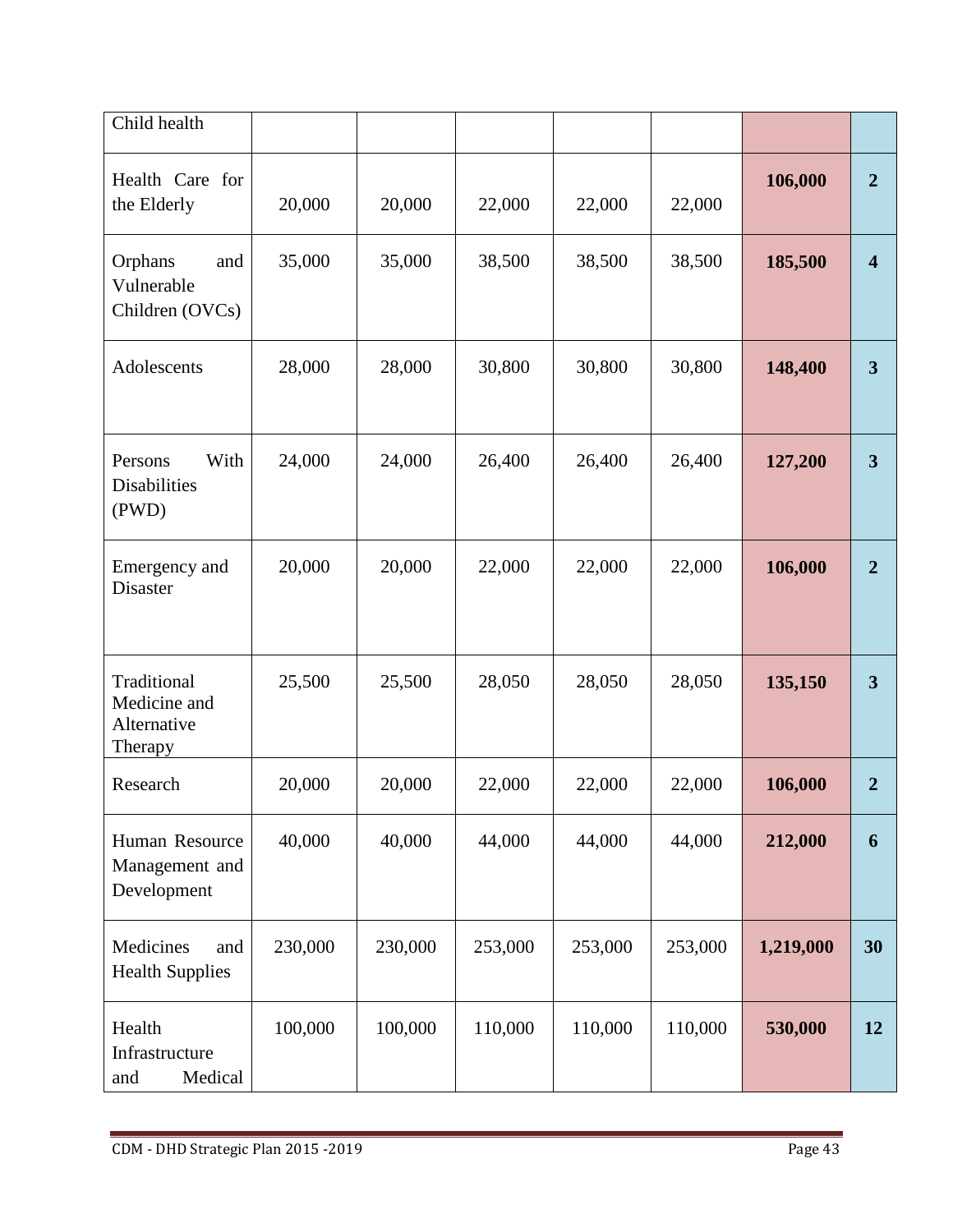| Child health                                          |         |         |         |         |         |           |                         |
|-------------------------------------------------------|---------|---------|---------|---------|---------|-----------|-------------------------|
| Health Care for<br>the Elderly                        | 20,000  | 20,000  | 22,000  | 22,000  | 22,000  | 106,000   | $\overline{2}$          |
| Orphans<br>and<br>Vulnerable<br>Children (OVCs)       | 35,000  | 35,000  | 38,500  | 38,500  | 38,500  | 185,500   | $\overline{\mathbf{4}}$ |
| Adolescents                                           | 28,000  | 28,000  | 30,800  | 30,800  | 30,800  | 148,400   | $\overline{\mathbf{3}}$ |
| With<br>Persons<br>Disabilities<br>(PWD)              | 24,000  | 24,000  | 26,400  | 26,400  | 26,400  | 127,200   | $\overline{\mathbf{3}}$ |
| Emergency and<br>Disaster                             | 20,000  | 20,000  | 22,000  | 22,000  | 22,000  | 106,000   | $\overline{2}$          |
| Traditional<br>Medicine and<br>Alternative<br>Therapy | 25,500  | 25,500  | 28,050  | 28,050  | 28,050  | 135,150   | $\overline{\mathbf{3}}$ |
| Research                                              | 20,000  | 20,000  | 22,000  | 22,000  | 22,000  | 106,000   | $\overline{2}$          |
| Human Resource<br>Management and<br>Development       | 40,000  | 40,000  | 44,000  | 44,000  | 44,000  | 212,000   | 6                       |
| Medicines<br>and<br><b>Health Supplies</b>            | 230,000 | 230,000 | 253,000 | 253,000 | 253,000 | 1,219,000 | 30                      |
| Health<br>Infrastructure<br>and<br>Medical            | 100,000 | 100,000 | 110,000 | 110,000 | 110,000 | 530,000   | 12                      |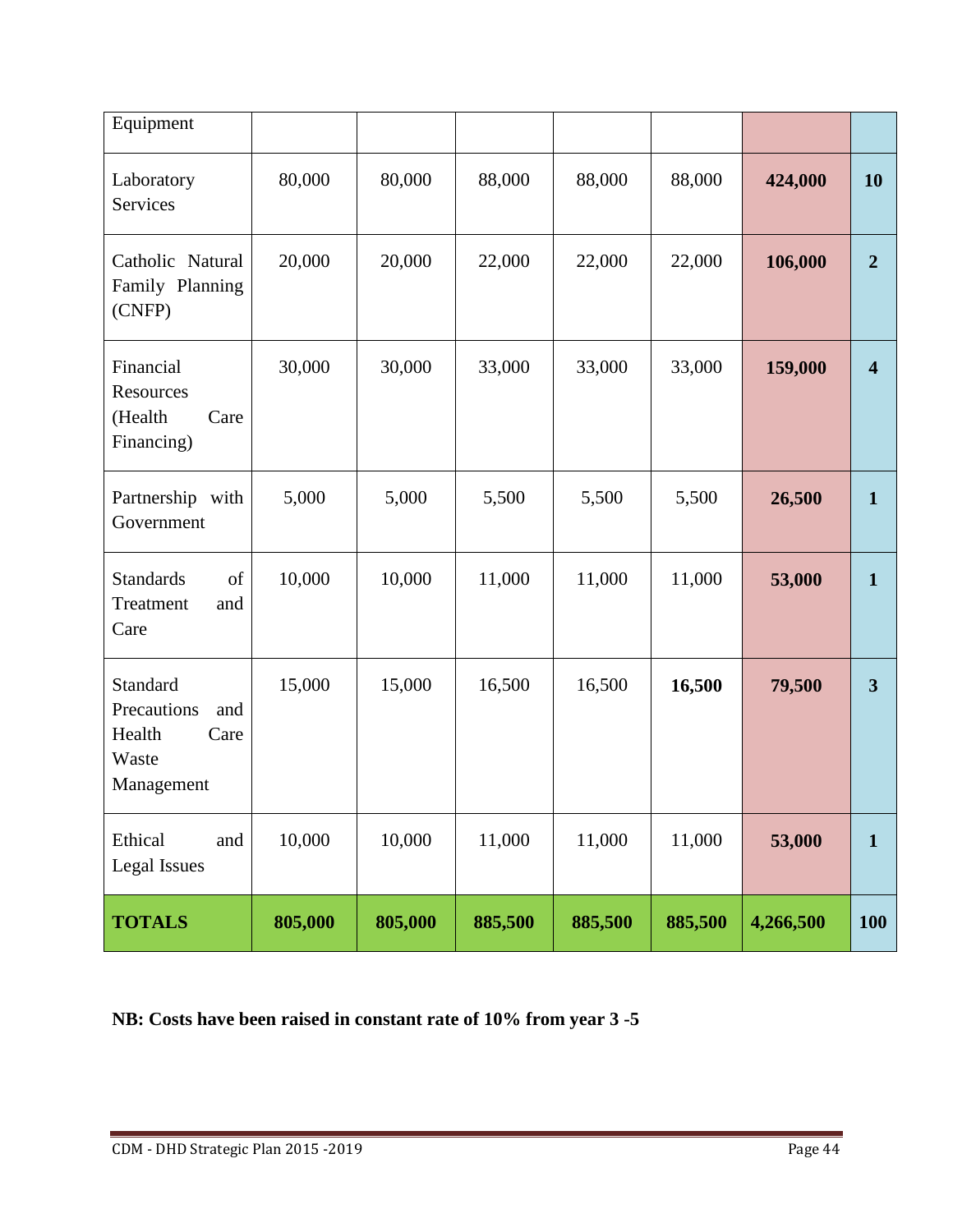| Equipment                                                               |         |         |         |         |         |           |                         |
|-------------------------------------------------------------------------|---------|---------|---------|---------|---------|-----------|-------------------------|
| Laboratory<br>Services                                                  | 80,000  | 80,000  | 88,000  | 88,000  | 88,000  | 424,000   | <b>10</b>               |
| Catholic Natural<br>Family Planning<br>(CNFP)                           | 20,000  | 20,000  | 22,000  | 22,000  | 22,000  | 106,000   | $\overline{2}$          |
| Financial<br>Resources<br>(Health<br>Care<br>Financing)                 | 30,000  | 30,000  | 33,000  | 33,000  | 33,000  | 159,000   | $\overline{\mathbf{4}}$ |
| Partnership with<br>Government                                          | 5,000   | 5,000   | 5,500   | 5,500   | 5,500   | 26,500    | $\mathbf{1}$            |
| <b>Standards</b><br>of<br>Treatment<br>and<br>Care                      | 10,000  | 10,000  | 11,000  | 11,000  | 11,000  | 53,000    | $\mathbf{1}$            |
| Standard<br>Precautions<br>and<br>Health<br>Care<br>Waste<br>Management | 15,000  | 15,000  | 16,500  | 16,500  | 16,500  | 79,500    | $\mathbf{3}$            |
| Ethical<br>and<br><b>Legal Issues</b>                                   | 10,000  | 10,000  | 11,000  | 11,000  | 11,000  | 53,000    | $\mathbf{1}$            |
| <b>TOTALS</b>                                                           | 805,000 | 805,000 | 885,500 | 885,500 | 885,500 | 4,266,500 | <b>100</b>              |

**NB: Costs have been raised in constant rate of 10% from year 3 -5**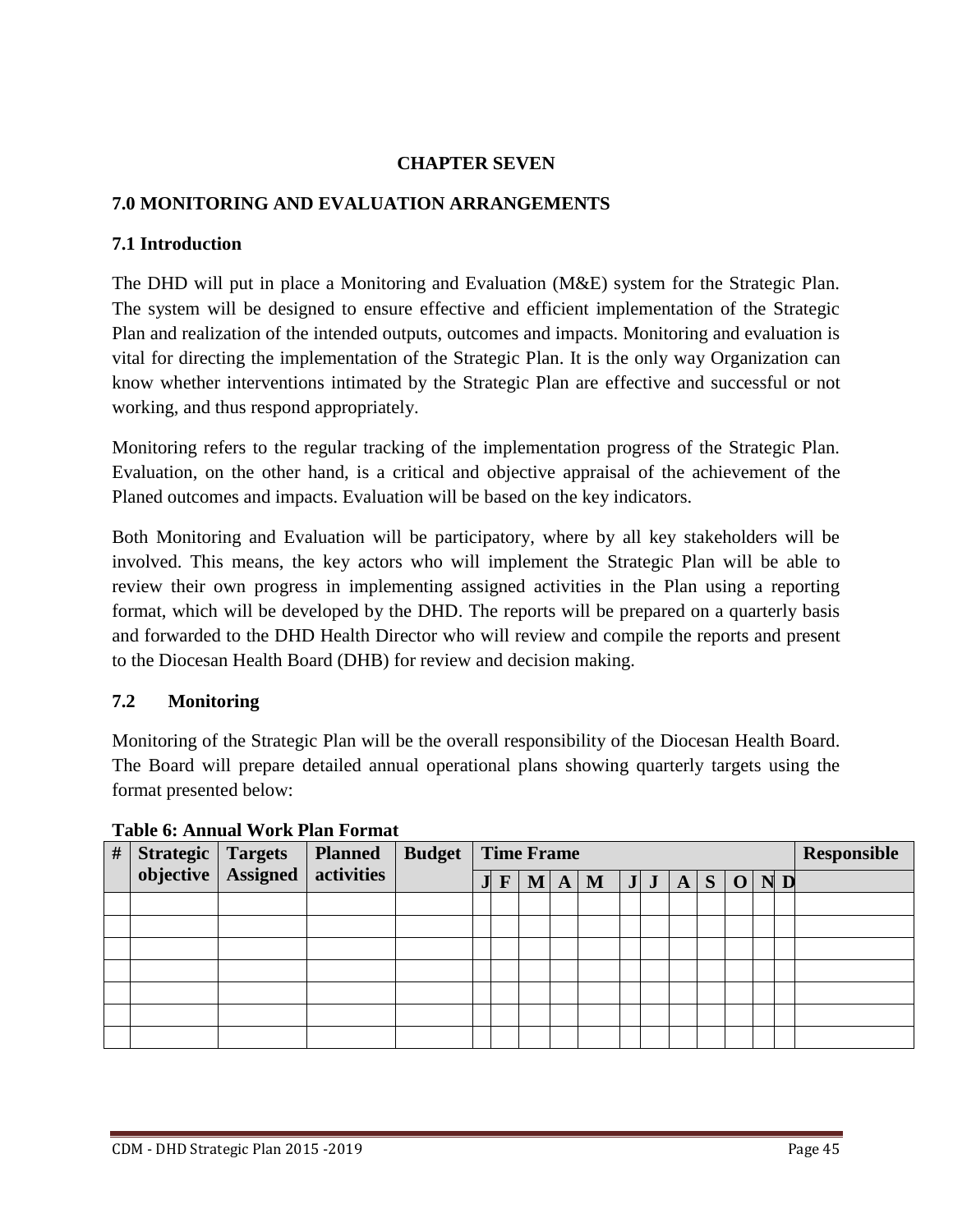# **CHAPTER SEVEN**

# **7.0 MONITORING AND EVALUATION ARRANGEMENTS**

# **7.1 Introduction**

The DHD will put in place a Monitoring and Evaluation (M&E) system for the Strategic Plan. The system will be designed to ensure effective and efficient implementation of the Strategic Plan and realization of the intended outputs, outcomes and impacts. Monitoring and evaluation is vital for directing the implementation of the Strategic Plan. It is the only way Organization can know whether interventions intimated by the Strategic Plan are effective and successful or not working, and thus respond appropriately.

Monitoring refers to the regular tracking of the implementation progress of the Strategic Plan. Evaluation, on the other hand, is a critical and objective appraisal of the achievement of the Planed outcomes and impacts. Evaluation will be based on the key indicators.

Both Monitoring and Evaluation will be participatory, where by all key stakeholders will be involved. This means, the key actors who will implement the Strategic Plan will be able to review their own progress in implementing assigned activities in the Plan using a reporting format, which will be developed by the DHD. The reports will be prepared on a quarterly basis and forwarded to the DHD Health Director who will review and compile the reports and present to the Diocesan Health Board (DHB) for review and decision making.

# **7.2 Monitoring**

Monitoring of the Strategic Plan will be the overall responsibility of the Diocesan Health Board. The Board will prepare detailed annual operational plans showing quarterly targets using the format presented below:

| # | Strategic Targets |                                   | <b>Planned</b> | <b>Budget</b> | <b>Time Frame</b> |              |  |  |                                                                     |  |  |  | <b>Responsible</b> |  |  |
|---|-------------------|-----------------------------------|----------------|---------------|-------------------|--------------|--|--|---------------------------------------------------------------------|--|--|--|--------------------|--|--|
|   |                   | objective   Assigned   activities |                |               | JI                | $\mathbf{F}$ |  |  | $\vert$ M $\vert$ A $\vert$ M $\vert$ J $\vert$ J $\vert$ A $\vert$ |  |  |  | $S$ O ND           |  |  |
|   |                   |                                   |                |               |                   |              |  |  |                                                                     |  |  |  |                    |  |  |
|   |                   |                                   |                |               |                   |              |  |  |                                                                     |  |  |  |                    |  |  |
|   |                   |                                   |                |               |                   |              |  |  |                                                                     |  |  |  |                    |  |  |
|   |                   |                                   |                |               |                   |              |  |  |                                                                     |  |  |  |                    |  |  |
|   |                   |                                   |                |               |                   |              |  |  |                                                                     |  |  |  |                    |  |  |
|   |                   |                                   |                |               |                   |              |  |  |                                                                     |  |  |  |                    |  |  |
|   |                   |                                   |                |               |                   |              |  |  |                                                                     |  |  |  |                    |  |  |

**Table 6: Annual Work Plan Format**